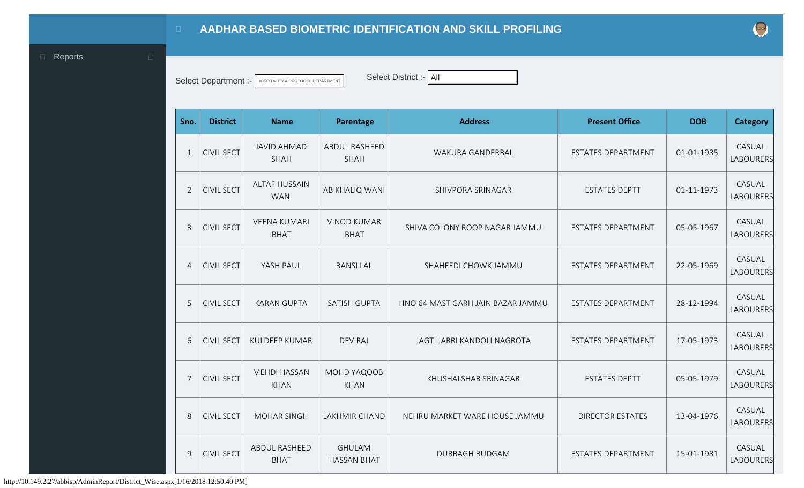<span id="page-0-0"></span>

Select Department :- HOSPITALITY & PROTOCOL DEPARTMENT SElect District :- All

| Sno.           | <b>District</b>   | <b>Name</b>                         | Parentage                           | <b>Address</b>                    | <b>Present Office</b>     | <b>DOB</b> | <b>Category</b>            |
|----------------|-------------------|-------------------------------------|-------------------------------------|-----------------------------------|---------------------------|------------|----------------------------|
| $\mathbf{1}$   | <b>CIVIL SECT</b> | <b>JAVID AHMAD</b><br><b>SHAH</b>   | ABDUL RASHEED<br><b>SHAH</b>        | WAKURA GANDERBAL                  | <b>ESTATES DEPARTMENT</b> | 01-01-1985 | CASUAL<br><b>LABOURERS</b> |
| $\overline{2}$ | <b>CIVIL SECT</b> | <b>ALTAF HUSSAIN</b><br><b>WANI</b> | AB KHALIQ WANI                      | SHIVPORA SRINAGAR                 | <b>ESTATES DEPTT</b>      | 01-11-1973 | CASUAL<br><b>LABOURERS</b> |
| $\mathbf{3}$   | <b>CIVIL SECT</b> | <b>VEENA KUMARI</b><br><b>BHAT</b>  | <b>VINOD KUMAR</b><br><b>BHAT</b>   | SHIVA COLONY ROOP NAGAR JAMMU     | ESTATES DEPARTMENT        | 05-05-1967 | CASUAL<br><b>LABOURERS</b> |
| $\overline{4}$ | <b>CIVIL SECT</b> | YASH PAUL                           | <b>BANSILAL</b>                     | SHAHEEDI CHOWK JAMMU              | <b>ESTATES DEPARTMENT</b> | 22-05-1969 | CASUAL<br><b>LABOURERS</b> |
| 5              | <b>CIVIL SECT</b> | <b>KARAN GUPTA</b>                  | <b>SATISH GUPTA</b>                 | HNO 64 MAST GARH JAIN BAZAR JAMMU | <b>ESTATES DEPARTMENT</b> | 28-12-1994 | CASUAL<br><b>LABOURERS</b> |
| 6              | <b>CIVIL SECT</b> | <b>KULDEEP KUMAR</b>                | <b>DEV RAJ</b>                      | JAGTI JARRI KANDOLI NAGROTA       | <b>ESTATES DEPARTMENT</b> | 17-05-1973 | CASUAL<br><b>LABOURERS</b> |
| $\overline{7}$ | <b>CIVIL SECT</b> | <b>MEHDI HASSAN</b><br><b>KHAN</b>  | MOHD YAQOOB<br><b>KHAN</b>          | KHUSHALSHAR SRINAGAR              | <b>ESTATES DEPTT</b>      | 05-05-1979 | CASUAL<br>LABOURERS        |
| 8              | <b>CIVIL SECT</b> | <b>MOHAR SINGH</b>                  | LAKHMIR CHAND                       | NEHRU MARKET WARE HOUSE JAMMU     | <b>DIRECTOR ESTATES</b>   | 13-04-1976 | CASUAL<br><b>LABOURERS</b> |
| $\overline{9}$ | <b>CIVIL SECT</b> | ABDUL RASHEED<br><b>BHAT</b>        | <b>GHULAM</b><br><b>HASSAN BHAT</b> | <b>DURBAGH BUDGAM</b>             | <b>ESTATES DEPARTMENT</b> | 15-01-1981 | CASUAL<br><b>LABOURERS</b> |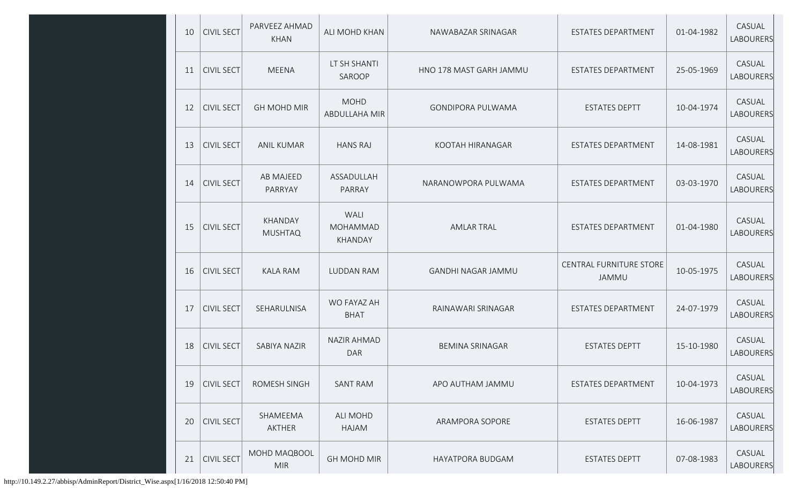| 10 | <b>CIVIL SECT</b> | PARVEEZ AHMAD<br><b>KHAN</b> | ALI MOHD KHAN                      | NAWABAZAR SRINAGAR        | ESTATES DEPARTMENT                      | 01-04-1982 | CASUAL<br>LABOURERS |
|----|-------------------|------------------------------|------------------------------------|---------------------------|-----------------------------------------|------------|---------------------|
| 11 | <b>CIVIL SECT</b> | <b>MEENA</b>                 | LT SH SHANTI<br>SAROOP             | HNO 178 MAST GARH JAMMU   | ESTATES DEPARTMENT                      | 25-05-1969 | CASUAL<br>LABOURERS |
| 12 | <b>CIVIL SECT</b> | <b>GH MOHD MIR</b>           | <b>MOHD</b><br>ABDULLAHA MIR       | <b>GONDIPORA PULWAMA</b>  | <b>ESTATES DEPTT</b>                    | 10-04-1974 | CASUAL<br>LABOURERS |
| 13 | <b>CIVIL SECT</b> | <b>ANIL KUMAR</b>            | <b>HANS RAJ</b>                    | KOOTAH HIRANAGAR          | ESTATES DEPARTMENT                      | 14-08-1981 | CASUAL<br>LABOURERS |
| 14 | <b>CIVIL SECT</b> | <b>AB MAJEED</b><br>PARRYAY  | ASSADULLAH<br>PARRAY               | NARANOWPORA PULWAMA       | ESTATES DEPARTMENT                      | 03-03-1970 | CASUAL<br>LABOURERS |
| 15 | <b>CIVIL SECT</b> | KHANDAY<br><b>MUSHTAQ</b>    | WALI<br><b>MOHAMMAD</b><br>KHANDAY | <b>AMLAR TRAL</b>         | ESTATES DEPARTMENT                      | 01-04-1980 | CASUAL<br>LABOURERS |
| 16 | <b>CIVIL SECT</b> | <b>KALA RAM</b>              | <b>LUDDAN RAM</b>                  | <b>GANDHI NAGAR JAMMU</b> | <b>CENTRAL FURNITURE STORE</b><br>JAMMU | 10-05-1975 | CASUAL<br>LABOURERS |
| 17 | <b>CIVIL SECT</b> | SEHARULNISA                  | WO FAYAZ AH<br><b>BHAT</b>         | RAINAWARI SRINAGAR        | <b>ESTATES DEPARTMENT</b>               | 24-07-1979 | CASUAL<br>LABOURERS |
| 18 | <b>CIVIL SECT</b> | SABIYA NAZIR                 | <b>NAZIR AHMAD</b><br><b>DAR</b>   | <b>BEMINA SRINAGAR</b>    | <b>ESTATES DEPTT</b>                    | 15-10-1980 | CASUAL<br>LABOURERS |
| 19 | <b>CIVIL SECT</b> | ROMESH SINGH                 | <b>SANT RAM</b>                    | APO AUTHAM JAMMU          | ESTATES DEPARTMENT                      | 10-04-1973 | CASUAL<br>LABOURERS |
| 20 | <b>CIVIL SECT</b> | SHAMEEMA<br>AKTHER           | <b>ALI MOHD</b><br>HAJAM           | ARAMPORA SOPORE           | <b>ESTATES DEPTT</b>                    | 16-06-1987 | CASUAL<br>LABOURERS |
| 21 | <b>CIVIL SECT</b> | MOHD MAQBOOL<br><b>MIR</b>   | <b>GH MOHD MIR</b>                 | <b>HAYATPORA BUDGAM</b>   | <b>ESTATES DEPTT</b>                    | 07-08-1983 | CASUAL<br>LABOURERS |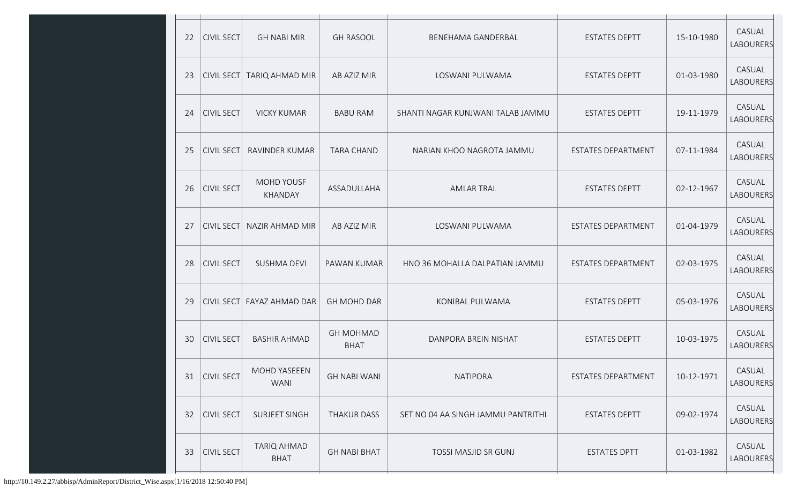| 22 | <b>CIVIL SECT</b> | <b>GH NABI MIR</b>                | <b>GH RASOOL</b>                | BENEHAMA GANDERBAL                 | <b>ESTATES DEPTT</b>      | 15-10-1980 | CASUAL<br>LABOURERS        |
|----|-------------------|-----------------------------------|---------------------------------|------------------------------------|---------------------------|------------|----------------------------|
| 23 | <b>CIVIL SECT</b> | TARIQ AHMAD MIR                   | AB AZIZ MIR                     | LOSWANI PULWAMA                    | <b>ESTATES DEPTT</b>      | 01-03-1980 | CASUAL<br>LABOURERS        |
| 24 | <b>CIVIL SECT</b> | <b>VICKY KUMAR</b>                | <b>BABU RAM</b>                 | SHANTI NAGAR KUNJWANI TALAB JAMMU  | <b>ESTATES DEPTT</b>      | 19-11-1979 | CASUAL<br>LABOURERS        |
| 25 | <b>CIVIL SECT</b> | RAVINDER KUMAR                    | <b>TARA CHAND</b>               | NARIAN KHOO NAGROTA JAMMU          | ESTATES DEPARTMENT        | 07-11-1984 | CASUAL<br>LABOURERS        |
| 26 | <b>CIVIL SECT</b> | <b>MOHD YOUSF</b><br>KHANDAY      | ASSADULLAHA                     | <b>AMLAR TRAL</b>                  | <b>ESTATES DEPTT</b>      | 02-12-1967 | CASUAL<br>LABOURERS        |
| 27 | <b>CIVIL SECT</b> | <b>NAZIR AHMAD MIR</b>            | AB AZIZ MIR                     | LOSWANI PULWAMA                    | <b>ESTATES DEPARTMENT</b> | 01-04-1979 | CASUAL<br><b>LABOURERS</b> |
| 28 | <b>CIVIL SECT</b> | <b>SUSHMA DEVI</b>                | PAWAN KUMAR                     | HNO 36 MOHALLA DALPATIAN JAMMU     | ESTATES DEPARTMENT        | 02-03-1975 | CASUAL<br>LABOURERS        |
| 29 | CIVIL SECT        | FAYAZ AHMAD DAR                   | <b>GH MOHD DAR</b>              | KONIBAL PULWAMA                    | <b>ESTATES DEPTT</b>      | 05-03-1976 | CASUAL<br>LABOURERS        |
| 30 | <b>CIVIL SECT</b> | <b>BASHIR AHMAD</b>               | <b>GH MOHMAD</b><br><b>BHAT</b> | DANPORA BREIN NISHAT               | <b>ESTATES DEPTT</b>      | 10-03-1975 | CASUAL<br>LABOURERS        |
|    | 31   CIVIL SECT   | MOHD YASEEEN<br><b>WANI</b>       | <b>GH NABI WANI</b>             | <b>NATIPORA</b>                    | ESTATES DEPARTMENT        | 10-12-1971 | CASUAL<br>LABOURERS        |
| 32 | <b>CIVIL SECT</b> | SURJEET SINGH                     | <b>THAKUR DASS</b>              | SET NO 04 AA SINGH JAMMU PANTRITHI | <b>ESTATES DEPTT</b>      | 09-02-1974 | CASUAL<br>LABOURERS        |
| 33 | <b>CIVIL SECT</b> | <b>TARIQ AHMAD</b><br><b>BHAT</b> | <b>GH NABI BHAT</b>             | TOSSI MASJID SR GUNJ               | <b>ESTATES DPTT</b>       | 01-03-1982 | CASUAL<br>LABOURERS        |
|    |                   |                                   |                                 |                                    |                           |            |                            |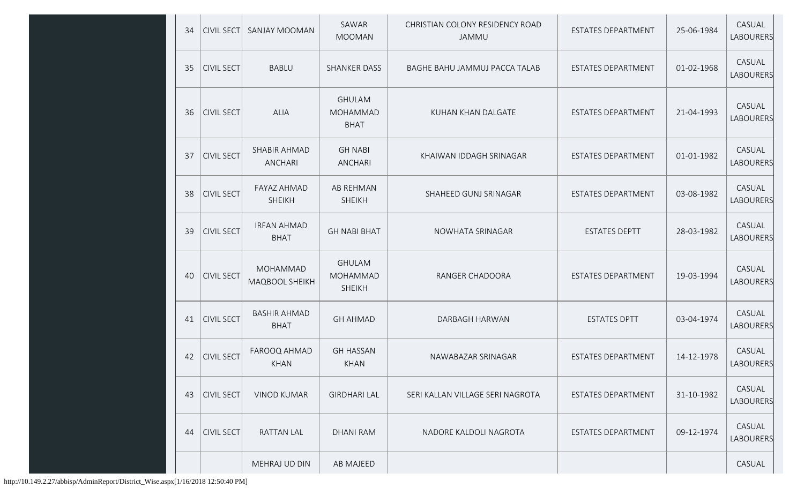| 34 | <b>CIVIL SECT</b> | SANJAY MOOMAN                       | SAWAR<br><b>MOOMAN</b>                     | CHRISTIAN COLONY RESIDENCY ROAD<br>JAMMU | <b>ESTATES DEPARTMENT</b> | 25-06-1984 | CASUAL<br><b>LABOURERS</b> |
|----|-------------------|-------------------------------------|--------------------------------------------|------------------------------------------|---------------------------|------------|----------------------------|
| 35 | <b>CIVIL SECT</b> | <b>BABLU</b>                        | <b>SHANKER DASS</b>                        | BAGHE BAHU JAMMUJ PACCA TALAB            | ESTATES DEPARTMENT        | 01-02-1968 | CASUAL<br><b>LABOURERS</b> |
| 36 | <b>CIVIL SECT</b> | <b>ALIA</b>                         | <b>GHULAM</b><br>MOHAMMAD<br><b>BHAT</b>   | KUHAN KHAN DALGATE                       | <b>ESTATES DEPARTMENT</b> | 21-04-1993 | CASUAL<br><b>LABOURERS</b> |
| 37 | <b>CIVIL SECT</b> | SHABIR AHMAD<br><b>ANCHARI</b>      | <b>GH NABI</b><br>ANCHARI                  | KHAIWAN IDDAGH SRINAGAR                  | ESTATES DEPARTMENT        | 01-01-1982 | CASUAL<br>LABOURERS        |
| 38 | <b>CIVIL SECT</b> | <b>FAYAZ AHMAD</b><br><b>SHEIKH</b> | <b>AB REHMAN</b><br><b>SHEIKH</b>          | SHAHEED GUNJ SRINAGAR                    | ESTATES DEPARTMENT        | 03-08-1982 | CASUAL<br><b>LABOURERS</b> |
| 39 | <b>CIVIL SECT</b> | <b>IRFAN AHMAD</b><br><b>BHAT</b>   | <b>GH NABI BHAT</b>                        | NOWHATA SRINAGAR                         | <b>ESTATES DEPTT</b>      | 28-03-1982 | CASUAL<br><b>LABOURERS</b> |
| 40 | <b>CIVIL SECT</b> | MOHAMMAD<br>MAQBOOL SHEIKH          | <b>GHULAM</b><br>MOHAMMAD<br><b>SHEIKH</b> | RANGER CHADOORA                          | ESTATES DEPARTMENT        | 19-03-1994 | CASUAL<br><b>LABOURERS</b> |
| 41 | <b>CIVIL SECT</b> | <b>BASHIR AHMAD</b><br><b>BHAT</b>  | <b>GH AHMAD</b>                            | DARBAGH HARWAN                           | <b>ESTATES DPTT</b>       | 03-04-1974 | CASUAL<br><b>LABOURERS</b> |
| 42 | <b>CIVIL SECT</b> | FAROOQ AHMAD<br>KHAN                | <b>GH HASSAN</b><br><b>KHAN</b>            | NAWABAZAR SRINAGAR                       | <b>ESTATES DEPARTMENT</b> | 14-12-1978 | CASUAL<br><b>LABOURERS</b> |
| 43 | <b>CIVIL SECT</b> | <b>VINOD KUMAR</b>                  | <b>GIRDHARI LAL</b>                        | SERI KALLAN VILLAGE SERI NAGROTA         | <b>ESTATES DEPARTMENT</b> | 31-10-1982 | CASUAL<br><b>LABOURERS</b> |
| 44 | <b>CIVIL SECT</b> | <b>RATTAN LAL</b>                   | <b>DHANI RAM</b>                           | NADORE KALDOLI NAGROTA                   | ESTATES DEPARTMENT        | 09-12-1974 | CASUAL<br><b>LABOURERS</b> |
|    |                   | MEHRAJ UD DIN                       | AB MAJEED                                  |                                          |                           |            | CASUAL                     |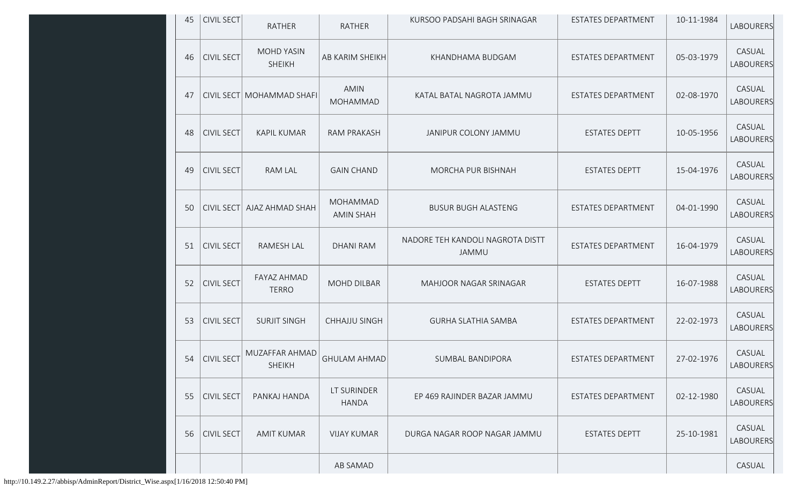| 45 | CIVIL SECT        | <b>RATHER</b>                      | <b>RATHER</b>                       | KURSOO PADSAHI BAGH SRINAGAR              | ESTATES DEPARTMENT        | 10-11-1984 | LABOURERS                  |
|----|-------------------|------------------------------------|-------------------------------------|-------------------------------------------|---------------------------|------------|----------------------------|
| 46 | <b>CIVIL SECT</b> | <b>MOHD YASIN</b><br><b>SHEIKH</b> | AB KARIM SHEIKH                     | KHANDHAMA BUDGAM                          | <b>ESTATES DEPARTMENT</b> | 05-03-1979 | CASUAL<br>LABOURERS        |
| 47 |                   | CIVIL SECT MOHAMMAD SHAFI          | <b>AMIN</b><br>MOHAMMAD             | KATAL BATAL NAGROTA JAMMU                 | <b>ESTATES DEPARTMENT</b> | 02-08-1970 | CASUAL<br><b>LABOURERS</b> |
| 48 | <b>CIVIL SECT</b> | <b>KAPIL KUMAR</b>                 | <b>RAM PRAKASH</b>                  | JANIPUR COLONY JAMMU                      | <b>ESTATES DEPTT</b>      | 10-05-1956 | CASUAL<br>LABOURERS        |
| 49 | <b>CIVIL SECT</b> | <b>RAM LAL</b>                     | <b>GAIN CHAND</b>                   | MORCHA PUR BISHNAH                        | <b>ESTATES DEPTT</b>      | 15-04-1976 | CASUAL<br>LABOURERS        |
| 50 | <b>CIVIL SECT</b> | AJAZ AHMAD SHAH                    | <b>MOHAMMAD</b><br><b>AMIN SHAH</b> | <b>BUSUR BUGH ALASTENG</b>                | ESTATES DEPARTMENT        | 04-01-1990 | CASUAL<br>LABOURERS        |
| 51 | <b>CIVIL SECT</b> | RAMESH LAL                         | <b>DHANI RAM</b>                    | NADORE TEH KANDOLI NAGROTA DISTT<br>JAMMU | ESTATES DEPARTMENT        | 16-04-1979 | CASUAL<br><b>LABOURERS</b> |
| 52 | <b>CIVIL SECT</b> | <b>FAYAZ AHMAD</b><br><b>TERRO</b> | <b>MOHD DILBAR</b>                  | MAHJOOR NAGAR SRINAGAR                    | <b>ESTATES DEPTT</b>      | 16-07-1988 | CASUAL<br>LABOURERS        |
| 53 | <b>CIVIL SECT</b> | <b>SURJIT SINGH</b>                | <b>CHHAJJU SINGH</b>                | <b>GURHA SLATHIA SAMBA</b>                | ESTATES DEPARTMENT        | 22-02-1973 | CASUAL<br><b>LABOURERS</b> |
| 54 | <b>CIVIL SECT</b> | MUZAFFAR AHMAD<br><b>SHEIKH</b>    | <b>GHULAM AHMAD</b>                 | SUMBAL BANDIPORA                          | <b>ESTATES DEPARTMENT</b> | 27-02-1976 | CASUAL<br>LABOURERS        |
| 55 | <b>CIVIL SECT</b> | PANKAJ HANDA                       | LT SURINDER<br><b>HANDA</b>         | EP 469 RAJINDER BAZAR JAMMU               | ESTATES DEPARTMENT        | 02-12-1980 | CASUAL<br><b>LABOURERS</b> |
| 56 | <b>CIVIL SECT</b> | <b>AMIT KUMAR</b>                  | <b>VIJAY KUMAR</b>                  | DURGA NAGAR ROOP NAGAR JAMMU              | <b>ESTATES DEPTT</b>      | 25-10-1981 | CASUAL<br><b>LABOURERS</b> |
|    |                   |                                    | AB SAMAD                            |                                           |                           |            | CASUAL                     |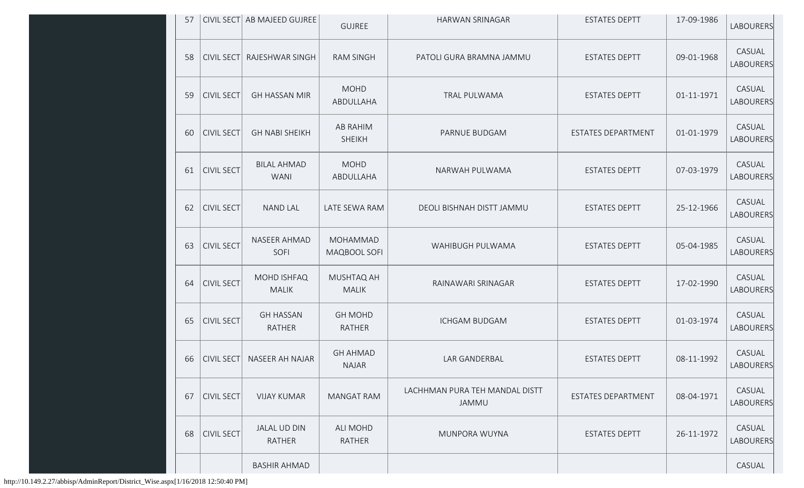| 57 |                   | CIVIL SECT AB MAJEED GUJREE       | <b>GUJREE</b>                    | <b>HARWAN SRINAGAR</b>                  | <b>ESTATES DEPTT</b> | 17-09-1986 | <b>LABOURERS</b>    |
|----|-------------------|-----------------------------------|----------------------------------|-----------------------------------------|----------------------|------------|---------------------|
| 58 | <b>CIVIL SECT</b> | RAJESHWAR SINGH                   | <b>RAM SINGH</b>                 | PATOLI GURA BRAMNA JAMMU                | <b>ESTATES DEPTT</b> | 09-01-1968 | CASUAL<br>LABOURERS |
| 59 | <b>CIVIL SECT</b> | <b>GH HASSAN MIR</b>              | <b>MOHD</b><br>ABDULLAHA         | TRAL PULWAMA                            | <b>ESTATES DEPTT</b> | 01-11-1971 | CASUAL<br>LABOURERS |
| 60 | <b>CIVIL SECT</b> | <b>GH NABI SHEIKH</b>             | <b>AB RAHIM</b><br><b>SHEIKH</b> | PARNUE BUDGAM                           | ESTATES DEPARTMENT   | 01-01-1979 | CASUAL<br>LABOURERS |
| 61 | <b>CIVIL SECT</b> | <b>BILAL AHMAD</b><br><b>WANI</b> | <b>MOHD</b><br>ABDULLAHA         | NARWAH PULWAMA                          | <b>ESTATES DEPTT</b> | 07-03-1979 | CASUAL<br>LABOURERS |
| 62 | <b>CIVIL SECT</b> | <b>NAND LAL</b>                   | LATE SEWA RAM                    | DEOLI BISHNAH DISTT JAMMU               | <b>ESTATES DEPTT</b> | 25-12-1966 | CASUAL<br>LABOURERS |
| 63 | <b>CIVIL SECT</b> | NASEER AHMAD<br>SOFI              | MOHAMMAD<br>MAQBOOL SOFI         | WAHIBUGH PULWAMA                        | <b>ESTATES DEPTT</b> | 05-04-1985 | CASUAL<br>LABOURERS |
| 64 | <b>CIVIL SECT</b> | MOHD ISHFAQ<br><b>MALIK</b>       | MUSHTAQ AH<br><b>MALIK</b>       | RAINAWARI SRINAGAR                      | <b>ESTATES DEPTT</b> | 17-02-1990 | CASUAL<br>LABOURERS |
| 65 | <b>CIVIL SECT</b> | <b>GH HASSAN</b><br>RATHER        | <b>GH MOHD</b><br><b>RATHER</b>  | <b>ICHGAM BUDGAM</b>                    | <b>ESTATES DEPTT</b> | 01-03-1974 | CASUAL<br>LABOURERS |
| 66 | <b>CIVIL SECT</b> | <b>NASEER AH NAJAR</b>            | <b>GH AHMAD</b><br><b>NAJAR</b>  | LAR GANDERBAL                           | <b>ESTATES DEPTT</b> | 08-11-1992 | CASUAL<br>LABOURERS |
| 67 | <b>CIVIL SECT</b> | <b>VIJAY KUMAR</b>                | <b>MANGAT RAM</b>                | LACHHMAN PURA TEH MANDAL DISTT<br>JAMMU | ESTATES DEPARTMENT   | 08-04-1971 | CASUAL<br>LABOURERS |
| 68 | <b>CIVIL SECT</b> | JALAL UD DIN<br>RATHER            | ALI MOHD<br>RATHER               | MUNPORA WUYNA                           | <b>ESTATES DEPTT</b> | 26-11-1972 | CASUAL<br>LABOURERS |
|    |                   | <b>BASHIR AHMAD</b>               |                                  |                                         |                      |            | CASUAL              |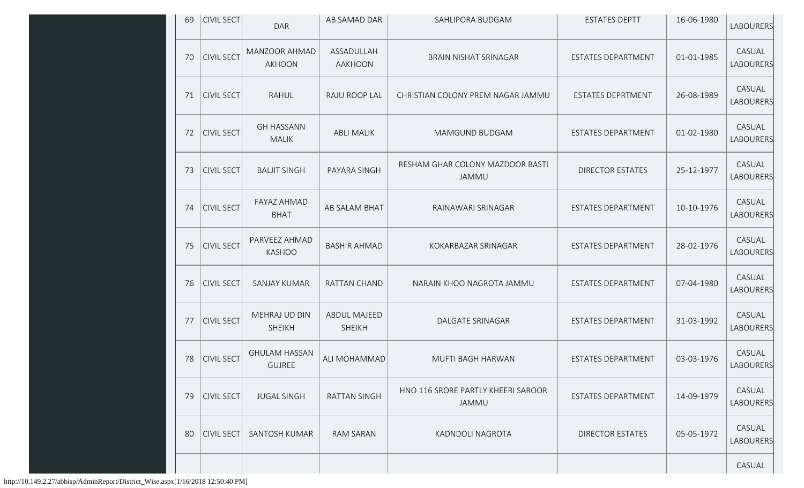| 69 | <b>CIVIL SECT</b> | <b>DAR</b>                            | AB SAMAD DAR                         | SAHLIPORA BUDGAM                                 | <b>ESTATES DEPTT</b>     | 16-06-1980 | LABOURERS                  |
|----|-------------------|---------------------------------------|--------------------------------------|--------------------------------------------------|--------------------------|------------|----------------------------|
| 70 | <b>CIVIL SECT</b> | <b>MANZOOR AHMAD</b><br><b>AKHOON</b> | ASSADULLAH<br>AAKHOON                | <b>BRAIN NISHAT SRINAGAR</b>                     | ESTATES DEPARTMENT       | 01-01-1985 | CASUAL<br>LABOURERS        |
| 71 | <b>CIVIL SECT</b> | <b>RAHUL</b>                          | RAJU ROOP LAL                        | CHRISTIAN COLONY PREM NAGAR JAMMU                | <b>ESTATES DEPRTMENT</b> | 26-08-1989 | CASUAL<br><b>LABOURERS</b> |
| 72 | <b>CIVIL SECT</b> | <b>GH HASSANN</b><br><b>MALIK</b>     | <b>ABLI MALIK</b>                    | MAMGUND BUDGAM                                   | ESTATES DEPARTMENT       | 01-02-1980 | CASUAL<br>LABOURERS        |
| 73 | <b>CIVIL SECT</b> | <b>BALJIT SINGH</b>                   | PAYARA SINGH                         | RESHAM GHAR COLONY MAZDOOR BASTI<br><b>JAMMU</b> | <b>DIRECTOR ESTATES</b>  | 25-12-1977 | CASUAL<br>LABOURERS        |
| 74 | <b>CIVIL SECT</b> | <b>FAYAZ AHMAD</b><br><b>BHAT</b>     | AB SALAM BHAT                        | RAINAWARI SRINAGAR                               | ESTATES DEPARTMENT       | 10-10-1976 | CASUAL<br>LABOURERS        |
| 75 | <b>CIVIL SECT</b> | PARVEEZ AHMAD<br><b>KASHOO</b>        | <b>BASHIR AHMAD</b>                  | KOKARBAZAR SRINAGAR                              | ESTATES DEPARTMENT       | 28-02-1976 | CASUAL<br>LABOURERS        |
| 76 | <b>CIVIL SECT</b> | SANJAY KUMAR                          | <b>RATTAN CHAND</b>                  | NARAIN KHOO NAGROTA JAMMU                        | ESTATES DEPARTMENT       | 07-04-1980 | CASUAL<br>LABOURERS        |
| 77 | <b>CIVIL SECT</b> | MEHRAJ UD DIN<br><b>SHEIKH</b>        | <b>ABDUL MAJEED</b><br><b>SHEIKH</b> | <b>DALGATE SRINAGAR</b>                          | ESTATES DEPARTMENT       | 31-03-1992 | CASUAL<br>LABOURERS        |
| 78 | <b>CIVIL SECT</b> | <b>GHULAM HASSAN</b><br><b>GUJREE</b> | ALI MOHAMMAD                         | MUFTI BAGH HARWAN                                | ESTATES DEPARTMENT       | 03-03-1976 | CASUAL<br>LABOURERS        |
| 79 | <b>CIVIL SECT</b> | <b>JUGAL SINGH</b>                    | <b>RATTAN SINGH</b>                  | HNO 116 SRORE PARTLY KHEERI SAROOR<br>JAMMU      | ESTATES DEPARTMENT       | 14-09-1979 | CASUAL<br>LABOURERS        |
| 80 | <b>CIVIL SECT</b> | SANTOSH KUMAR                         | RAM SARAN                            | KADNDOLI NAGROTA                                 | <b>DIRECTOR ESTATES</b>  | 05-05-1972 | CASUAL<br>LABOURERS        |
|    |                   |                                       |                                      |                                                  |                          |            | CASUAL                     |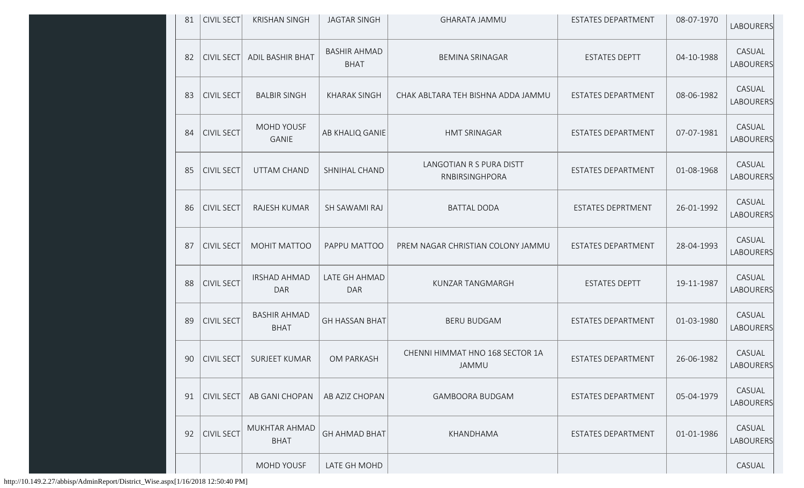| 81 | CIVIL SECT        | <b>KRISHAN SINGH</b>               | <b>JAGTAR SINGH</b>                | <b>GHARATA JAMMU</b>                            | ESTATES DEPARTMENT        | 08-07-1970 | LABOURERS                  |
|----|-------------------|------------------------------------|------------------------------------|-------------------------------------------------|---------------------------|------------|----------------------------|
| 82 | <b>CIVIL SECT</b> | <b>ADIL BASHIR BHAT</b>            | <b>BASHIR AHMAD</b><br><b>BHAT</b> | <b>BEMINA SRINAGAR</b>                          | <b>ESTATES DEPTT</b>      | 04-10-1988 | CASUAL<br>LABOURERS        |
| 83 | <b>CIVIL SECT</b> | <b>BALBIR SINGH</b>                | <b>KHARAK SINGH</b>                | CHAK ABLTARA TEH BISHNA ADDA JAMMU              | <b>ESTATES DEPARTMENT</b> | 08-06-1982 | CASUAL<br>LABOURERS        |
| 84 | <b>CIVIL SECT</b> | <b>MOHD YOUSF</b><br><b>GANIE</b>  | AB KHALIQ GANIE                    | <b>HMT SRINAGAR</b>                             | ESTATES DEPARTMENT        | 07-07-1981 | CASUAL<br>LABOURERS        |
| 85 | <b>CIVIL SECT</b> | UTTAM CHAND                        | SHNIHAL CHAND                      | LANGOTIAN R S PURA DISTT<br>RNBIRSINGHPORA      | <b>ESTATES DEPARTMENT</b> | 01-08-1968 | CASUAL<br><b>LABOURERS</b> |
| 86 | <b>CIVIL SECT</b> | RAJESH KUMAR                       | SH SAWAMI RAJ                      | <b>BATTAL DODA</b>                              | <b>ESTATES DEPRTMENT</b>  | 26-01-1992 | CASUAL<br>LABOURERS        |
| 87 | <b>CIVIL SECT</b> | MOHIT MATTOO                       | PAPPU MATTOO                       | PREM NAGAR CHRISTIAN COLONY JAMMU               | ESTATES DEPARTMENT        | 28-04-1993 | CASUAL<br><b>LABOURERS</b> |
| 88 | <b>CIVIL SECT</b> | <b>IRSHAD AHMAD</b><br><b>DAR</b>  | LATE GH AHMAD<br><b>DAR</b>        | <b>KUNZAR TANGMARGH</b>                         | <b>ESTATES DEPTT</b>      | 19-11-1987 | CASUAL<br>LABOURERS        |
| 89 | <b>CIVIL SECT</b> | <b>BASHIR AHMAD</b><br><b>BHAT</b> | <b>GH HASSAN BHAT</b>              | <b>BERU BUDGAM</b>                              | ESTATES DEPARTMENT        | 01-03-1980 | CASUAL<br>LABOURERS        |
| 90 | <b>CIVIL SECT</b> | <b>SURJEET KUMAR</b>               | <b>OM PARKASH</b>                  | CHENNI HIMMAT HNO 168 SECTOR 1A<br><b>JAMMU</b> | ESTATES DEPARTMENT        | 26-06-1982 | CASUAL<br>LABOURERS        |
| 91 | <b>CIVIL SECT</b> | AB GANI CHOPAN                     | AB AZIZ CHOPAN                     | <b>GAMBOORA BUDGAM</b>                          | <b>ESTATES DEPARTMENT</b> | 05-04-1979 | CASUAL<br><b>LABOURERS</b> |
| 92 | <b>CIVIL SECT</b> | MUKHTAR AHMAD<br><b>BHAT</b>       | <b>GH AHMAD BHAT</b>               | KHANDHAMA                                       | ESTATES DEPARTMENT        | 01-01-1986 | CASUAL<br>LABOURERS        |
|    |                   | MOHD YOUSF                         | LATE GH MOHD                       |                                                 |                           |            | CASUAL                     |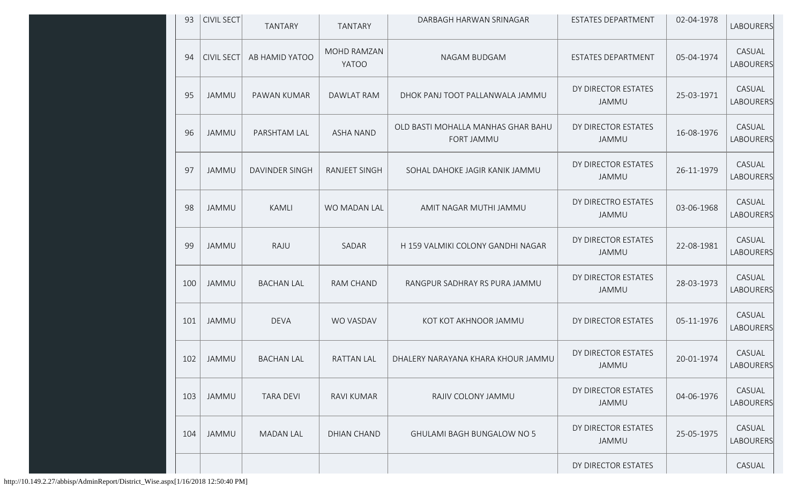| 93  | <b>CIVIL SECT</b> | <b>TANTARY</b>    | <b>TANTARY</b>              | DARBAGH HARWAN SRINAGAR                          | ESTATES DEPARTMENT           | 02-04-1978 | LABOURERS                  |
|-----|-------------------|-------------------|-----------------------------|--------------------------------------------------|------------------------------|------------|----------------------------|
| 94  | <b>CIVIL SECT</b> | AB HAMID YATOO    | MOHD RAMZAN<br><b>YATOO</b> | NAGAM BUDGAM                                     | ESTATES DEPARTMENT           | 05-04-1974 | CASUAL<br>LABOURERS        |
| 95  | JAMMU             | PAWAN KUMAR       | DAWLAT RAM                  | DHOK PANJ TOOT PALLANWALA JAMMU                  | DY DIRECTOR ESTATES<br>JAMMU | 25-03-1971 | CASUAL<br><b>LABOURERS</b> |
| 96  | JAMMU             | PARSHTAM LAL      | <b>ASHA NAND</b>            | OLD BASTI MOHALLA MANHAS GHAR BAHU<br>FORT JAMMU | DY DIRECTOR ESTATES<br>JAMMU | 16-08-1976 | CASUAL<br>LABOURERS        |
| 97  | <b>JAMMU</b>      | DAVINDER SINGH    | RANJEET SINGH               | SOHAL DAHOKE JAGIR KANIK JAMMU                   | DY DIRECTOR ESTATES<br>JAMMU | 26-11-1979 | CASUAL<br>LABOURERS        |
| 98  | JAMMU             | KAMLI             | WO MADAN LAL                | AMIT NAGAR MUTHI JAMMU                           | DY DIRECTRO ESTATES<br>JAMMU | 03-06-1968 | CASUAL<br>LABOURERS        |
| 99  | JAMMU             | RAJU              | SADAR                       | H 159 VALMIKI COLONY GANDHI NAGAR                | DY DIRECTOR ESTATES<br>JAMMU | 22-08-1981 | CASUAL<br>LABOURERS        |
| 100 | <b>JAMMU</b>      | <b>BACHAN LAL</b> | RAM CHAND                   | RANGPUR SADHRAY RS PURA JAMMU                    | DY DIRECTOR ESTATES<br>JAMMU | 28-03-1973 | CASUAL<br>LABOURERS        |
| 101 | JAMMU             | <b>DEVA</b>       | WO VASDAV                   | KOT KOT AKHNOOR JAMMU                            | DY DIRECTOR ESTATES          | 05-11-1976 | CASUAL<br>LABOURERS        |
| 102 | <b>JAMMU</b>      | <b>BACHAN LAL</b> | <b>RATTAN LAL</b>           | DHALERY NARAYANA KHARA KHOUR JAMMU               | DY DIRECTOR ESTATES<br>JAMMU | 20-01-1974 | CASUAL<br>LABOURERS        |
| 103 | JAMMU             | <b>TARA DEVI</b>  | RAVI KUMAR                  | RAJIV COLONY JAMMU                               | DY DIRECTOR ESTATES<br>JAMMU | 04-06-1976 | CASUAL<br>LABOURERS        |
| 104 | JAMMU             | <b>MADAN LAL</b>  | <b>DHIAN CHAND</b>          | <b>GHULAMI BAGH BUNGALOW NO 5</b>                | DY DIRECTOR ESTATES<br>JAMMU | 25-05-1975 | CASUAL<br><b>LABOURERS</b> |
|     |                   |                   |                             |                                                  | DY DIRECTOR ESTATES          |            | CASUAL                     |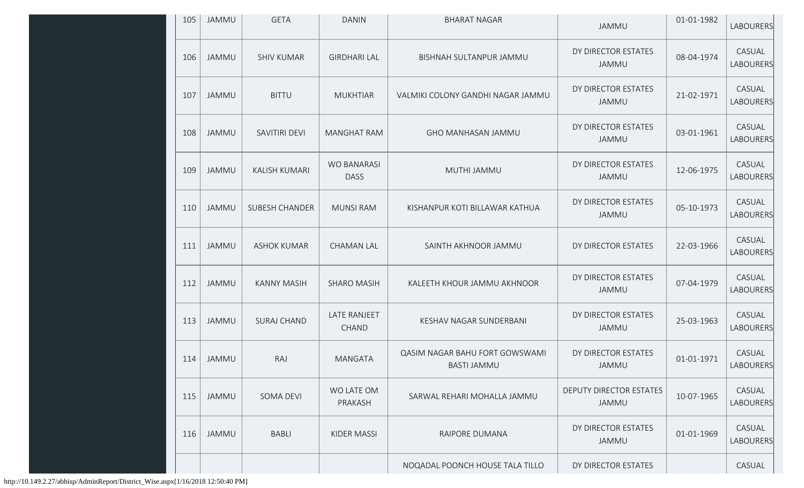| 105 | JAMMU        | <b>GETA</b>           | <b>DANIN</b>                      | <b>BHARAT NAGAR</b>                                  | JAMMU                                   | 01-01-1982 | LABOURERS           |
|-----|--------------|-----------------------|-----------------------------------|------------------------------------------------------|-----------------------------------------|------------|---------------------|
| 106 | JAMMU        | <b>SHIV KUMAR</b>     | <b>GIRDHARI LAL</b>               | BISHNAH SULTANPUR JAMMU                              | DY DIRECTOR ESTATES<br><b>JAMMU</b>     | 08-04-1974 | CASUAL<br>LABOURERS |
| 107 | JAMMU        | <b>BITTU</b>          | <b>MUKHTIAR</b>                   | VALMIKI COLONY GANDHI NAGAR JAMMU                    | DY DIRECTOR ESTATES<br>JAMMU            | 21-02-1971 | CASUAL<br>LABOURERS |
| 108 | JAMMU        | SAVITIRI DEVI         | <b>MANGHAT RAM</b>                | <b>GHO MANHASAN JAMMU</b>                            | DY DIRECTOR ESTATES<br>JAMMU            | 03-01-1961 | CASUAL<br>LABOURERS |
| 109 | JAMMU        | KALISH KUMARI         | <b>WO BANARASI</b><br><b>DASS</b> | MUTHI JAMMU                                          | DY DIRECTOR ESTATES<br>JAMMU            | 12-06-1975 | CASUAL<br>LABOURERS |
| 110 | <b>JAMMU</b> | <b>SUBESH CHANDER</b> | <b>MUNSI RAM</b>                  | KISHANPUR KOTI BILLAWAR KATHUA                       | DY DIRECTOR ESTATES<br>JAMMU            | 05-10-1973 | CASUAL<br>LABOURERS |
| 111 | JAMMU        | <b>ASHOK KUMAR</b>    | <b>CHAMAN LAL</b>                 | SAINTH AKHNOOR JAMMU                                 | DY DIRECTOR ESTATES                     | 22-03-1966 | CASUAL<br>LABOURERS |
| 112 | <b>JAMMU</b> | <b>KANNY MASIH</b>    | <b>SHARO MASIH</b>                | KALEETH KHOUR JAMMU AKHNOOR                          | DY DIRECTOR ESTATES<br>JAMMU            | 07-04-1979 | CASUAL<br>LABOURERS |
| 113 | JAMMU        | <b>SURAJ CHAND</b>    | LATE RANJEET<br>CHAND             | KESHAV NAGAR SUNDERBANI                              | DY DIRECTOR ESTATES<br>JAMMU            | 25-03-1963 | CASUAL<br>LABOURERS |
| 114 | JAMMU        | RAJ                   | <b>MANGATA</b>                    | QASIM NAGAR BAHU FORT GOWSWAMI<br><b>BASTI JAMMU</b> | DY DIRECTOR ESTATES<br>JAMMU            | 01-01-1971 | CASUAL<br>LABOURERS |
| 115 | JAMMU        | SOMA DEVI             | WO LATE OM<br>PRAKASH             | SARWAL REHARI MOHALLA JAMMU                          | <b>DEPUTY DIRECTOR ESTATES</b><br>JAMMU | 10-07-1965 | CASUAL<br>LABOURERS |
| 116 | JAMMU        | <b>BABLI</b>          | KIDER MASSI                       | RAIPORE DUMANA                                       | DY DIRECTOR ESTATES<br>JAMMU            | 01-01-1969 | CASUAL<br>LABOURERS |
|     |              |                       |                                   | NOQADAL POONCH HOUSE TALA TILLO                      | DY DIRECTOR ESTATES                     |            | CASUAL              |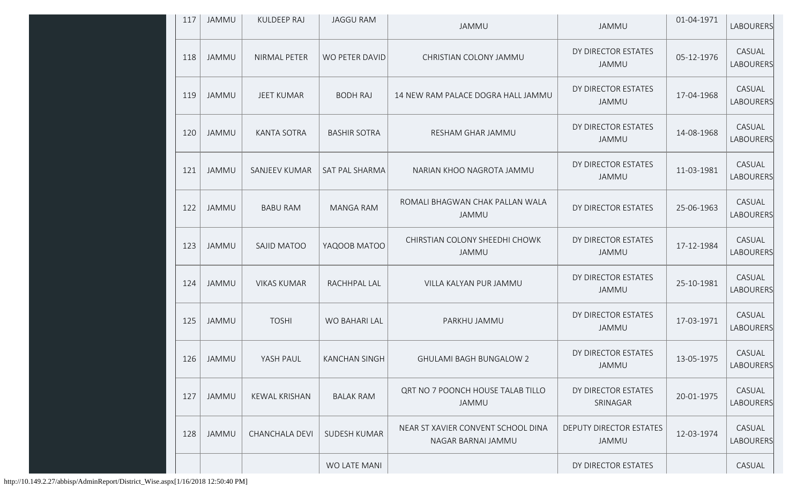| 117 | JAMMU        | <b>KULDEEP RAJ</b>    | <b>JAGGU RAM</b>    | JAMMU                                                    | JAMMU                                   | 01-04-1971 | LABOURERS           |
|-----|--------------|-----------------------|---------------------|----------------------------------------------------------|-----------------------------------------|------------|---------------------|
| 118 | JAMMU        | NIRMAL PETER          | WO PETER DAVID      | CHRISTIAN COLONY JAMMU                                   | DY DIRECTOR ESTATES<br>JAMMU            | 05-12-1976 | CASUAL<br>LABOURERS |
| 119 | JAMMU        | <b>JEET KUMAR</b>     | <b>BODH RAJ</b>     | 14 NEW RAM PALACE DOGRA HALL JAMMU                       | DY DIRECTOR ESTATES<br>JAMMU            | 17-04-1968 | CASUAL<br>LABOURERS |
| 120 | JAMMU        | <b>KANTA SOTRA</b>    | <b>BASHIR SOTRA</b> | RESHAM GHAR JAMMU                                        | DY DIRECTOR ESTATES<br>JAMMU            | 14-08-1968 | CASUAL<br>LABOURERS |
| 121 | <b>JAMMU</b> | SANJEEV KUMAR         | SAT PAL SHARMA      | NARIAN KHOO NAGROTA JAMMU                                | DY DIRECTOR ESTATES<br>JAMMU            | 11-03-1981 | CASUAL<br>LABOURERS |
| 122 | JAMMU        | <b>BABU RAM</b>       | <b>MANGA RAM</b>    | ROMALI BHAGWAN CHAK PALLAN WALA<br>JAMMU                 | DY DIRECTOR ESTATES                     | 25-06-1963 | CASUAL<br>LABOURERS |
| 123 | <b>JAMMU</b> | SAJID MATOO           | YAQOOB MATOO        | CHIRSTIAN COLONY SHEEDHI CHOWK<br>JAMMU                  | DY DIRECTOR ESTATES<br>JAMMU            | 17-12-1984 | CASUAL<br>LABOURERS |
| 124 | <b>JAMMU</b> | <b>VIKAS KUMAR</b>    | RACHHPAL LAL        | VILLA KALYAN PUR JAMMU                                   | DY DIRECTOR ESTATES<br><b>JAMMU</b>     | 25-10-1981 | CASUAL<br>LABOURERS |
| 125 | <b>JAMMU</b> | <b>TOSHI</b>          | WO BAHARI LAL       | PARKHU JAMMU                                             | DY DIRECTOR ESTATES<br><b>JAMMU</b>     | 17-03-1971 | CASUAL<br>LABOURERS |
| 126 | JAMMU        | YASH PAUL             | KANCHAN SINGH       | <b>GHULAMI BAGH BUNGALOW 2</b>                           | DY DIRECTOR ESTATES<br>JAMMU            | 13-05-1975 | CASUAL<br>LABOURERS |
| 127 | JAMMU        | <b>KEWAL KRISHAN</b>  | <b>BALAK RAM</b>    | QRT NO 7 POONCH HOUSE TALAB TILLO<br>JAMMU               | DY DIRECTOR ESTATES<br>SRINAGAR         | 20-01-1975 | CASUAL<br>LABOURERS |
| 128 | <b>JAMMU</b> | <b>CHANCHALA DEVI</b> | <b>SUDESH KUMAR</b> | NEAR ST XAVIER CONVENT SCHOOL DINA<br>NAGAR BARNAI JAMMU | <b>DEPUTY DIRECTOR ESTATES</b><br>JAMMU | 12-03-1974 | CASUAL<br>LABOURERS |
|     |              |                       | WO LATE MANI        |                                                          | DY DIRECTOR ESTATES                     |            | CASUAL              |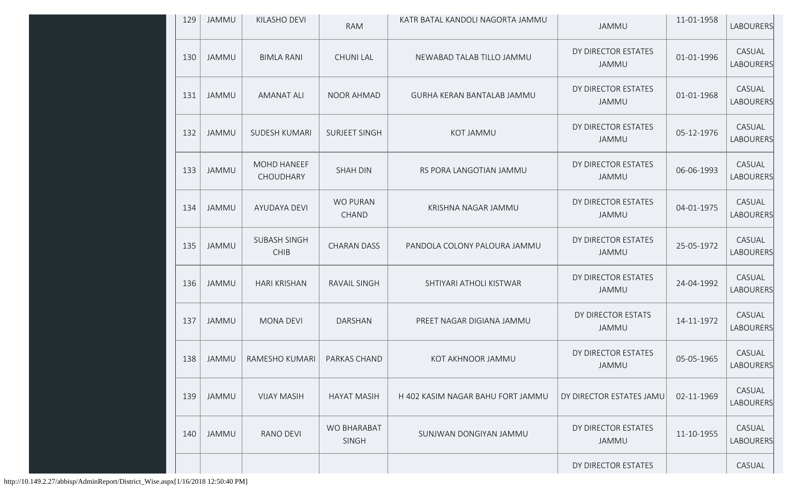| 129 | JAMMU        | KILASHO DEVI                       | <b>RAM</b>                      | KATR BATAL KANDOLI NAGORTA JAMMU  | JAMMU                               | 11-01-1958 | <b>LABOURERS</b>           |
|-----|--------------|------------------------------------|---------------------------------|-----------------------------------|-------------------------------------|------------|----------------------------|
| 130 | JAMMU        | <b>BIMLA RANI</b>                  | <b>CHUNI LAL</b>                | NEWABAD TALAB TILLO JAMMU         | DY DIRECTOR ESTATES<br>JAMMU        | 01-01-1996 | CASUAL<br><b>LABOURERS</b> |
| 131 | <b>JAMMU</b> | <b>AMANAT ALI</b>                  | <b>NOOR AHMAD</b>               | GURHA KERAN BANTALAB JAMMU        | DY DIRECTOR ESTATES<br>JAMMU        | 01-01-1968 | CASUAL<br><b>LABOURERS</b> |
| 132 | <b>JAMMU</b> | <b>SUDESH KUMARI</b>               | <b>SURJEET SINGH</b>            | KOT JAMMU                         | DY DIRECTOR ESTATES<br>JAMMU        | 05-12-1976 | CASUAL<br><b>LABOURERS</b> |
| 133 | JAMMU        | MOHD HANEEF<br>CHOUDHARY           | <b>SHAH DIN</b>                 | RS PORA LANGOTIAN JAMMU           | DY DIRECTOR ESTATES<br><b>JAMMU</b> | 06-06-1993 | CASUAL<br><b>LABOURERS</b> |
| 134 | <b>JAMMU</b> | AYUDAYA DEVI                       | <b>WO PURAN</b><br><b>CHAND</b> | KRISHNA NAGAR JAMMU               | DY DIRECTOR ESTATES<br>JAMMU        | 04-01-1975 | CASUAL<br><b>LABOURERS</b> |
| 135 | <b>JAMMU</b> | <b>SUBASH SINGH</b><br><b>CHIB</b> | <b>CHARAN DASS</b>              | PANDOLA COLONY PALOURA JAMMU      | DY DIRECTOR ESTATES<br><b>JAMMU</b> | 25-05-1972 | CASUAL<br>LABOURERS        |
| 136 | <b>JAMMU</b> | <b>HARI KRISHAN</b>                | <b>RAVAIL SINGH</b>             | SHTIYARI ATHOLI KISTWAR           | DY DIRECTOR ESTATES<br>JAMMU        | 24-04-1992 | CASUAL<br>LABOURERS        |
| 137 | <b>JAMMU</b> | <b>MONA DEVI</b>                   | DARSHAN                         | PREET NAGAR DIGIANA JAMMU         | DY DIRECTOR ESTATS<br>JAMMU         | 14-11-1972 | CASUAL<br><b>LABOURERS</b> |
| 138 | <b>JAMMU</b> | RAMESHO KUMARI                     | PARKAS CHAND                    | KOT AKHNOOR JAMMU                 | DY DIRECTOR ESTATES<br>JAMMU        | 05-05-1965 | CASUAL<br>LABOURERS        |
| 139 | <b>JAMMU</b> | <b>VIJAY MASIH</b>                 | <b>HAYAT MASIH</b>              | H 402 KASIM NAGAR BAHU FORT JAMMU | DY DIRECTOR ESTATES JAMU            | 02-11-1969 | CASUAL<br><b>LABOURERS</b> |
| 140 | JAMMU        | RANO DEVI                          | WO BHARABAT<br><b>SINGH</b>     | SUNJWAN DONGIYAN JAMMU            | DY DIRECTOR ESTATES<br>JAMMU        | 11-10-1955 | CASUAL<br>LABOURERS        |
|     |              |                                    |                                 |                                   | DY DIRECTOR ESTATES                 |            | CASUAL                     |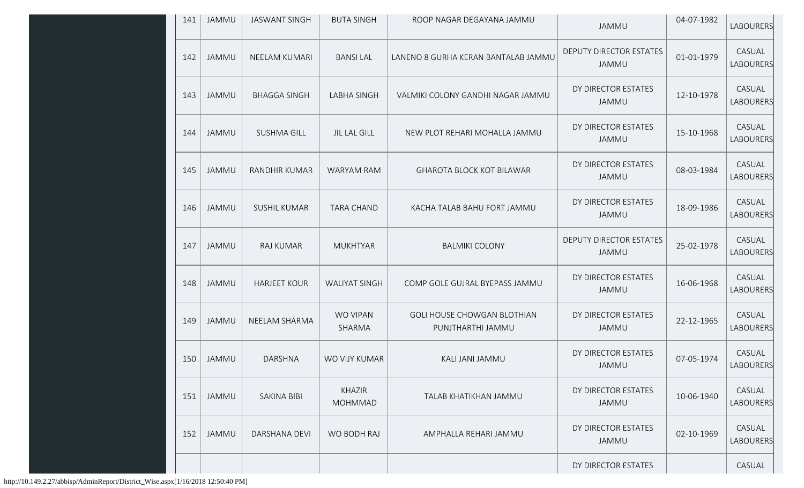| 141 | JAMMU        | <b>JASWANT SINGH</b> | <b>BUTA SINGH</b>               | ROOP NAGAR DEGAYANA JAMMU                               | <b>JAMMU</b>                            | 04-07-1982 | <b>LABOURERS</b>           |
|-----|--------------|----------------------|---------------------------------|---------------------------------------------------------|-----------------------------------------|------------|----------------------------|
| 142 | JAMMU        | NEELAM KUMARI        | <b>BANSILAL</b>                 | LANENO 8 GURHA KERAN BANTALAB JAMMU                     | DEPUTY DIRECTOR ESTATES<br>JAMMU        | 01-01-1979 | CASUAL<br><b>LABOURERS</b> |
| 143 | JAMMU        | <b>BHAGGA SINGH</b>  | <b>LABHA SINGH</b>              | VALMIKI COLONY GANDHI NAGAR JAMMU                       | DY DIRECTOR ESTATES<br>JAMMU            | 12-10-1978 | CASUAL<br>LABOURERS        |
| 144 | <b>JAMMU</b> | <b>SUSHMA GILL</b>   | <b>JIL LAL GILL</b>             | NEW PLOT REHARI MOHALLA JAMMU                           | DY DIRECTOR ESTATES<br>JAMMU            | 15-10-1968 | CASUAL<br><b>LABOURERS</b> |
| 145 | <b>JAMMU</b> | RANDHIR KUMAR        | <b>WARYAM RAM</b>               | <b>GHAROTA BLOCK KOT BILAWAR</b>                        | DY DIRECTOR ESTATES<br>JAMMU            | 08-03-1984 | CASUAL<br><b>LABOURERS</b> |
| 146 | <b>JAMMU</b> | <b>SUSHIL KUMAR</b>  | <b>TARA CHAND</b>               | KACHA TALAB BAHU FORT JAMMU                             | DY DIRECTOR ESTATES<br>JAMMU            | 18-09-1986 | CASUAL<br><b>LABOURERS</b> |
| 147 | <b>JAMMU</b> | RAJ KUMAR            | <b>MUKHTYAR</b>                 | <b>BALMIKI COLONY</b>                                   | <b>DEPUTY DIRECTOR ESTATES</b><br>JAMMU | 25-02-1978 | CASUAL<br>LABOURERS        |
| 148 | <b>JAMMU</b> | <b>HARJEET KOUR</b>  | <b>WALIYAT SINGH</b>            | COMP GOLE GUJRAL BYEPASS JAMMU                          | DY DIRECTOR ESTATES<br>JAMMU            | 16-06-1968 | CASUAL<br>LABOURERS        |
| 149 | <b>JAMMU</b> | NEELAM SHARMA        | WO VIPAN<br>SHARMA              | <b>GOLI HOUSE CHOWGAN BLOTHIAN</b><br>PUNJTHARTHI JAMMU | DY DIRECTOR ESTATES<br>JAMMU            | 22-12-1965 | CASUAL<br><b>LABOURERS</b> |
| 150 | JAMMU        | <b>DARSHNA</b>       | WO VIJY KUMAR                   | KALI JANI JAMMU                                         | DY DIRECTOR ESTATES<br>JAMMU            | 07-05-1974 | CASUAL<br>LABOURERS        |
| 151 | JAMMU        | <b>SAKINA BIBI</b>   | <b>KHAZIR</b><br><b>MOHMMAD</b> | TALAB KHATIKHAN JAMMU                                   | DY DIRECTOR ESTATES<br><b>JAMMU</b>     | 10-06-1940 | CASUAL<br><b>LABOURERS</b> |
| 152 | <b>JAMMU</b> | <b>DARSHANA DEVI</b> | WO BODH RAJ                     | AMPHALLA REHARI JAMMU                                   | DY DIRECTOR ESTATES<br>JAMMU            | 02-10-1969 | CASUAL<br><b>LABOURERS</b> |
|     |              |                      |                                 |                                                         | DY DIRECTOR ESTATES                     |            | CASUAL                     |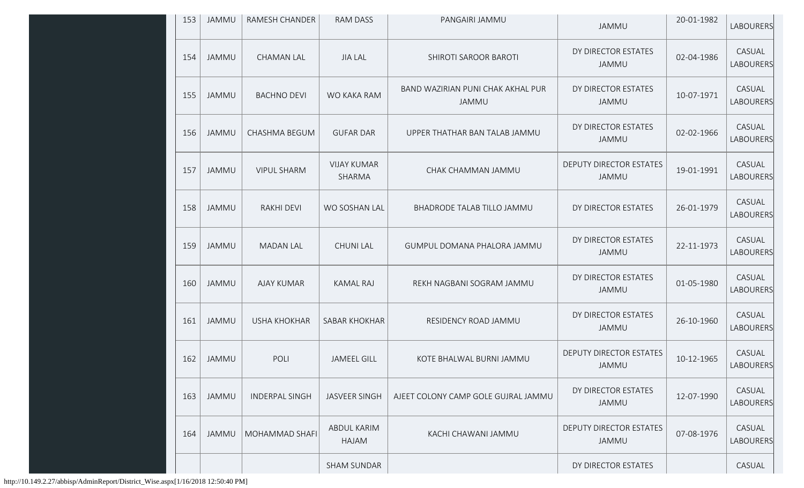| 153 | JAMMU        | RAMESH CHANDER        | <b>RAM DASS</b>              | PANGAIRI JAMMU                             | JAMMU                                   | 20-01-1982 | <b>LABOURERS</b>           |
|-----|--------------|-----------------------|------------------------------|--------------------------------------------|-----------------------------------------|------------|----------------------------|
| 154 | JAMMU        | <b>CHAMAN LAL</b>     | <b>JIA LAL</b>               | SHIROTI SAROOR BAROTI                      | DY DIRECTOR ESTATES<br>JAMMU            | 02-04-1986 | CASUAL<br><b>LABOURERS</b> |
| 155 | JAMMU        | <b>BACHNO DEVI</b>    | WO KAKA RAM                  | BAND WAZIRIAN PUNI CHAK AKHAL PUR<br>JAMMU | DY DIRECTOR ESTATES<br>JAMMU            | 10-07-1971 | CASUAL<br>LABOURERS        |
| 156 | <b>JAMMU</b> | CHASHMA BEGUM         | <b>GUFAR DAR</b>             | UPPER THATHAR BAN TALAB JAMMU              | DY DIRECTOR ESTATES<br>JAMMU            | 02-02-1966 | CASUAL<br><b>LABOURERS</b> |
| 157 | JAMMU        | <b>VIPUL SHARM</b>    | <b>VIJAY KUMAR</b><br>SHARMA | CHAK CHAMMAN JAMMU                         | DEPUTY DIRECTOR ESTATES<br><b>JAMMU</b> | 19-01-1991 | CASUAL<br><b>LABOURERS</b> |
| 158 | JAMMU        | <b>RAKHI DEVI</b>     | WO SOSHAN LAL                | BHADRODE TALAB TILLO JAMMU                 | DY DIRECTOR ESTATES                     | 26-01-1979 | CASUAL<br><b>LABOURERS</b> |
| 159 | <b>JAMMU</b> | <b>MADAN LAL</b>      | <b>CHUNI LAL</b>             | GUMPUL DOMANA PHALORA JAMMU                | DY DIRECTOR ESTATES<br>JAMMU            | 22-11-1973 | CASUAL<br>LABOURERS        |
| 160 | JAMMU        | <b>AJAY KUMAR</b>     | <b>KAMAL RAJ</b>             | REKH NAGBANI SOGRAM JAMMU                  | DY DIRECTOR ESTATES<br>JAMMU            | 01-05-1980 | CASUAL<br>LABOURERS        |
| 161 | JAMMU        | <b>USHA KHOKHAR</b>   | <b>SABAR KHOKHAR</b>         | RESIDENCY ROAD JAMMU                       | DY DIRECTOR ESTATES<br>JAMMU            | 26-10-1960 | CASUAL<br>LABOURERS        |
| 162 | JAMMU        | POLI                  | <b>JAMEEL GILL</b>           | KOTE BHALWAL BURNI JAMMU                   | <b>DEPUTY DIRECTOR ESTATES</b><br>JAMMU | 10-12-1965 | CASUAL<br>LABOURERS        |
| 163 | JAMMU        | <b>INDERPAL SINGH</b> | <b>JASVEER SINGH</b>         | AJEET COLONY CAMP GOLE GUJRAL JAMMU        | DY DIRECTOR ESTATES<br>JAMMU            | 12-07-1990 | CASUAL<br><b>LABOURERS</b> |
| 164 | <b>JAMMU</b> | MOHAMMAD SHAFI        | ABDUL KARIM<br>HAJAM         | KACHI CHAWANI JAMMU                        | DEPUTY DIRECTOR ESTATES<br>JAMMU        | 07-08-1976 | CASUAL<br>LABOURERS        |
|     |              |                       | SHAM SUNDAR                  |                                            | DY DIRECTOR ESTATES                     |            | CASUAL                     |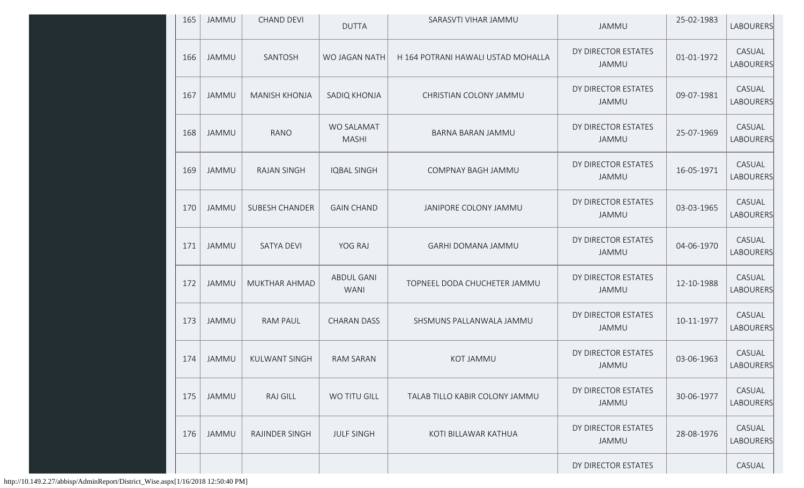| 165 | <b>JAMMU</b> | <b>CHAND DEVI</b>     | <b>DUTTA</b>                     | SARASVTI VIHAR JAMMU               | <b>JAMMU</b>                 | 25-02-1983 | LABOURERS                  |
|-----|--------------|-----------------------|----------------------------------|------------------------------------|------------------------------|------------|----------------------------|
| 166 | <b>JAMMU</b> | SANTOSH               | WO JAGAN NATH                    | H 164 POTRANI HAWALI USTAD MOHALLA | DY DIRECTOR ESTATES<br>JAMMU | 01-01-1972 | CASUAL<br>LABOURERS        |
| 167 | <b>JAMMU</b> | <b>MANISH KHONJA</b>  | SADIQ KHONJA                     | CHRISTIAN COLONY JAMMU             | DY DIRECTOR ESTATES<br>JAMMU | 09-07-1981 | CASUAL<br>LABOURERS        |
| 168 | <b>JAMMU</b> | RANO                  | WO SALAMAT<br><b>MASHI</b>       | BARNA BARAN JAMMU                  | DY DIRECTOR ESTATES<br>JAMMU | 25-07-1969 | CASUAL<br>LABOURERS        |
| 169 | <b>JAMMU</b> | <b>RAJAN SINGH</b>    | <b>IQBAL SINGH</b>               | COMPNAY BAGH JAMMU                 | DY DIRECTOR ESTATES<br>JAMMU | 16-05-1971 | CASUAL<br><b>LABOURERS</b> |
| 170 | <b>JAMMU</b> | <b>SUBESH CHANDER</b> | <b>GAIN CHAND</b>                | JANIPORE COLONY JAMMU              | DY DIRECTOR ESTATES<br>JAMMU | 03-03-1965 | CASUAL<br>LABOURERS        |
| 171 | <b>JAMMU</b> | <b>SATYA DEVI</b>     | YOG RAJ                          | GARHI DOMANA JAMMU                 | DY DIRECTOR ESTATES<br>JAMMU | 04-06-1970 | CASUAL<br>LABOURERS        |
| 172 | <b>JAMMU</b> | MUKTHAR AHMAD         | <b>ABDUL GANI</b><br><b>WANI</b> | TOPNEEL DODA CHUCHETER JAMMU       | DY DIRECTOR ESTATES<br>JAMMU | 12-10-1988 | CASUAL<br>LABOURERS        |
| 173 | <b>JAMMU</b> | RAM PAUL              | <b>CHARAN DASS</b>               | SHSMUNS PALLANWALA JAMMU           | DY DIRECTOR ESTATES<br>JAMMU | 10-11-1977 | CASUAL<br>LABOURERS        |
| 174 | <b>JAMMU</b> | <b>KULWANT SINGH</b>  | <b>RAM SARAN</b>                 | KOT JAMMU                          | DY DIRECTOR ESTATES<br>JAMMU | 03-06-1963 | CASUAL<br>LABOURERS        |
| 175 | <b>JAMMU</b> | <b>RAJ GILL</b>       | WO TITU GILL                     | TALAB TILLO KABIR COLONY JAMMU     | DY DIRECTOR ESTATES<br>JAMMU | 30-06-1977 | CASUAL<br>LABOURERS        |
| 176 | <b>JAMMU</b> | RAJINDER SINGH        | <b>JULF SINGH</b>                | KOTI BILLAWAR KATHUA               | DY DIRECTOR ESTATES<br>JAMMU | 28-08-1976 | CASUAL<br><b>LABOURERS</b> |
|     |              |                       |                                  |                                    | DY DIRECTOR ESTATES          |            | CASUAL                     |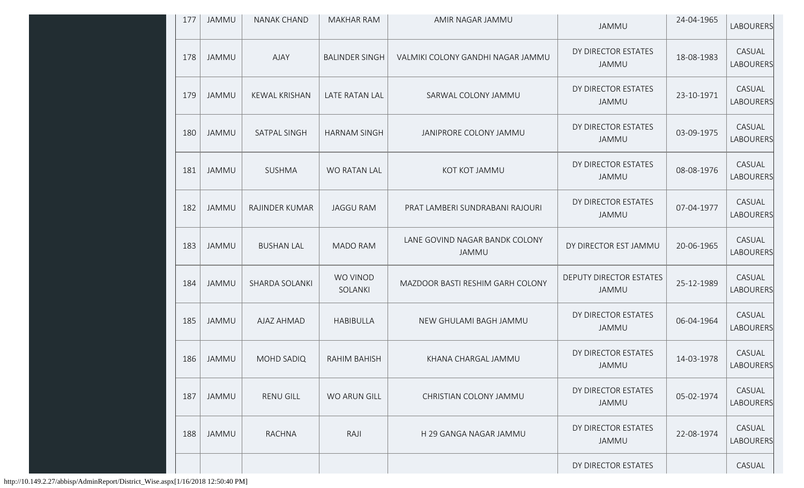| 177 | JAMMU        | NANAK CHAND           | <b>MAKHAR RAM</b>     | AMIR NAGAR JAMMU                        | JAMMU                                   | 24-04-1965 | LABOURERS           |
|-----|--------------|-----------------------|-----------------------|-----------------------------------------|-----------------------------------------|------------|---------------------|
| 178 | JAMMU        | <b>AJAY</b>           | <b>BALINDER SINGH</b> | VALMIKI COLONY GANDHI NAGAR JAMMU       | DY DIRECTOR ESTATES<br>JAMMU            | 18-08-1983 | CASUAL<br>LABOURERS |
| 179 | <b>JAMMU</b> | <b>KEWAL KRISHAN</b>  | LATE RATAN LAL        | SARWAL COLONY JAMMU                     | DY DIRECTOR ESTATES<br>JAMMU            | 23-10-1971 | CASUAL<br>LABOURERS |
| 180 | <b>JAMMU</b> | SATPAL SINGH          | <b>HARNAM SINGH</b>   | JANIPRORE COLONY JAMMU                  | DY DIRECTOR ESTATES<br>JAMMU            | 03-09-1975 | CASUAL<br>LABOURERS |
| 181 | <b>JAMMU</b> | SUSHMA                | WO RATAN LAL          | KOT KOT JAMMU                           | DY DIRECTOR ESTATES<br>JAMMU            | 08-08-1976 | CASUAL<br>LABOURERS |
| 182 | <b>JAMMU</b> | RAJINDER KUMAR        | <b>JAGGU RAM</b>      | PRAT LAMBERI SUNDRABANI RAJOURI         | DY DIRECTOR ESTATES<br>JAMMU            | 07-04-1977 | CASUAL<br>LABOURERS |
| 183 | <b>JAMMU</b> | <b>BUSHAN LAL</b>     | <b>MADO RAM</b>       | LANE GOVIND NAGAR BANDK COLONY<br>JAMMU | DY DIRECTOR EST JAMMU                   | 20-06-1965 | CASUAL<br>LABOURERS |
| 184 | <b>JAMMU</b> | <b>SHARDA SOLANKI</b> | WO VINOD<br>SOLANKI   | MAZDOOR BASTI RESHIM GARH COLONY        | <b>DEPUTY DIRECTOR ESTATES</b><br>JAMMU | 25-12-1989 | CASUAL<br>LABOURERS |
| 185 | <b>JAMMU</b> | AJAZ AHMAD            | <b>HABIBULLA</b>      | NEW GHULAMI BAGH JAMMU                  | DY DIRECTOR ESTATES<br>JAMMU            | 06-04-1964 | CASUAL<br>LABOURERS |
| 186 | <b>JAMMU</b> | MOHD SADIQ            | <b>RAHIM BAHISH</b>   | KHANA CHARGAL JAMMU                     | DY DIRECTOR ESTATES<br>JAMMU            | 14-03-1978 | CASUAL<br>LABOURERS |
| 187 | <b>JAMMU</b> | <b>RENU GILL</b>      | WO ARUN GILL          | CHRISTIAN COLONY JAMMU                  | DY DIRECTOR ESTATES<br>JAMMU            | 05-02-1974 | CASUAL<br>LABOURERS |
| 188 | <b>JAMMU</b> | <b>RACHNA</b>         | RAJI                  | H 29 GANGA NAGAR JAMMU                  | DY DIRECTOR ESTATES<br>JAMMU            | 22-08-1974 | CASUAL<br>LABOURERS |
|     |              |                       |                       |                                         | DY DIRECTOR ESTATES                     |            | CASUAL              |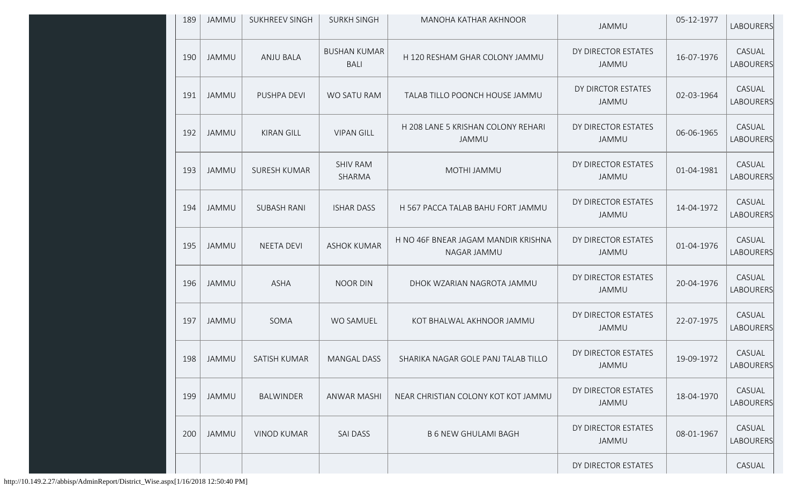| 189 | <b>JAMMU</b> | <b>SUKHREEV SINGH</b> | <b>SURKH SINGH</b>                 | MANOHA KATHAR AKHNOOR                              | JAMMU                               | 05-12-1977 | <b>LABOURERS</b>           |
|-----|--------------|-----------------------|------------------------------------|----------------------------------------------------|-------------------------------------|------------|----------------------------|
| 190 | JAMMU        | <b>ANJU BALA</b>      | <b>BUSHAN KUMAR</b><br><b>BALI</b> | H 120 RESHAM GHAR COLONY JAMMU                     | DY DIRECTOR ESTATES<br>JAMMU        | 16-07-1976 | CASUAL<br><b>LABOURERS</b> |
| 191 | <b>JAMMU</b> | PUSHPA DEVI           | WO SATU RAM                        | TALAB TILLO POONCH HOUSE JAMMU                     | DY DIRCTOR ESTATES<br>JAMMU         | 02-03-1964 | CASUAL<br><b>LABOURERS</b> |
| 192 | <b>JAMMU</b> | <b>KIRAN GILL</b>     | <b>VIPAN GILL</b>                  | H 208 LANE 5 KRISHAN COLONY REHARI<br>JAMMU        | DY DIRECTOR ESTATES<br>JAMMU        | 06-06-1965 | CASUAL<br><b>LABOURERS</b> |
| 193 | <b>JAMMU</b> | <b>SURESH KUMAR</b>   | <b>SHIV RAM</b><br>SHARMA          | MOTHI JAMMU                                        | DY DIRECTOR ESTATES<br>JAMMU        | 01-04-1981 | CASUAL<br><b>LABOURERS</b> |
| 194 | JAMMU        | <b>SUBASH RANI</b>    | <b>ISHAR DASS</b>                  | H 567 PACCA TALAB BAHU FORT JAMMU                  | DY DIRECTOR ESTATES<br><b>JAMMU</b> | 14-04-1972 | CASUAL<br><b>LABOURERS</b> |
| 195 | JAMMU        | <b>NEETA DEVI</b>     | <b>ASHOK KUMAR</b>                 | H NO 46F BNEAR JAGAM MANDIR KRISHNA<br>NAGAR JAMMU | DY DIRECTOR ESTATES<br>JAMMU        | 01-04-1976 | CASUAL<br><b>LABOURERS</b> |
| 196 | <b>JAMMU</b> | <b>ASHA</b>           | <b>NOOR DIN</b>                    | DHOK WZARIAN NAGROTA JAMMU                         | DY DIRECTOR ESTATES<br><b>JAMMU</b> | 20-04-1976 | CASUAL<br><b>LABOURERS</b> |
| 197 | <b>JAMMU</b> | SOMA                  | <b>WO SAMUEL</b>                   | KOT BHALWAL AKHNOOR JAMMU                          | DY DIRECTOR ESTATES<br><b>JAMMU</b> | 22-07-1975 | CASUAL<br><b>LABOURERS</b> |
| 198 | JAMMU        | SATISH KUMAR          | <b>MANGAL DASS</b>                 | SHARIKA NAGAR GOLE PANJ TALAB TILLO                | DY DIRECTOR ESTATES<br><b>JAMMU</b> | 19-09-1972 | CASUAL<br>LABOURERS        |
| 199 | JAMMU        | <b>BALWINDER</b>      | ANWAR MASHI                        | NEAR CHRISTIAN COLONY KOT KOT JAMMU                | DY DIRECTOR ESTATES<br><b>JAMMU</b> | 18-04-1970 | CASUAL<br><b>LABOURERS</b> |
| 200 | <b>JAMMU</b> | <b>VINOD KUMAR</b>    | <b>SAI DASS</b>                    | <b>B 6 NEW GHULAMI BAGH</b>                        | DY DIRECTOR ESTATES<br><b>JAMMU</b> | 08-01-1967 | CASUAL<br><b>LABOURERS</b> |
|     |              |                       |                                    |                                                    | DY DIRECTOR ESTATES                 |            | CASUAL                     |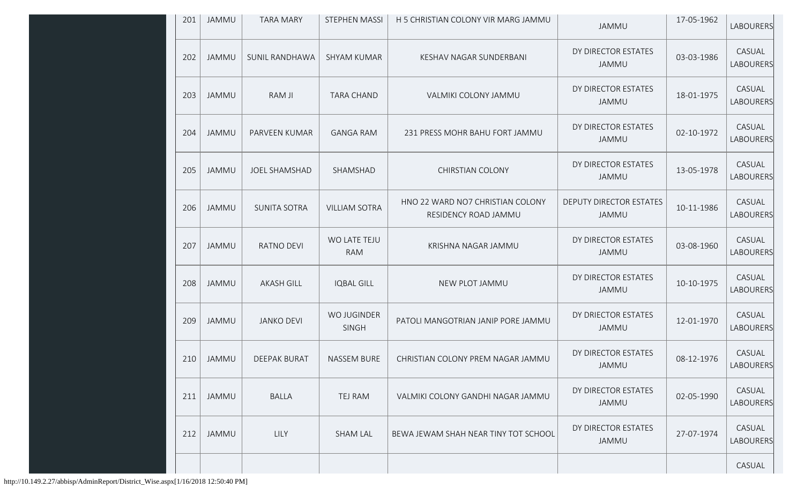| 201 | <b>JAMMU</b> | <b>TARA MARY</b>      | <b>STEPHEN MASSI</b>        | H 5 CHRISTIAN COLONY VIR MARG JAMMU                      | <b>JAMMU</b>                        | 17-05-1962 | <b>LABOURERS</b>           |
|-----|--------------|-----------------------|-----------------------------|----------------------------------------------------------|-------------------------------------|------------|----------------------------|
| 202 | <b>JAMMU</b> | <b>SUNIL RANDHAWA</b> | <b>SHYAM KUMAR</b>          | KESHAV NAGAR SUNDERBANI                                  | DY DIRECTOR ESTATES<br><b>JAMMU</b> | 03-03-1986 | CASUAL<br><b>LABOURERS</b> |
| 203 | <b>JAMMU</b> | RAM JI                | <b>TARA CHAND</b>           | VALMIKI COLONY JAMMU                                     | DY DIRECTOR ESTATES<br>JAMMU        | 18-01-1975 | CASUAL<br><b>LABOURERS</b> |
| 204 | <b>JAMMU</b> | PARVEEN KUMAR         | <b>GANGA RAM</b>            | 231 PRESS MOHR BAHU FORT JAMMU                           | DY DIRECTOR ESTATES<br>JAMMU        | 02-10-1972 | CASUAL<br><b>LABOURERS</b> |
| 205 | <b>JAMMU</b> | <b>JOEL SHAMSHAD</b>  | SHAMSHAD                    | <b>CHIRSTIAN COLONY</b>                                  | DY DIRECTOR ESTATES<br>JAMMU        | 13-05-1978 | CASUAL<br><b>LABOURERS</b> |
| 206 | JAMMU        | <b>SUNITA SOTRA</b>   | <b>VILLIAM SOTRA</b>        | HNO 22 WARD NO7 CHRISTIAN COLONY<br>RESIDENCY ROAD JAMMU | DEPUTY DIRECTOR ESTATES<br>JAMMU    | 10-11-1986 | CASUAL<br><b>LABOURERS</b> |
| 207 | <b>JAMMU</b> | <b>RATNO DEVI</b>     | WO LATE TEJU<br><b>RAM</b>  | KRISHNA NAGAR JAMMU                                      | DY DIRECTOR ESTATES<br>JAMMU        | 03-08-1960 | CASUAL<br>LABOURERS        |
| 208 | JAMMU        | <b>AKASH GILL</b>     | <b>IQBAL GILL</b>           | NEW PLOT JAMMU                                           | DY DIRECTOR ESTATES<br>JAMMU        | 10-10-1975 | CASUAL<br><b>LABOURERS</b> |
| 209 | <b>JAMMU</b> | <b>JANKO DEVI</b>     | WO JUGINDER<br><b>SINGH</b> | PATOLI MANGOTRIAN JANIP PORE JAMMU                       | DY DRIECTOR ESTATES<br>JAMMU        | 12-01-1970 | CASUAL<br>LABOURERS        |
| 210 | JAMMU        | <b>DEEPAK BURAT</b>   | <b>NASSEM BURE</b>          | CHRISTIAN COLONY PREM NAGAR JAMMU                        | DY DIRECTOR ESTATES<br>JAMMU        | 08-12-1976 | CASUAL<br>LABOURERS        |
| 211 | JAMMU        | <b>BALLA</b>          | TEJ RAM                     | VALMIKI COLONY GANDHI NAGAR JAMMU                        | DY DIRECTOR ESTATES<br>JAMMU        | 02-05-1990 | CASUAL<br><b>LABOURERS</b> |
| 212 | JAMMU        | LILY                  | <b>SHAM LAL</b>             | BEWA JEWAM SHAH NEAR TINY TOT SCHOOL                     | DY DIRECTOR ESTATES<br>JAMMU        | 27-07-1974 | CASUAL<br><b>LABOURERS</b> |
|     |              |                       |                             |                                                          |                                     |            | CASUAL                     |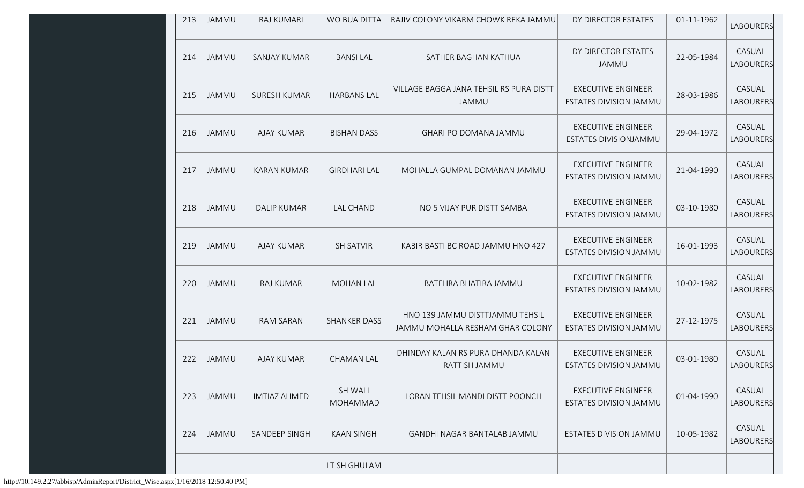| 213 | <b>JAMMU</b> | RAJ KUMARI          | WO BUA DITTA               | RAJIV COLONY VIKARM CHOWK REKA JAMMU                                | DY DIRECTOR ESTATES                                 | 01-11-1962 | <b>LABOURERS</b>           |
|-----|--------------|---------------------|----------------------------|---------------------------------------------------------------------|-----------------------------------------------------|------------|----------------------------|
| 214 | JAMMU        | <b>SANJAY KUMAR</b> | <b>BANSILAL</b>            | SATHER BAGHAN KATHUA                                                | DY DIRECTOR ESTATES<br><b>JAMMU</b>                 | 22-05-1984 | CASUAL<br>LABOURERS        |
| 215 | JAMMU        | <b>SURESH KUMAR</b> | <b>HARBANS LAL</b>         | VILLAGE BAGGA JANA TEHSIL RS PURA DISTT<br>JAMMU                    | <b>EXECUTIVE ENGINEER</b><br>ESTATES DIVISION JAMMU | 28-03-1986 | CASUAL<br><b>LABOURERS</b> |
| 216 | JAMMU        | <b>AJAY KUMAR</b>   | <b>BISHAN DASS</b>         | GHARI PO DOMANA JAMMU                                               | <b>EXECUTIVE ENGINEER</b><br>ESTATES DIVISIONJAMMU  | 29-04-1972 | CASUAL<br>LABOURERS        |
| 217 | <b>JAMMU</b> | <b>KARAN KUMAR</b>  | <b>GIRDHARI LAL</b>        | MOHALLA GUMPAL DOMANAN JAMMU                                        | <b>EXECUTIVE ENGINEER</b><br>ESTATES DIVISION JAMMU | 21-04-1990 | CASUAL<br><b>LABOURERS</b> |
| 218 | JAMMU        | <b>DALIP KUMAR</b>  | <b>LAL CHAND</b>           | NO 5 VIJAY PUR DISTT SAMBA                                          | <b>EXECUTIVE ENGINEER</b><br>ESTATES DIVISION JAMMU | 03-10-1980 | CASUAL<br><b>LABOURERS</b> |
| 219 | <b>JAMMU</b> | <b>AJAY KUMAR</b>   | <b>SH SATVIR</b>           | KABIR BASTI BC ROAD JAMMU HNO 427                                   | <b>EXECUTIVE ENGINEER</b><br>ESTATES DIVISION JAMMU | 16-01-1993 | CASUAL<br><b>LABOURERS</b> |
| 220 | JAMMU        | <b>RAJ KUMAR</b>    | <b>MOHAN LAL</b>           | BATEHRA BHATIRA JAMMU                                               | <b>EXECUTIVE ENGINEER</b><br>ESTATES DIVISION JAMMU | 10-02-1982 | CASUAL<br>LABOURERS        |
| 221 | <b>JAMMU</b> | <b>RAM SARAN</b>    | <b>SHANKER DASS</b>        | HNO 139 JAMMU DISTTJAMMU TEHSIL<br>JAMMU MOHALLA RESHAM GHAR COLONY | <b>EXECUTIVE ENGINEER</b><br>ESTATES DIVISION JAMMU | 27-12-1975 | CASUAL<br><b>LABOURERS</b> |
| 222 | JAMMU        | <b>AJAY KUMAR</b>   | <b>CHAMAN LAL</b>          | DHINDAY KALAN RS PURA DHANDA KALAN<br>RATTISH JAMMU                 | <b>EXECUTIVE ENGINEER</b><br>ESTATES DIVISION JAMMU | 03-01-1980 | CASUAL<br>LABOURERS        |
| 223 | JAMMU        | <b>IMTIAZ AHMED</b> | <b>SH WALI</b><br>MOHAMMAD | LORAN TEHSIL MANDI DISTT POONCH                                     | <b>EXECUTIVE ENGINEER</b><br>ESTATES DIVISION JAMMU | 01-04-1990 | CASUAL<br><b>LABOURERS</b> |
| 224 | <b>JAMMU</b> | SANDEEP SINGH       | <b>KAAN SINGH</b>          | GANDHI NAGAR BANTALAB JAMMU                                         | ESTATES DIVISION JAMMU                              | 10-05-1982 | CASUAL<br>LABOURERS        |
|     |              |                     | LT SH GHULAM               |                                                                     |                                                     |            |                            |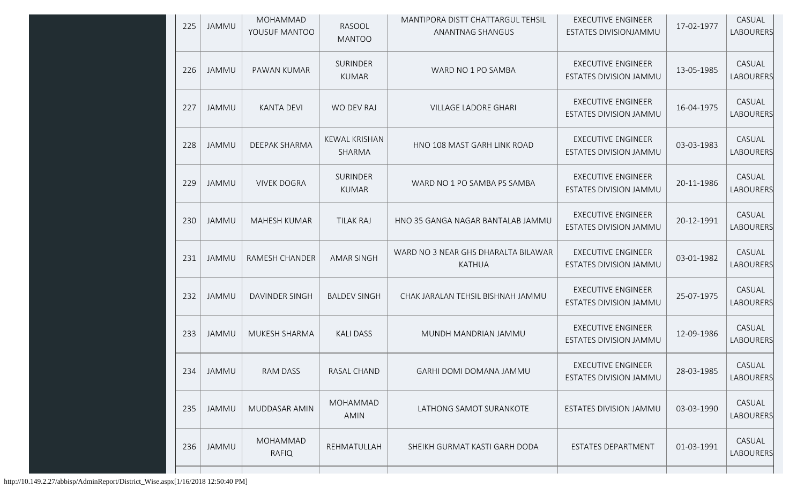| 225 | <b>JAMMU</b> | MOHAMMAD<br>YOUSUF MANTOO | RASOOL<br><b>MANTOO</b>         | MANTIPORA DISTT CHATTARGUL TEHSIL<br>ANANTNAG SHANGUS | <b>EXECUTIVE ENGINEER</b><br>ESTATES DIVISIONJAMMU         | 17-02-1977 | CASUAL<br>LABOURERS        |
|-----|--------------|---------------------------|---------------------------------|-------------------------------------------------------|------------------------------------------------------------|------------|----------------------------|
| 226 | JAMMU        | PAWAN KUMAR               | <b>SURINDER</b><br><b>KUMAR</b> | WARD NO 1 PO SAMBA                                    | <b>EXECUTIVE ENGINEER</b><br>ESTATES DIVISION JAMMU        | 13-05-1985 | CASUAL<br>LABOURERS        |
| 227 | JAMMU        | <b>KANTA DEVI</b>         | <b>WO DEV RAJ</b>               | <b>VILLAGE LADORE GHARI</b>                           | <b>EXECUTIVE ENGINEER</b><br>ESTATES DIVISION JAMMU        | 16-04-1975 | CASUAL<br>LABOURERS        |
| 228 | JAMMU        | DEEPAK SHARMA             | <b>KEWAL KRISHAN</b><br>SHARMA  | HNO 108 MAST GARH LINK ROAD                           | <b>EXECUTIVE ENGINEER</b><br>ESTATES DIVISION JAMMU        | 03-03-1983 | CASUAL<br>LABOURERS        |
| 229 | <b>JAMMU</b> | <b>VIVEK DOGRA</b>        | <b>SURINDER</b><br><b>KUMAR</b> | WARD NO 1 PO SAMBA PS SAMBA                           | <b>EXECUTIVE ENGINEER</b><br><b>ESTATES DIVISION JAMMU</b> | 20-11-1986 | CASUAL<br>LABOURERS        |
| 230 | <b>JAMMU</b> | MAHESH KUMAR              | <b>TILAK RAJ</b>                | HNO 35 GANGA NAGAR BANTALAB JAMMU                     | <b>EXECUTIVE ENGINEER</b><br>ESTATES DIVISION JAMMU        | 20-12-1991 | CASUAL<br><b>LABOURERS</b> |
| 231 | JAMMU        | RAMESH CHANDER            | <b>AMAR SINGH</b>               | WARD NO 3 NEAR GHS DHARALTA BILAWAR<br><b>KATHUA</b>  | <b>EXECUTIVE ENGINEER</b><br>ESTATES DIVISION JAMMU        | 03-01-1982 | CASUAL<br>LABOURERS        |
| 232 | <b>JAMMU</b> | DAVINDER SINGH            | <b>BALDEV SINGH</b>             | CHAK JARALAN TEHSIL BISHNAH JAMMU                     | <b>EXECUTIVE ENGINEER</b><br>ESTATES DIVISION JAMMU        | 25-07-1975 | CASUAL<br>LABOURERS        |
| 233 | <b>JAMMU</b> | MUKESH SHARMA             | <b>KALI DASS</b>                | MUNDH MANDRIAN JAMMU                                  | <b>EXECUTIVE ENGINEER</b><br>ESTATES DIVISION JAMMU        | 12-09-1986 | CASUAL<br><b>LABOURERS</b> |
| 234 | JAMMU        | RAM DASS                  | RASAL CHAND                     | GARHI DOMI DOMANA JAMMU                               | <b>EXECUTIVE ENGINEER</b><br>ESTATES DIVISION JAMMU        | 28-03-1985 | CASUAL<br>LABOURERS        |
| 235 | <b>JAMMU</b> | MUDDASAR AMIN             | MOHAMMAD<br>AMIN                | LATHONG SAMOT SURANKOTE                               | ESTATES DIVISION JAMMU                                     | 03-03-1990 | CASUAL<br>LABOURERS        |
| 236 | <b>JAMMU</b> | MOHAMMAD<br><b>RAFIQ</b>  | REHMATULLAH                     | SHEIKH GURMAT KASTI GARH DODA                         | ESTATES DEPARTMENT                                         | 01-03-1991 | CASUAL<br>LABOURERS        |
|     |              |                           |                                 |                                                       |                                                            |            |                            |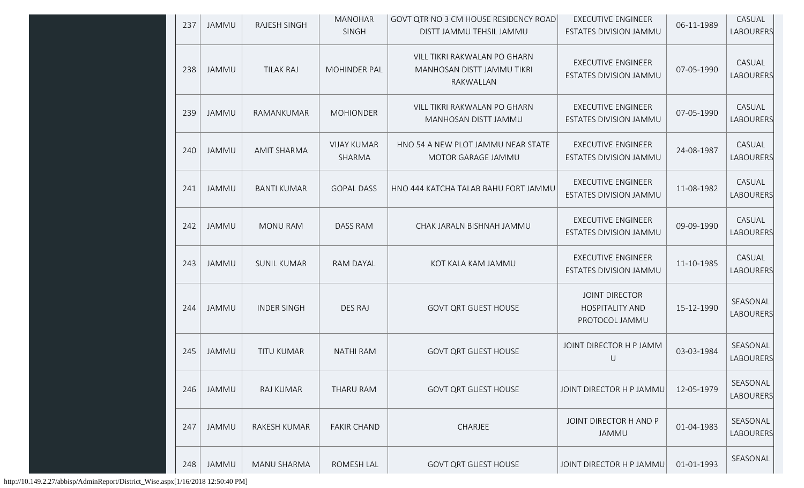| 237 | <b>JAMMU</b> | <b>RAJESH SINGH</b> | <b>MANOHAR</b><br>SINGH      | GOVT QTR NO 3 CM HOUSE RESIDENCY ROAD<br>DISTT JAMMU TEHSIL JAMMU       | <b>EXECUTIVE ENGINEER</b><br>ESTATES DIVISION JAMMU               | 06-11-1989 | CASUAL<br>LABOURERS        |
|-----|--------------|---------------------|------------------------------|-------------------------------------------------------------------------|-------------------------------------------------------------------|------------|----------------------------|
| 238 | <b>JAMMU</b> | <b>TILAK RAJ</b>    | <b>MOHINDER PAL</b>          | VILL TIKRI RAKWALAN PO GHARN<br>MANHOSAN DISTT JAMMU TIKRI<br>RAKWALLAN | <b>EXECUTIVE ENGINEER</b><br>ESTATES DIVISION JAMMU               | 07-05-1990 | CASUAL<br>LABOURERS        |
| 239 | <b>JAMMU</b> | RAMANKUMAR          | <b>MOHIONDER</b>             | VILL TIKRI RAKWALAN PO GHARN<br>MANHOSAN DISTT JAMMU                    | <b>EXECUTIVE ENGINEER</b><br><b>ESTATES DIVISION JAMMU</b>        | 07-05-1990 | CASUAL<br><b>LABOURERS</b> |
| 240 | <b>JAMMU</b> | <b>AMIT SHARMA</b>  | <b>VIJAY KUMAR</b><br>SHARMA | HNO 54 A NEW PLOT JAMMU NEAR STATE<br>MOTOR GARAGE JAMMU                | <b>EXECUTIVE ENGINEER</b><br>ESTATES DIVISION JAMMU               | 24-08-1987 | CASUAL<br>LABOURERS        |
| 241 | <b>JAMMU</b> | <b>BANTI KUMAR</b>  | <b>GOPAL DASS</b>            | HNO 444 KATCHA TALAB BAHU FORT JAMMU                                    | <b>EXECUTIVE ENGINEER</b><br>ESTATES DIVISION JAMMU               | 11-08-1982 | CASUAL<br>LABOURERS        |
| 242 | <b>JAMMU</b> | <b>MONU RAM</b>     | <b>DASS RAM</b>              | CHAK JARALN BISHNAH JAMMU                                               | <b>EXECUTIVE ENGINEER</b><br>ESTATES DIVISION JAMMU               | 09-09-1990 | CASUAL<br><b>LABOURERS</b> |
| 243 | JAMMU        | <b>SUNIL KUMAR</b>  | RAM DAYAL                    | KOT KALA KAM JAMMU                                                      | <b>EXECUTIVE ENGINEER</b><br>ESTATES DIVISION JAMMU               | 11-10-1985 | CASUAL<br>LABOURERS        |
| 244 | <b>JAMMU</b> | <b>INDER SINGH</b>  | DES RAJ                      | <b>GOVT QRT GUEST HOUSE</b>                                             | <b>JOINT DIRECTOR</b><br><b>HOSPITALITY AND</b><br>PROTOCOL JAMMU | 15-12-1990 | SEASONAL<br>LABOURERS      |
| 245 | <b>JAMMU</b> | <b>TITU KUMAR</b>   | <b>NATHI RAM</b>             | <b>GOVT QRT GUEST HOUSE</b>                                             | JOINT DIRECTOR H P JAMM<br>$\cup$                                 | 03-03-1984 | SEASONAL<br>LABOURERS      |
| 246 | <b>JAMMU</b> | RAJ KUMAR           | THARU RAM                    | <b>GOVT QRT GUEST HOUSE</b>                                             | JOINT DIRECTOR H P JAMMU                                          | 12-05-1979 | SEASONAL<br>LABOURERS      |
| 247 | <b>JAMMU</b> | RAKESH KUMAR        | <b>FAKIR CHAND</b>           | CHARJEE                                                                 | JOINT DIRECTOR H AND P<br>JAMMU                                   | 01-04-1983 | SEASONAL<br>LABOURERS      |
| 248 | <b>JAMMU</b> | MANU SHARMA         | ROMESH LAL                   | <b>GOVT QRT GUEST HOUSE</b>                                             | JOINT DIRECTOR H P JAMMU                                          | 01-01-1993 | SEASONAL                   |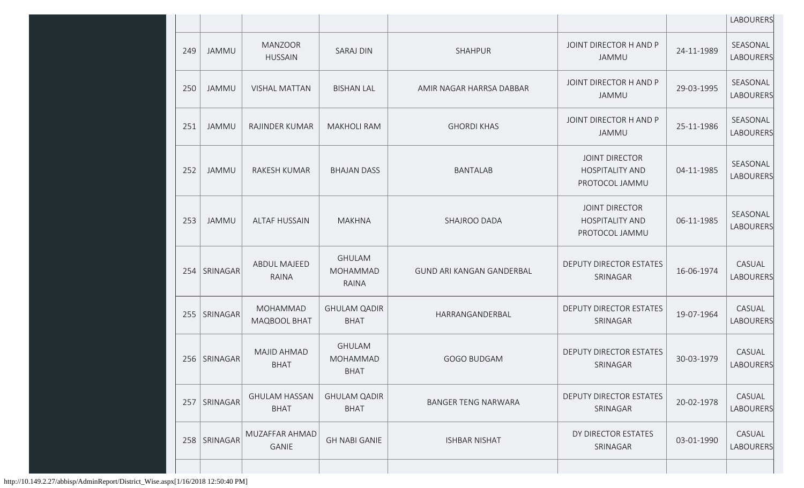|     |                |                                     |                                                  |                            |                                                                   |            | LABOURERS                    |
|-----|----------------|-------------------------------------|--------------------------------------------------|----------------------------|-------------------------------------------------------------------|------------|------------------------------|
| 249 | <b>JAMMU</b>   | <b>MANZOOR</b><br><b>HUSSAIN</b>    | <b>SARAJ DIN</b>                                 | SHAHPUR                    | JOINT DIRECTOR H AND P<br><b>JAMMU</b>                            | 24-11-1989 | SEASONAL<br><b>LABOURERS</b> |
| 250 | <b>JAMMU</b>   | <b>VISHAL MATTAN</b>                | <b>BISHAN LAL</b>                                | AMIR NAGAR HARRSA DABBAR   | JOINT DIRECTOR H AND P<br>JAMMU                                   | 29-03-1995 | SEASONAL<br>LABOURERS        |
| 251 | <b>JAMMU</b>   | RAJINDER KUMAR                      | <b>MAKHOLI RAM</b>                               | <b>GHORDI KHAS</b>         | JOINT DIRECTOR H AND P<br>JAMMU                                   | 25-11-1986 | SEASONAL<br>LABOURERS        |
| 252 | JAMMU          | RAKESH KUMAR                        | <b>BHAJAN DASS</b>                               | <b>BANTALAB</b>            | <b>JOINT DIRECTOR</b><br><b>HOSPITALITY AND</b><br>PROTOCOL JAMMU | 04-11-1985 | SEASONAL<br>LABOURERS        |
| 253 | <b>JAMMU</b>   | <b>ALTAF HUSSAIN</b>                | <b>MAKHNA</b>                                    | SHAJROO DADA               | <b>JOINT DIRECTOR</b><br><b>HOSPITALITY AND</b><br>PROTOCOL JAMMU | 06-11-1985 | SEASONAL<br>LABOURERS        |
| 254 | SRINAGAR       | <b>ABDUL MAJEED</b><br><b>RAINA</b> | <b>GHULAM</b><br><b>MOHAMMAD</b><br><b>RAINA</b> | GUND ARI KANGAN GANDERBAL  | DEPUTY DIRECTOR ESTATES<br>SRINAGAR                               | 16-06-1974 | CASUAL<br>LABOURERS          |
| 255 | SRINAGAR       | <b>MOHAMMAD</b><br>MAQBOOL BHAT     | <b>GHULAM QADIR</b><br><b>BHAT</b>               | HARRANGANDERBAL            | DEPUTY DIRECTOR ESTATES<br>SRINAGAR                               | 19-07-1964 | CASUAL<br>LABOURERS          |
|     | 256   SRINAGAR | MAJID AHMAD<br><b>BHAT</b>          | <b>GHULAM</b><br><b>MOHAMMAD</b><br><b>BHAT</b>  | <b>GOGO BUDGAM</b>         | <b>DEPUTY DIRECTOR ESTATES</b><br>SRINAGAR                        | 30-03-1979 | CASUAL<br>LABOURERS          |
|     | 257   SRINAGAR | <b>GHULAM HASSAN</b><br><b>BHAT</b> | <b>GHULAM QADIR</b><br><b>BHAT</b>               | <b>BANGER TENG NARWARA</b> | <b>DEPUTY DIRECTOR ESTATES</b><br>SRINAGAR                        | 20-02-1978 | CASUAL<br>LABOURERS          |
| 258 | SRINAGAR       | MUZAFFAR AHMAD<br>GANIE             | <b>GH NABI GANIE</b>                             | <b>ISHBAR NISHAT</b>       | DY DIRECTOR ESTATES<br>SRINAGAR                                   | 03-01-1990 | CASUAL<br>LABOURERS          |
|     |                |                                     |                                                  |                            |                                                                   |            |                              |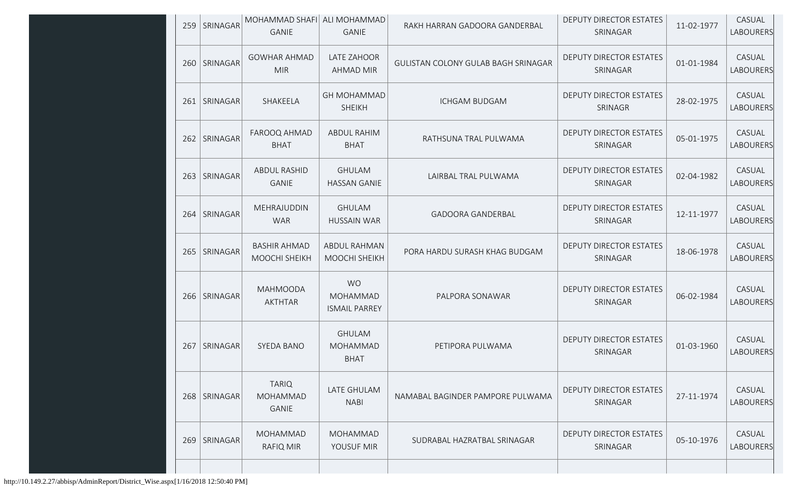| 259 | SRINAGAR        | MOHAMMAD SHAFI ALI MOHAMMAD<br><b>GANIE</b>     | <b>GANIE</b>                                  | RAKH HARRAN GADOORA GANDERBAL       | DEPUTY DIRECTOR ESTATES<br>SRINAGAR        | 11-02-1977 | CASUAL<br>LABOURERS |
|-----|-----------------|-------------------------------------------------|-----------------------------------------------|-------------------------------------|--------------------------------------------|------------|---------------------|
|     | 260   SRINAGAR  | <b>GOWHAR AHMAD</b><br><b>MIR</b>               | LATE ZAHOOR<br><b>AHMAD MIR</b>               | GULISTAN COLONY GULAB BAGH SRINAGAR | <b>DEPUTY DIRECTOR ESTATES</b><br>SRINAGAR | 01-01-1984 | CASUAL<br>LABOURERS |
|     | 261   SRINAGAR  | SHAKEELA                                        | <b>GH MOHAMMAD</b><br><b>SHEIKH</b>           | <b>ICHGAM BUDGAM</b>                | DEPUTY DIRECTOR ESTATES<br>SRINAGR         | 28-02-1975 | CASUAL<br>LABOURERS |
| 262 | SRINAGAR        | FAROOQ AHMAD<br><b>BHAT</b>                     | ABDUL RAHIM<br><b>BHAT</b>                    | RATHSUNA TRAL PULWAMA               | DEPUTY DIRECTOR ESTATES<br>SRINAGAR        | 05-01-1975 | CASUAL<br>LABOURERS |
| 263 | <b>SRINAGAR</b> | <b>ABDUL RASHID</b><br><b>GANIE</b>             | <b>GHULAM</b><br><b>HASSAN GANIE</b>          | LAIRBAL TRAL PULWAMA                | <b>DEPUTY DIRECTOR ESTATES</b><br>SRINAGAR | 02-04-1982 | CASUAL<br>LABOURERS |
| 264 | SRINAGAR        | MEHRAJUDDIN<br><b>WAR</b>                       | <b>GHULAM</b><br><b>HUSSAIN WAR</b>           | <b>GADOORA GANDERBAL</b>            | DEPUTY DIRECTOR ESTATES<br>SRINAGAR        | 12-11-1977 | CASUAL<br>LABOURERS |
|     | 265   SRINAGAR  | <b>BASHIR AHMAD</b><br><b>MOOCHI SHEIKH</b>     | ABDUL RAHMAN<br>MOOCHI SHEIKH                 | PORA HARDU SURASH KHAG BUDGAM       | <b>DEPUTY DIRECTOR ESTATES</b><br>SRINAGAR | 18-06-1978 | CASUAL<br>LABOURERS |
| 266 | SRINAGAR        | <b>MAHMOODA</b><br><b>AKTHTAR</b>               | <b>WO</b><br>MOHAMMAD<br><b>ISMAIL PARREY</b> | PALPORA SONAWAR                     | <b>DEPUTY DIRECTOR ESTATES</b><br>SRINAGAR | 06-02-1984 | CASUAL<br>LABOURERS |
| 267 | <b>SRINAGAR</b> | SYEDA BANO                                      | <b>GHULAM</b><br>MOHAMMAD<br><b>BHAT</b>      | PETIPORA PULWAMA                    | DEPUTY DIRECTOR ESTATES<br>SRINAGAR        | 01-03-1960 | CASUAL<br>LABOURERS |
|     | 268 SRINAGAR    | <b>TARIQ</b><br><b>MOHAMMAD</b><br><b>GANIE</b> | LATE GHULAM<br><b>NABI</b>                    | NAMABAL BAGINDER PAMPORE PULWAMA    | DEPUTY DIRECTOR ESTATES<br>SRINAGAR        | 27-11-1974 | CASUAL<br>LABOURERS |
| 269 | <b>SRINAGAR</b> | MOHAMMAD<br><b>RAFIQ MIR</b>                    | <b>MOHAMMAD</b><br>YOUSUF MIR                 | SUDRABAL HAZRATBAL SRINAGAR         | DEPUTY DIRECTOR ESTATES<br>SRINAGAR        | 05-10-1976 | CASUAL<br>LABOURERS |
|     |                 |                                                 |                                               |                                     |                                            |            |                     |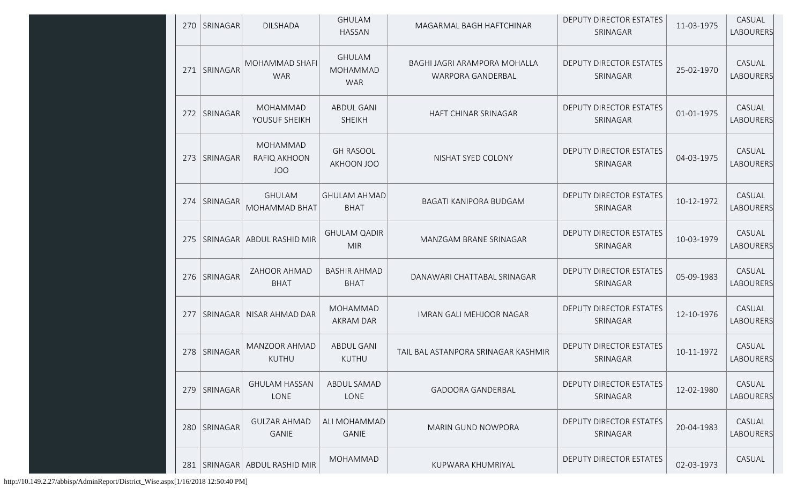| 270   | SRINAGAR       | <b>DILSHADA</b>                        | <b>GHULAM</b><br><b>HASSAN</b>                 | MAGARMAL BAGH HAFTCHINAR                          | DEPUTY DIRECTOR ESTATES<br>SRINAGAR        | 11-03-1975 | CASUAL<br>LABOURERS        |
|-------|----------------|----------------------------------------|------------------------------------------------|---------------------------------------------------|--------------------------------------------|------------|----------------------------|
|       | 271   SRINAGAR | MOHAMMAD SHAFI<br><b>WAR</b>           | <b>GHULAM</b><br><b>MOHAMMAD</b><br><b>WAR</b> | BAGHI JAGRI ARAMPORA MOHALLA<br>WARPORA GANDERBAL | <b>DEPUTY DIRECTOR ESTATES</b><br>SRINAGAR | 25-02-1970 | CASUAL<br>LABOURERS        |
| 2721  | SRINAGAR       | MOHAMMAD<br>YOUSUF SHEIKH              | <b>ABDUL GANI</b><br><b>SHEIKH</b>             | HAFT CHINAR SRINAGAR                              | DEPUTY DIRECTOR ESTATES<br>SRINAGAR        | 01-01-1975 | CASUAL<br>LABOURERS        |
|       | 273   SRINAGAR | MOHAMMAD<br>RAFIQ AKHOON<br><b>JOO</b> | <b>GH RASOOL</b><br>AKHOON JOO                 | NISHAT SYED COLONY                                | DEPUTY DIRECTOR ESTATES<br>SRINAGAR        | 04-03-1975 | CASUAL<br>LABOURERS        |
|       | 274   SRINAGAR | <b>GHULAM</b><br>MOHAMMAD BHAT         | <b>GHULAM AHMAD</b><br><b>BHAT</b>             | BAGATI KANIPORA BUDGAM                            | DEPUTY DIRECTOR ESTATES<br>SRINAGAR        | 10-12-1972 | CASUAL<br><b>LABOURERS</b> |
| $275$ |                | SRINAGAR ABDUL RASHID MIR              | <b>GHULAM QADIR</b><br><b>MIR</b>              | MANZGAM BRANE SRINAGAR                            | DEPUTY DIRECTOR ESTATES<br>SRINAGAR        | 10-03-1979 | CASUAL<br>LABOURERS        |
| 276   | SRINAGAR       | ZAHOOR AHMAD<br><b>BHAT</b>            | <b>BASHIR AHMAD</b><br><b>BHAT</b>             | DANAWARI CHATTABAL SRINAGAR                       | DEPUTY DIRECTOR ESTATES<br>SRINAGAR        | 05-09-1983 | CASUAL<br>LABOURERS        |
| 277   | SRINAGAR       | NISAR AHMAD DAR                        | <b>MOHAMMAD</b><br><b>AKRAM DAR</b>            | <b>IMRAN GALI MEHJOOR NAGAR</b>                   | DEPUTY DIRECTOR ESTATES<br>SRINAGAR        | 12-10-1976 | CASUAL<br>LABOURERS        |
| 278   | SRINAGAR       | MANZOOR AHMAD<br><b>KUTHU</b>          | <b>ABDUL GANI</b><br><b>KUTHU</b>              | TAIL BAL ASTANPORA SRINAGAR KASHMIR               | DEPUTY DIRECTOR ESTATES<br>SRINAGAR        | 10-11-1972 | CASUAL<br>LABOURERS        |
| 279   | SRINAGAR       | <b>GHULAM HASSAN</b><br>LONE           | ABDUL SAMAD<br>LONE                            | <b>GADOORA GANDERBAL</b>                          | <b>DEPUTY DIRECTOR ESTATES</b><br>SRINAGAR | 12-02-1980 | CASUAL<br>LABOURERS        |
|       | 280 SRINAGAR   | <b>GULZAR AHMAD</b><br>GANIE           | ALI MOHAMMAD<br><b>GANIE</b>                   | <b>MARIN GUND NOWPORA</b>                         | <b>DEPUTY DIRECTOR ESTATES</b><br>SRINAGAR | 20-04-1983 | CASUAL<br>LABOURERS        |
|       |                | 281   SRINAGAR   ABDUL RASHID MIR      | <b>MOHAMMAD</b>                                | KUPWARA KHUMRIYAL                                 | DEPUTY DIRECTOR ESTATES                    | 02-03-1973 | CASUAL                     |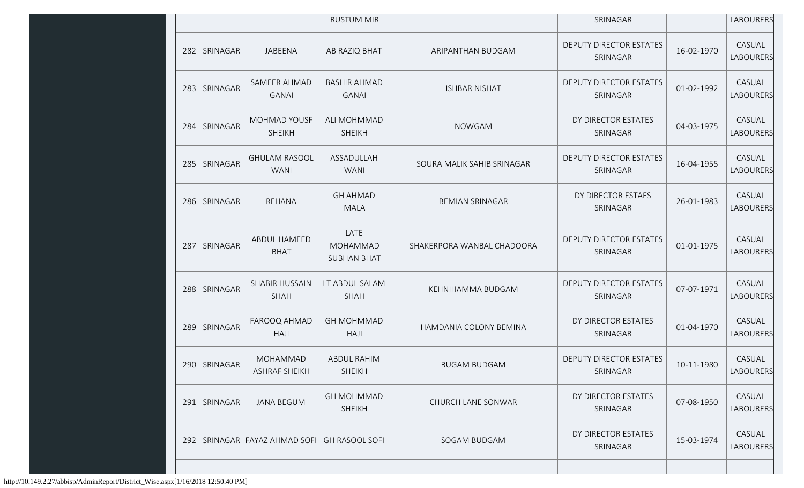|     |                |                                      | <b>RUSTUM MIR</b>                      |                            | SRINAGAR                                   |            | <b>LABOURERS</b>           |
|-----|----------------|--------------------------------------|----------------------------------------|----------------------------|--------------------------------------------|------------|----------------------------|
|     | 282   SRINAGAR | JABEENA                              | AB RAZIQ BHAT                          | ARIPANTHAN BUDGAM          | DEPUTY DIRECTOR ESTATES<br>SRINAGAR        | 16-02-1970 | CASUAL<br>LABOURERS        |
|     | 283 SRINAGAR   | SAMEER AHMAD<br><b>GANAI</b>         | <b>BASHIR AHMAD</b><br><b>GANAI</b>    | <b>ISHBAR NISHAT</b>       | DEPUTY DIRECTOR ESTATES<br>SRINAGAR        | 01-02-1992 | CASUAL<br><b>LABOURERS</b> |
|     | 284 SRINAGAR   | <b>MOHMAD YOUSF</b><br><b>SHEIKH</b> | ALI MOHMMAD<br><b>SHEIKH</b>           | <b>NOWGAM</b>              | DY DIRECTOR ESTATES<br>SRINAGAR            | 04-03-1975 | CASUAL<br><b>LABOURERS</b> |
|     | 285   SRINAGAR | <b>GHULAM RASOOL</b><br><b>WANI</b>  | ASSADULLAH<br><b>WANI</b>              | SOURA MALIK SAHIB SRINAGAR | <b>DEPUTY DIRECTOR ESTATES</b><br>SRINAGAR | 16-04-1955 | CASUAL<br>LABOURERS        |
|     | 286   SRINAGAR | REHANA                               | <b>GH AHMAD</b><br><b>MALA</b>         | <b>BEMIAN SRINAGAR</b>     | DY DIRECTOR ESTAES<br>SRINAGAR             | 26-01-1983 | CASUAL<br>LABOURERS        |
| 287 | SRINAGAR       | ABDUL HAMEED<br><b>BHAT</b>          | LATE<br>MOHAMMAD<br><b>SUBHAN BHAT</b> | SHAKERPORA WANBAL CHADOORA | DEPUTY DIRECTOR ESTATES<br>SRINAGAR        | 01-01-1975 | CASUAL<br>LABOURERS        |
|     | 288 SRINAGAR   | SHABIR HUSSAIN<br>SHAH               | LT ABDUL SALAM<br>SHAH                 | KEHNIHAMMA BUDGAM          | DEPUTY DIRECTOR ESTATES<br>SRINAGAR        | 07-07-1971 | CASUAL<br><b>LABOURERS</b> |
| 289 | SRINAGAR       | FAROOQ AHMAD<br><b>HAJI</b>          | <b>GH MOHMMAD</b><br><b>HAJI</b>       | HAMDANIA COLONY BEMINA     | DY DIRECTOR ESTATES<br>SRINAGAR            | 01-04-1970 | CASUAL<br><b>LABOURERS</b> |
|     | 290 SRINAGAR   | MOHAMMAD<br>ASHRAF SHEIKH            | <b>ABDUL RAHIM</b><br>SHEIKH           | <b>BUGAM BUDGAM</b>        | DEPUTY DIRECTOR ESTATES<br>SRINAGAR        | 10-11-1980 | CASUAL<br><b>LABOURERS</b> |
| 291 | SRINAGAR       | <b>JANA BEGUM</b>                    | <b>GH MOHMMAD</b><br><b>SHEIKH</b>     | CHURCH LANE SONWAR         | DY DIRECTOR ESTATES<br>SRINAGAR            | 07-08-1950 | CASUAL<br>LABOURERS        |
| 292 |                | SRINAGAR FAYAZ AHMAD SOFI            | <b>GH RASOOL SOFI</b>                  | SOGAM BUDGAM               | DY DIRECTOR ESTATES<br>SRINAGAR            | 15-03-1974 | CASUAL<br>LABOURERS        |
|     |                |                                      |                                        |                            |                                            |            |                            |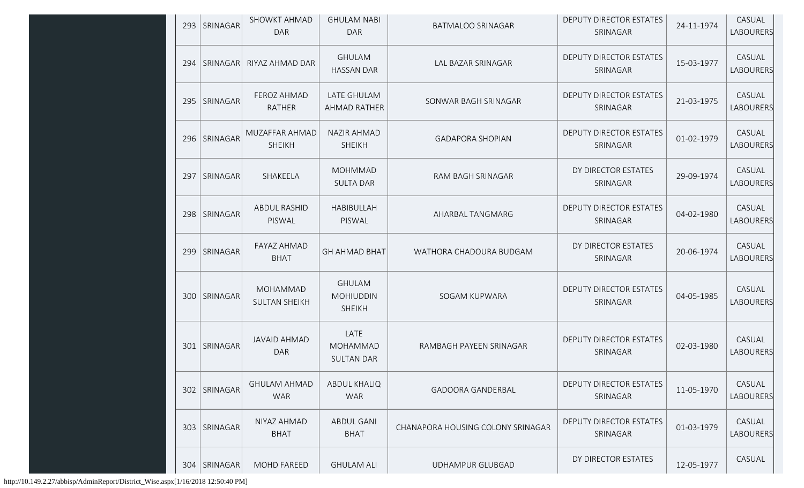| 293 | SRINAGAR        | SHOWKT AHMAD<br><b>DAR</b>        | <b>GHULAM NABI</b><br><b>DAR</b>                   | <b>BATMALOO SRINAGAR</b>          | <b>DEPUTY DIRECTOR ESTATES</b><br>SRINAGAR | 24-11-1974 | CASUAL<br>LABOURERS        |
|-----|-----------------|-----------------------------------|----------------------------------------------------|-----------------------------------|--------------------------------------------|------------|----------------------------|
| 294 | <b>SRINAGAR</b> | RIYAZ AHMAD DAR                   | <b>GHULAM</b><br><b>HASSAN DAR</b>                 | LAL BAZAR SRINAGAR                | <b>DEPUTY DIRECTOR ESTATES</b><br>SRINAGAR | 15-03-1977 | CASUAL<br><b>LABOURERS</b> |
|     | 295   SRINAGAR  | FEROZ AHMAD<br><b>RATHER</b>      | LATE GHULAM<br>AHMAD RATHER                        | SONWAR BAGH SRINAGAR              | <b>DEPUTY DIRECTOR ESTATES</b><br>SRINAGAR | 21-03-1975 | CASUAL<br>LABOURERS        |
| 296 | SRINAGAR        | MUZAFFAR AHMAD<br><b>SHEIKH</b>   | <b>NAZIR AHMAD</b><br><b>SHEIKH</b>                | <b>GADAPORA SHOPIAN</b>           | <b>DEPUTY DIRECTOR ESTATES</b><br>SRINAGAR | 01-02-1979 | CASUAL<br>LABOURERS        |
| 297 | SRINAGAR        | SHAKEELA                          | <b>MOHMMAD</b><br><b>SULTA DAR</b>                 | RAM BAGH SRINAGAR                 | DY DIRECTOR ESTATES<br>SRINAGAR            | 29-09-1974 | CASUAL<br>LABOURERS        |
| 298 | <b>SRINAGAR</b> | ABDUL RASHID<br>PISWAL            | HABIBULLAH<br>PISWAL                               | AHARBAL TANGMARG                  | <b>DEPUTY DIRECTOR ESTATES</b><br>SRINAGAR | 04-02-1980 | CASUAL<br>LABOURERS        |
| 299 | SRINAGAR        | FAYAZ AHMAD<br><b>BHAT</b>        | <b>GH AHMAD BHAT</b>                               | WATHORA CHADOURA BUDGAM           | DY DIRECTOR ESTATES<br>SRINAGAR            | 20-06-1974 | CASUAL<br>LABOURERS        |
|     | 300 SRINAGAR    | MOHAMMAD<br><b>SULTAN SHEIKH</b>  | <b>GHULAM</b><br><b>MOHIUDDIN</b><br><b>SHEIKH</b> | SOGAM KUPWARA                     | DEPUTY DIRECTOR ESTATES<br>SRINAGAR        | 04-05-1985 | CASUAL<br>LABOURERS        |
|     | 301   SRINAGAR  | <b>JAVAID AHMAD</b><br><b>DAR</b> | LATE<br><b>MOHAMMAD</b><br><b>SULTAN DAR</b>       | RAMBAGH PAYEEN SRINAGAR           | DEPUTY DIRECTOR ESTATES<br>SRINAGAR        | 02-03-1980 | CASUAL<br>LABOURERS        |
| 302 | SRINAGAR        | <b>GHULAM AHMAD</b><br><b>WAR</b> | <b>ABDUL KHALIQ</b><br><b>WAR</b>                  | <b>GADOORA GANDERBAL</b>          | <b>DEPUTY DIRECTOR ESTATES</b><br>SRINAGAR | 11-05-1970 | CASUAL<br>LABOURERS        |
|     | 303 SRINAGAR    | NIYAZ AHMAD<br><b>BHAT</b>        | <b>ABDUL GANI</b><br><b>BHAT</b>                   | CHANAPORA HOUSING COLONY SRINAGAR | DEPUTY DIRECTOR ESTATES<br>SRINAGAR        | 01-03-1979 | CASUAL<br>LABOURERS        |
| 304 | SRINAGAR        | <b>MOHD FAREED</b>                | <b>GHULAM ALI</b>                                  | <b>UDHAMPUR GLUBGAD</b>           | DY DIRECTOR ESTATES                        | 12-05-1977 | CASUAL                     |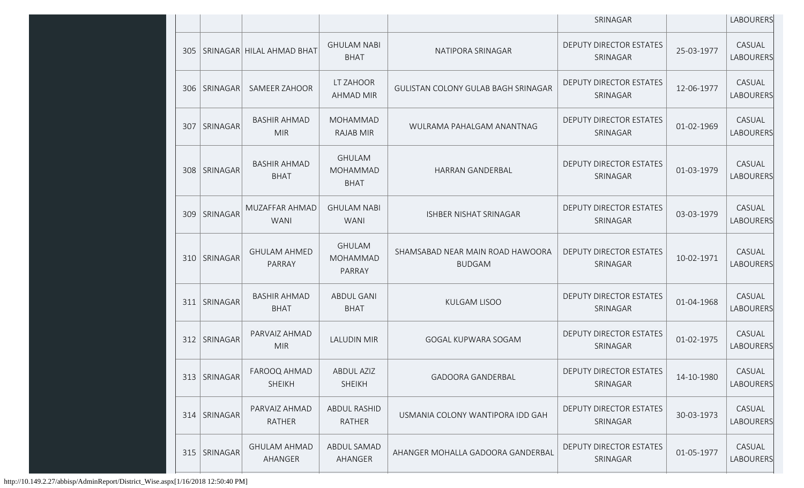|     |                 |                                    |                                                 |                                                   | SRINAGAR                                   |            | LABOURERS                  |
|-----|-----------------|------------------------------------|-------------------------------------------------|---------------------------------------------------|--------------------------------------------|------------|----------------------------|
|     |                 | 305   SRINAGAR   HILAL AHMAD BHAT  | <b>GHULAM NABI</b><br><b>BHAT</b>               | NATIPORA SRINAGAR                                 | DEPUTY DIRECTOR ESTATES<br>SRINAGAR        | 25-03-1977 | CASUAL<br><b>LABOURERS</b> |
|     | 306   SRINAGAR  | <b>SAMEER ZAHOOR</b>               | LT ZAHOOR<br><b>AHMAD MIR</b>                   | GULISTAN COLONY GULAB BAGH SRINAGAR               | DEPUTY DIRECTOR ESTATES<br>SRINAGAR        | 12-06-1977 | CASUAL<br>LABOURERS        |
| 307 | SRINAGAR        | <b>BASHIR AHMAD</b><br><b>MIR</b>  | <b>MOHAMMAD</b><br>RAJAB MIR                    | WULRAMA PAHALGAM ANANTNAG                         | <b>DEPUTY DIRECTOR ESTATES</b><br>SRINAGAR | 01-02-1969 | CASUAL<br>LABOURERS        |
| 308 | SRINAGAR        | <b>BASHIR AHMAD</b><br><b>BHAT</b> | <b>GHULAM</b><br><b>MOHAMMAD</b><br><b>BHAT</b> | <b>HARRAN GANDERBAL</b>                           | <b>DEPUTY DIRECTOR ESTATES</b><br>SRINAGAR | 01-03-1979 | CASUAL<br>LABOURERS        |
| 309 | <b>SRINAGAR</b> | MUZAFFAR AHMAD<br><b>WANI</b>      | <b>GHULAM NABI</b><br><b>WANI</b>               | ISHBER NISHAT SRINAGAR                            | DEPUTY DIRECTOR ESTATES<br>SRINAGAR        | 03-03-1979 | CASUAL<br>LABOURERS        |
|     | 310   SRINAGAR  | <b>GHULAM AHMED</b><br>PARRAY      | <b>GHULAM</b><br>MOHAMMAD<br>PARRAY             | SHAMSABAD NEAR MAIN ROAD HAWOORA<br><b>BUDGAM</b> | <b>DEPUTY DIRECTOR ESTATES</b><br>SRINAGAR | 10-02-1971 | CASUAL<br>LABOURERS        |
|     | 311   SRINAGAR  | <b>BASHIR AHMAD</b><br><b>BHAT</b> | <b>ABDUL GANI</b><br><b>BHAT</b>                | <b>KULGAM LISOO</b>                               | <b>DEPUTY DIRECTOR ESTATES</b><br>SRINAGAR | 01-04-1968 | CASUAL<br>LABOURERS        |
|     | 312   SRINAGAR  | PARVAIZ AHMAD<br><b>MIR</b>        | LALUDIN MIR                                     | GOGAL KUPWARA SOGAM                               | DEPUTY DIRECTOR ESTATES<br>SRINAGAR        | 01-02-1975 | CASUAL<br>LABOURERS        |
|     | 313   SRINAGAR  | FAROOQ AHMAD<br><b>SHEIKH</b>      | <b>ABDUL AZIZ</b><br><b>SHEIKH</b>              | <b>GADOORA GANDERBAL</b>                          | DEPUTY DIRECTOR ESTATES<br>SRINAGAR        | 14-10-1980 | CASUAL<br>LABOURERS        |
|     | 314   SRINAGAR  | PARVAIZ AHMAD<br>RATHER            | <b>ABDUL RASHID</b><br>RATHER                   | USMANIA COLONY WANTIPORA IDD GAH                  | DEPUTY DIRECTOR ESTATES<br>SRINAGAR        | 30-03-1973 | CASUAL<br><b>LABOURERS</b> |
|     | 315   SRINAGAR  | <b>GHULAM AHMAD</b><br>AHANGER     | ABDUL SAMAD<br>AHANGER                          | AHANGER MOHALLA GADOORA GANDERBAL                 | <b>DEPUTY DIRECTOR ESTATES</b><br>SRINAGAR | 01-05-1977 | CASUAL<br>LABOURERS        |
|     |                 |                                    |                                                 |                                                   |                                            |            |                            |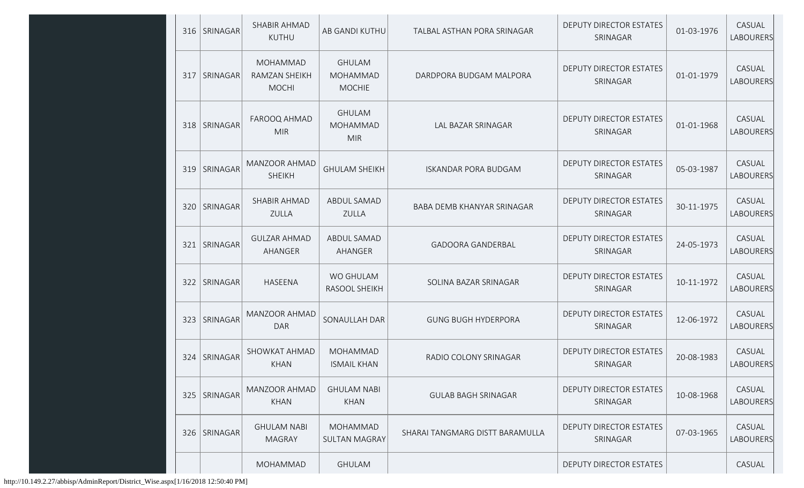|     | 316   SRINAGAR  | SHABIR AHMAD<br>KUTHU                            | AB GANDI KUTHU                                    | TALBAL ASTHAN PORA SRINAGAR     | <b>DEPUTY DIRECTOR ESTATES</b><br>SRINAGAR | 01-03-1976 | CASUAL<br>LABOURERS        |
|-----|-----------------|--------------------------------------------------|---------------------------------------------------|---------------------------------|--------------------------------------------|------------|----------------------------|
| 317 | <b>SRINAGAR</b> | <b>MOHAMMAD</b><br>RAMZAN SHEIKH<br><b>MOCHI</b> | <b>GHULAM</b><br><b>MOHAMMAD</b><br><b>MOCHIE</b> | DARDPORA BUDGAM MALPORA         | DEPUTY DIRECTOR ESTATES<br>SRINAGAR        | 01-01-1979 | CASUAL<br>LABOURERS        |
|     | 318   SRINAGAR  | FAROOQ AHMAD<br><b>MIR</b>                       | <b>GHULAM</b><br><b>MOHAMMAD</b><br><b>MIR</b>    | LAL BAZAR SRINAGAR              | DEPUTY DIRECTOR ESTATES<br>SRINAGAR        | 01-01-1968 | CASUAL<br>LABOURERS        |
| 319 | SRINAGAR        | MANZOOR AHMAD<br><b>SHEIKH</b>                   | <b>GHULAM SHEIKH</b>                              | <b>ISKANDAR PORA BUDGAM</b>     | DEPUTY DIRECTOR ESTATES<br>SRINAGAR        | 05-03-1987 | CASUAL<br><b>LABOURERS</b> |
|     | 320 SRINAGAR    | SHABIR AHMAD<br><b>ZULLA</b>                     | ABDUL SAMAD<br>ZULLA                              | BABA DEMB KHANYAR SRINAGAR      | DEPUTY DIRECTOR ESTATES<br>SRINAGAR        | 30-11-1975 | CASUAL<br><b>LABOURERS</b> |
| 321 | SRINAGAR        | <b>GULZAR AHMAD</b><br>AHANGER                   | ABDUL SAMAD<br>AHANGER                            | <b>GADOORA GANDERBAL</b>        | <b>DEPUTY DIRECTOR ESTATES</b><br>SRINAGAR | 24-05-1973 | CASUAL<br><b>LABOURERS</b> |
| 322 | <b>SRINAGAR</b> | <b>HASEENA</b>                                   | <b>WO GHULAM</b><br>RASOOL SHEIKH                 | SOLINA BAZAR SRINAGAR           | DEPUTY DIRECTOR ESTATES<br>SRINAGAR        | 10-11-1972 | CASUAL<br>LABOURERS        |
| 323 | SRINAGAR        | MANZOOR AHMAD<br><b>DAR</b>                      | SONAULLAH DAR                                     | <b>GUNG BUGH HYDERPORA</b>      | DEPUTY DIRECTOR ESTATES<br>SRINAGAR        | 12-06-1972 | CASUAL<br>LABOURERS        |
| 324 | SRINAGAR        | SHOWKAT AHMAD<br><b>KHAN</b>                     | <b>MOHAMMAD</b><br><b>ISMAIL KHAN</b>             | RADIO COLONY SRINAGAR           | DEPUTY DIRECTOR ESTATES<br>SRINAGAR        | 20-08-1983 | CASUAL<br>LABOURERS        |
| 325 | SRINAGAR        | MANZOOR AHMAD<br><b>KHAN</b>                     | <b>GHULAM NABI</b><br><b>KHAN</b>                 | <b>GULAB BAGH SRINAGAR</b>      | DEPUTY DIRECTOR ESTATES<br>SRINAGAR        | 10-08-1968 | CASUAL<br>LABOURERS        |
| 326 | SRINAGAR        | <b>GHULAM NABI</b><br><b>MAGRAY</b>              | MOHAMMAD<br><b>SULTAN MAGRAY</b>                  | SHARAI TANGMARG DISTT BARAMULLA | <b>DEPUTY DIRECTOR ESTATES</b><br>SRINAGAR | 07-03-1965 | CASUAL<br>LABOURERS        |
|     |                 | MOHAMMAD                                         | <b>GHULAM</b>                                     |                                 | DEPUTY DIRECTOR ESTATES                    |            | CASUAL                     |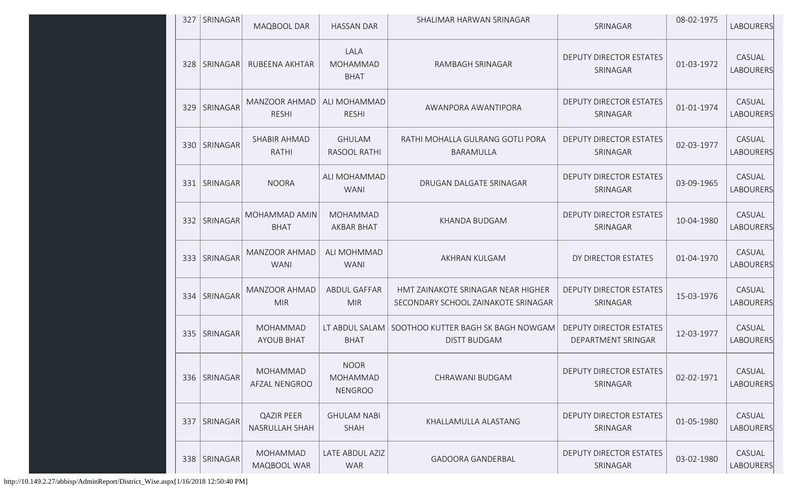| 327 | SRINAGAR       | MAQBOOL DAR                          | <b>HASSAN DAR</b>                                | SHALIMAR HARWAN SRINAGAR                                                  | SRINAGAR                                             | 08-02-1975 | LABOURERS           |
|-----|----------------|--------------------------------------|--------------------------------------------------|---------------------------------------------------------------------------|------------------------------------------------------|------------|---------------------|
| 328 | SRINAGAR       | RUBEENA AKHTAR                       | LALA<br><b>MOHAMMAD</b><br><b>BHAT</b>           | RAMBAGH SRINAGAR                                                          | <b>DEPUTY DIRECTOR ESTATES</b><br>SRINAGAR           | 01-03-1972 | CASUAL<br>LABOURERS |
| 329 | SRINAGAR       | MANZOOR AHMAD<br><b>RESHI</b>        | ALI MOHAMMAD<br><b>RESHI</b>                     | AWANPORA AWANTIPORA                                                       | <b>DEPUTY DIRECTOR ESTATES</b><br>SRINAGAR           | 01-01-1974 | CASUAL<br>LABOURERS |
|     | 330 SRINAGAR   | SHABIR AHMAD<br>RATHI                | <b>GHULAM</b><br>RASOOL RATHI                    | RATHI MOHALLA GULRANG GOTLI PORA<br>BARAMULLA                             | <b>DEPUTY DIRECTOR ESTATES</b><br>SRINAGAR           | 02-03-1977 | CASUAL<br>LABOURERS |
|     | 331   SRINAGAR | <b>NOORA</b>                         | ALI MOHAMMAD<br><b>WANI</b>                      | DRUGAN DALGATE SRINAGAR                                                   | <b>DEPUTY DIRECTOR ESTATES</b><br>SRINAGAR           | 03-09-1965 | CASUAL<br>LABOURERS |
|     | 332 SRINAGAR   | MOHAMMAD AMIN<br><b>BHAT</b>         | <b>MOHAMMAD</b><br><b>AKBAR BHAT</b>             | KHANDA BUDGAM                                                             | <b>DEPUTY DIRECTOR ESTATES</b><br>SRINAGAR           | 10-04-1980 | CASUAL<br>LABOURERS |
|     | 333   SRINAGAR | MANZOOR AHMAD<br><b>WANI</b>         | ALI MOHMMAD<br><b>WANI</b>                       | AKHRAN KULGAM                                                             | DY DIRECTOR ESTATES                                  | 01-04-1970 | CASUAL<br>LABOURERS |
| 334 | SRINAGAR       | MANZOOR AHMAD<br><b>MIR</b>          | <b>ABDUL GAFFAR</b><br><b>MIR</b>                | HMT ZAINAKOTE SRINAGAR NEAR HIGHER<br>SECONDARY SCHOOL ZAINAKOTE SRINAGAR | <b>DEPUTY DIRECTOR ESTATES</b><br>SRINAGAR           | 15-03-1976 | CASUAL<br>LABOURERS |
|     | 335   SRINAGAR | <b>MOHAMMAD</b><br><b>AYOUB BHAT</b> | LT ABDUL SALAM<br><b>BHAT</b>                    | SOOTHOO KUTTER BAGH SK BAGH NOWGAM<br><b>DISTT BUDGAM</b>                 | <b>DEPUTY DIRECTOR ESTATES</b><br>DEPARTMENT SRINGAR | 12-03-1977 | CASUAL<br>LABOURERS |
|     | 336 SRINAGAR   | MOHAMMAD<br>AFZAL NENGROO            | <b>NOOR</b><br><b>MOHAMMAD</b><br><b>NENGROO</b> | CHRAWANI BUDGAM                                                           | <b>DEPUTY DIRECTOR ESTATES</b><br>SRINAGAR           | 02-02-1971 | CASUAL<br>LABOURERS |
| 337 | SRINAGAR       | <b>QAZIR PEER</b><br>NASRULLAH SHAH  | <b>GHULAM NABI</b><br><b>SHAH</b>                | KHALLAMULLA ALASTANG                                                      | <b>DEPUTY DIRECTOR ESTATES</b><br>SRINAGAR           | 01-05-1980 | CASUAL<br>LABOURERS |
|     | 338 SRINAGAR   | MOHAMMAD<br>MAQBOOL WAR              | LATE ABDUL AZIZ<br><b>WAR</b>                    | <b>GADOORA GANDERBAL</b>                                                  | DEPUTY DIRECTOR ESTATES<br>SRINAGAR                  | 03-02-1980 | CASUAL<br>LABOURERS |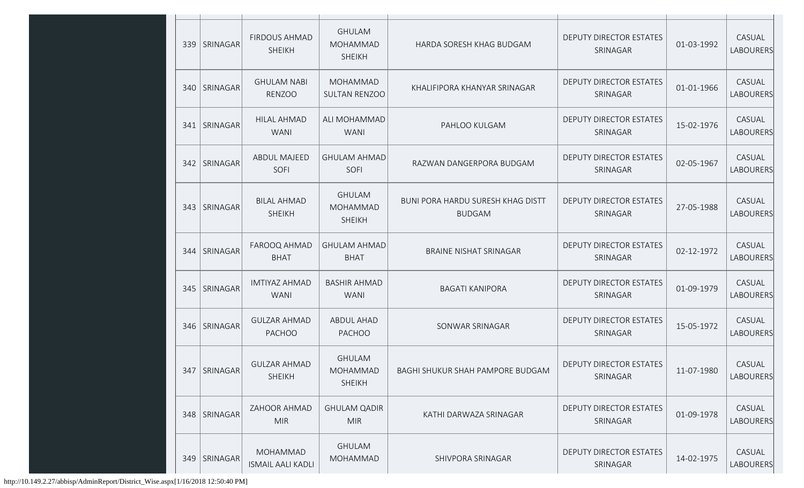| 339 | SRINAGAR       | <b>FIRDOUS AHMAD</b><br><b>SHEIKH</b> | <b>GHULAM</b><br><b>MOHAMMAD</b><br><b>SHEIKH</b> | HARDA SORESH KHAG BUDGAM                                  | DEPUTY DIRECTOR ESTATES<br>SRINAGAR        | 01-03-1992 | CASUAL<br>LABOURERS        |
|-----|----------------|---------------------------------------|---------------------------------------------------|-----------------------------------------------------------|--------------------------------------------|------------|----------------------------|
|     | 340   SRINAGAR | <b>GHULAM NABI</b><br><b>RENZOO</b>   | <b>MOHAMMAD</b><br><b>SULTAN RENZOO</b>           | KHALIFIPORA KHANYAR SRINAGAR                              | DEPUTY DIRECTOR ESTATES<br>SRINAGAR        | 01-01-1966 | CASUAL<br>LABOURERS        |
|     | 341   SRINAGAR | <b>HILAL AHMAD</b><br><b>WANI</b>     | ALI MOHAMMAD<br><b>WANI</b>                       | PAHLOO KULGAM                                             | DEPUTY DIRECTOR ESTATES<br>SRINAGAR        | 15-02-1976 | CASUAL<br>LABOURERS        |
|     | 342   SRINAGAR | <b>ABDUL MAJEED</b><br>SOFI           | <b>GHULAM AHMAD</b><br>SOFI                       | RAZWAN DANGERPORA BUDGAM                                  | DEPUTY DIRECTOR ESTATES<br>SRINAGAR        | 02-05-1967 | CASUAL<br><b>LABOURERS</b> |
| 343 | SRINAGAR       | <b>BILAL AHMAD</b><br><b>SHEIKH</b>   | <b>GHULAM</b><br><b>MOHAMMAD</b><br><b>SHEIKH</b> | <b>BUNI PORA HARDU SURESH KHAG DISTT</b><br><b>BUDGAM</b> | DEPUTY DIRECTOR ESTATES<br>SRINAGAR        | 27-05-1988 | CASUAL<br>LABOURERS        |
|     | 344 SRINAGAR   | FAROOQ AHMAD<br><b>BHAT</b>           | <b>GHULAM AHMAD</b><br><b>BHAT</b>                | <b>BRAINE NISHAT SRINAGAR</b>                             | DEPUTY DIRECTOR ESTATES<br>SRINAGAR        | 02-12-1972 | CASUAL<br>LABOURERS        |
|     | 345   SRINAGAR | <b>IMTIYAZ AHMAD</b><br><b>WANI</b>   | <b>BASHIR AHMAD</b><br><b>WANI</b>                | <b>BAGATI KANIPORA</b>                                    | DEPUTY DIRECTOR ESTATES<br>SRINAGAR        | 01-09-1979 | CASUAL<br>LABOURERS        |
|     | 346   SRINAGAR | <b>GULZAR AHMAD</b><br><b>PACHOO</b>  | <b>ABDUL AHAD</b><br><b>PACHOO</b>                | SONWAR SRINAGAR                                           | DEPUTY DIRECTOR ESTATES<br>SRINAGAR        | 15-05-1972 | CASUAL<br>LABOURERS        |
|     | 347   SRINAGAR | <b>GULZAR AHMAD</b><br><b>SHEIKH</b>  | <b>GHULAM</b><br>MOHAMMAD<br><b>SHEIKH</b>        | BAGHI SHUKUR SHAH PAMPORE BUDGAM                          | DEPUTY DIRECTOR ESTATES<br>SRINAGAR        | 11-07-1980 | CASUAL<br>LABOURERS        |
|     | 348   SRINAGAR | ZAHOOR AHMAD<br><b>MIR</b>            | <b>GHULAM QADIR</b><br><b>MIR</b>                 | KATHI DARWAZA SRINAGAR                                    | <b>DEPUTY DIRECTOR ESTATES</b><br>SRINAGAR | 01-09-1978 | CASUAL<br>LABOURERS        |
|     | 349 SRINAGAR   | MOHAMMAD<br><b>ISMAIL AALI KADLI</b>  | <b>GHULAM</b><br>MOHAMMAD                         | SHIVPORA SRINAGAR                                         | DEPUTY DIRECTOR ESTATES<br>SRINAGAR        | 14-02-1975 | CASUAL<br>LABOURERS        |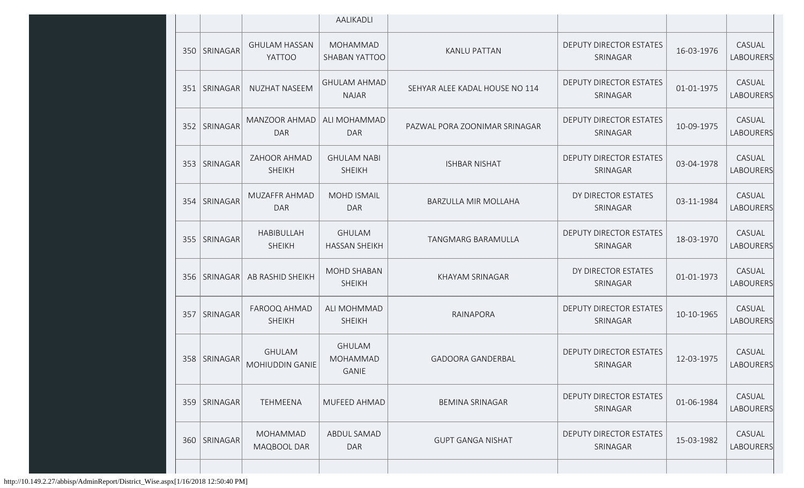|     |                |                                       | AALIKADLI                             |                                |                                            |            |                     |
|-----|----------------|---------------------------------------|---------------------------------------|--------------------------------|--------------------------------------------|------------|---------------------|
|     | 350 SRINAGAR   | <b>GHULAM HASSAN</b><br><b>YATTOO</b> | MOHAMMAD<br>SHABAN YATTOO             | <b>KANLU PATTAN</b>            | DEPUTY DIRECTOR ESTATES<br>SRINAGAR        | 16-03-1976 | CASUAL<br>LABOURERS |
|     | 351   SRINAGAR | <b>NUZHAT NASEEM</b>                  | <b>GHULAM AHMAD</b><br><b>NAJAR</b>   | SEHYAR ALEE KADAL HOUSE NO 114 | DEPUTY DIRECTOR ESTATES<br>SRINAGAR        | 01-01-1975 | CASUAL<br>LABOURERS |
| 352 | SRINAGAR       | MANZOOR AHMAD<br><b>DAR</b>           | ALI MOHAMMAD<br><b>DAR</b>            | PAZWAL PORA ZOONIMAR SRINAGAR  | DEPUTY DIRECTOR ESTATES<br>SRINAGAR        | 10-09-1975 | CASUAL<br>LABOURERS |
| 353 | SRINAGAR       | ZAHOOR AHMAD<br><b>SHEIKH</b>         | <b>GHULAM NABI</b><br><b>SHEIKH</b>   | <b>ISHBAR NISHAT</b>           | <b>DEPUTY DIRECTOR ESTATES</b><br>SRINAGAR | 03-04-1978 | CASUAL<br>LABOURERS |
| 354 | SRINAGAR       | MUZAFFR AHMAD<br><b>DAR</b>           | <b>MOHD ISMAIL</b><br><b>DAR</b>      | BARZULLA MIR MOLLAHA           | DY DIRECTOR ESTATES<br>SRINAGAR            | 03-11-1984 | CASUAL<br>LABOURERS |
|     | 355   SRINAGAR | <b>HABIBULLAH</b><br><b>SHEIKH</b>    | <b>GHULAM</b><br><b>HASSAN SHEIKH</b> | TANGMARG BARAMULLA             | <b>DEPUTY DIRECTOR ESTATES</b><br>SRINAGAR | 18-03-1970 | CASUAL<br>LABOURERS |
|     | 356   SRINAGAR | AB RASHID SHEIKH                      | MOHD SHABAN<br><b>SHEIKH</b>          | KHAYAM SRINAGAR                | DY DIRECTOR ESTATES<br>SRINAGAR            | 01-01-1973 | CASUAL<br>LABOURERS |
| 357 | SRINAGAR       | FAROOQ AHMAD<br><b>SHEIKH</b>         | ALI MOHMMAD<br><b>SHEIKH</b>          | RAINAPORA                      | <b>DEPUTY DIRECTOR ESTATES</b><br>SRINAGAR | 10-10-1965 | CASUAL<br>LABOURERS |
|     | 358 SRINAGAR   | <b>GHULAM</b><br>MOHIUDDIN GANIE      | <b>GHULAM</b><br>MOHAMMAD<br>GANIE    | <b>GADOORA GANDERBAL</b>       | <b>DEPUTY DIRECTOR ESTATES</b><br>SRINAGAR | 12-03-1975 | CASUAL<br>LABOURERS |
|     | 359   SRINAGAR | <b>TEHMEENA</b>                       | MUFEED AHMAD                          | <b>BEMINA SRINAGAR</b>         | <b>DEPUTY DIRECTOR ESTATES</b><br>SRINAGAR | 01-06-1984 | CASUAL<br>LABOURERS |
| 360 | SRINAGAR       | <b>MOHAMMAD</b><br>MAQBOOL DAR        | ABDUL SAMAD<br>DAR                    | <b>GUPT GANGA NISHAT</b>       | <b>DEPUTY DIRECTOR ESTATES</b><br>SRINAGAR | 15-03-1982 | CASUAL<br>LABOURERS |
|     |                |                                       |                                       |                                |                                            |            |                     |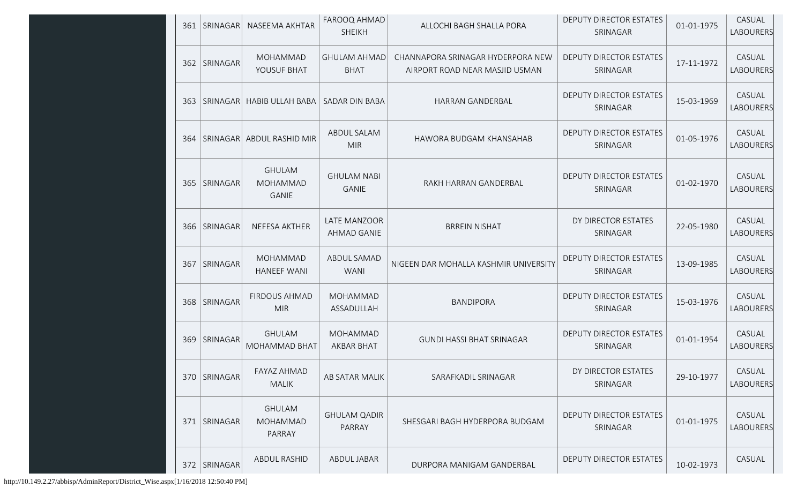|     | 361   SRINAGAR | NASEEMA AKHTAR                             | FAROOQ AHMAD<br><b>SHEIKH</b>      | ALLOCHI BAGH SHALLA PORA                                            | <b>DEPUTY DIRECTOR ESTATES</b><br>SRINAGAR | 01-01-1975 | CASUAL<br>LABOURERS        |
|-----|----------------|--------------------------------------------|------------------------------------|---------------------------------------------------------------------|--------------------------------------------|------------|----------------------------|
| 362 | SRINAGAR       | <b>MOHAMMAD</b><br>YOUSUF BHAT             | <b>GHULAM AHMAD</b><br><b>BHAT</b> | CHANNAPORA SRINAGAR HYDERPORA NEW<br>AIRPORT ROAD NEAR MASJID USMAN | <b>DEPUTY DIRECTOR ESTATES</b><br>SRINAGAR | 17-11-1972 | CASUAL<br>LABOURERS        |
|     |                | 363   SRINAGAR   HABIB ULLAH BABA          | SADAR DIN BABA                     | <b>HARRAN GANDERBAL</b>                                             | DEPUTY DIRECTOR ESTATES<br>SRINAGAR        | 15-03-1969 | CASUAL<br>LABOURERS        |
|     |                | 364   SRINAGAR   ABDUL RASHID MIR          | ABDUL SALAM<br><b>MIR</b>          | HAWORA BUDGAM KHANSAHAB                                             | DEPUTY DIRECTOR ESTATES<br>SRINAGAR        | 01-05-1976 | CASUAL<br>LABOURERS        |
|     | 365   SRINAGAR | <b>GHULAM</b><br>MOHAMMAD<br><b>GANIE</b>  | <b>GHULAM NABI</b><br><b>GANIE</b> | RAKH HARRAN GANDERBAL                                               | DEPUTY DIRECTOR ESTATES<br>SRINAGAR        | 01-02-1970 | CASUAL<br><b>LABOURERS</b> |
|     | 366   SRINAGAR | NEFESA AKTHER                              | <b>LATE MANZOOR</b><br>AHMAD GANIE | <b>BRREIN NISHAT</b>                                                | DY DIRECTOR ESTATES<br>SRINAGAR            | 22-05-1980 | CASUAL<br><b>LABOURERS</b> |
|     | 367   SRINAGAR | MOHAMMAD<br><b>HANEEF WANI</b>             | ABDUL SAMAD<br><b>WANI</b>         | NIGEEN DAR MOHALLA KASHMIR UNIVERSITY                               | DEPUTY DIRECTOR ESTATES<br>SRINAGAR        | 13-09-1985 | CASUAL<br><b>LABOURERS</b> |
|     | 368 SRINAGAR   | <b>FIRDOUS AHMAD</b><br><b>MIR</b>         | <b>MOHAMMAD</b><br>ASSADULLAH      | <b>BANDIPORA</b>                                                    | DEPUTY DIRECTOR ESTATES<br>SRINAGAR        | 15-03-1976 | CASUAL<br><b>LABOURERS</b> |
|     | 369   SRINAGAR | <b>GHULAM</b><br>MOHAMMAD BHAT             | MOHAMMAD<br>AKBAR BHAT             | <b>GUNDI HASSI BHAT SRINAGAR</b>                                    | DEPUTY DIRECTOR ESTATES<br>SRINAGAR        | 01-01-1954 | CASUAL<br><b>LABOURERS</b> |
|     | 370   SRINAGAR | FAYAZ AHMAD<br><b>MALIK</b>                | AB SATAR MALIK                     | SARAFKADIL SRINAGAR                                                 | DY DIRECTOR ESTATES<br>SRINAGAR            | 29-10-1977 | CASUAL<br><b>LABOURERS</b> |
|     | 371   SRINAGAR | <b>GHULAM</b><br><b>MOHAMMAD</b><br>PARRAY | <b>GHULAM QADIR</b><br>PARRAY      | SHESGARI BAGH HYDERPORA BUDGAM                                      | DEPUTY DIRECTOR ESTATES<br>SRINAGAR        | 01-01-1975 | CASUAL<br>LABOURERS        |
|     | 372 SRINAGAR   | <b>ABDUL RASHID</b>                        | <b>ABDUL JABAR</b>                 | DURPORA MANIGAM GANDERBAL                                           | DEPUTY DIRECTOR ESTATES                    | 10-02-1973 | CASUAL                     |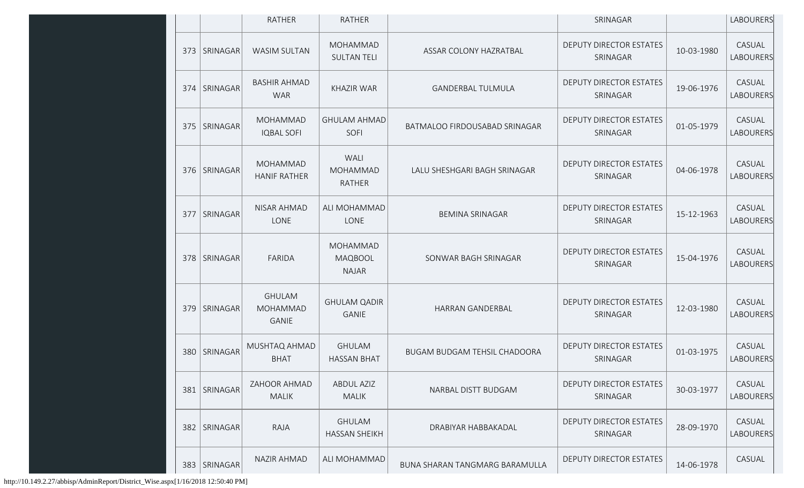|     |                | <b>RATHER</b>                             | <b>RATHER</b>                              |                                       | SRINAGAR                                   |            | <b>LABOURERS</b>    |
|-----|----------------|-------------------------------------------|--------------------------------------------|---------------------------------------|--------------------------------------------|------------|---------------------|
| 373 | SRINAGAR       | <b>WASIM SULTAN</b>                       | MOHAMMAD<br><b>SULTAN TELI</b>             | ASSAR COLONY HAZRATBAL                | DEPUTY DIRECTOR ESTATES<br>SRINAGAR        | 10-03-1980 | CASUAL<br>LABOURERS |
| 374 | SRINAGAR       | <b>BASHIR AHMAD</b><br><b>WAR</b>         | <b>KHAZIR WAR</b>                          | <b>GANDERBAL TULMULA</b>              | DEPUTY DIRECTOR ESTATES<br>SRINAGAR        | 19-06-1976 | CASUAL<br>LABOURERS |
| 375 | SRINAGAR       | MOHAMMAD<br><b>IQBAL SOFI</b>             | <b>GHULAM AHMAD</b><br>SOFI                | BATMALOO FIRDOUSABAD SRINAGAR         | <b>DEPUTY DIRECTOR ESTATES</b><br>SRINAGAR | 01-05-1979 | CASUAL<br>LABOURERS |
|     | 376   SRINAGAR | <b>MOHAMMAD</b><br><b>HANIF RATHER</b>    | WALI<br><b>MOHAMMAD</b><br><b>RATHER</b>   | LALU SHESHGARI BAGH SRINAGAR          | DEPUTY DIRECTOR ESTATES<br>SRINAGAR        | 04-06-1978 | CASUAL<br>LABOURERS |
| 377 | SRINAGAR       | NISAR AHMAD<br>LONE                       | ALI MOHAMMAD<br>LONE                       | <b>BEMINA SRINAGAR</b>                | DEPUTY DIRECTOR ESTATES<br>SRINAGAR        | 15-12-1963 | CASUAL<br>LABOURERS |
|     | 378 SRINAGAR   | FARIDA                                    | MOHAMMAD<br><b>MAQBOOL</b><br><b>NAJAR</b> | SONWAR BAGH SRINAGAR                  | DEPUTY DIRECTOR ESTATES<br>SRINAGAR        | 15-04-1976 | CASUAL<br>LABOURERS |
| 379 | SRINAGAR       | <b>GHULAM</b><br>MOHAMMAD<br><b>GANIE</b> | <b>GHULAM QADIR</b><br>GANIE               | HARRAN GANDERBAL                      | DEPUTY DIRECTOR ESTATES<br>SRINAGAR        | 12-03-1980 | CASUAL<br>LABOURERS |
| 380 | SRINAGAR       | MUSHTAQ AHMAD<br><b>BHAT</b>              | <b>GHULAM</b><br><b>HASSAN BHAT</b>        | <b>BUGAM BUDGAM TEHSIL CHADOORA</b>   | <b>DEPUTY DIRECTOR ESTATES</b><br>SRINAGAR | 01-03-1975 | CASUAL<br>LABOURERS |
|     | 381 SRINAGAR   | ZAHOOR AHMAD<br><b>MALIK</b>              | <b>ABDUL AZIZ</b><br><b>MALIK</b>          | NARBAL DISTT BUDGAM                   | <b>DEPUTY DIRECTOR ESTATES</b><br>SRINAGAR | 30-03-1977 | CASUAL<br>LABOURERS |
| 382 | SRINAGAR       | RAJA                                      | <b>GHULAM</b><br><b>HASSAN SHEIKH</b>      | DRABIYAR HABBAKADAL                   | DEPUTY DIRECTOR ESTATES<br>SRINAGAR        | 28-09-1970 | CASUAL<br>LABOURERS |
| 383 | SRINAGAR       | <b>NAZIR AHMAD</b>                        | ALI MOHAMMAD                               | <b>BUNA SHARAN TANGMARG BARAMULLA</b> | <b>DEPUTY DIRECTOR ESTATES</b>             | 14-06-1978 | CASUAL              |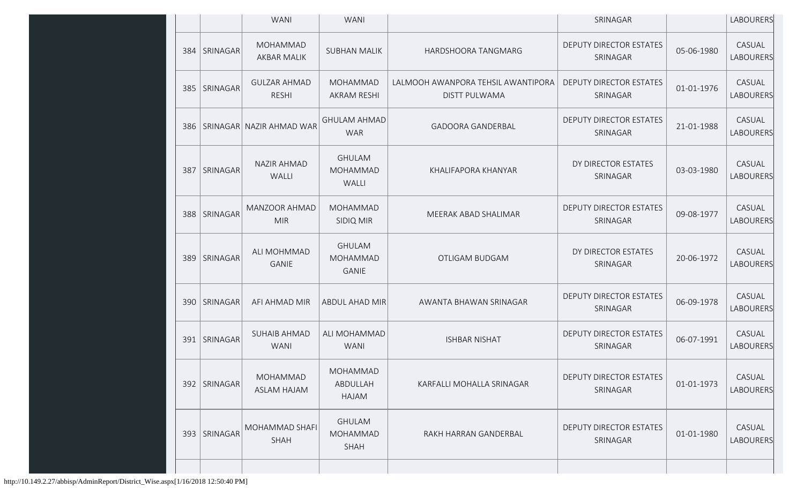|     |                 | <b>WANI</b>                           | <b>WANI</b>                                      |                                                            | SRINAGAR                                   |            | <b>LABOURERS</b>           |
|-----|-----------------|---------------------------------------|--------------------------------------------------|------------------------------------------------------------|--------------------------------------------|------------|----------------------------|
| 384 | SRINAGAR        | <b>MOHAMMAD</b><br><b>AKBAR MALIK</b> | <b>SUBHAN MALIK</b>                              | HARDSHOORA TANGMARG                                        | DEPUTY DIRECTOR ESTATES<br>SRINAGAR        | 05-06-1980 | CASUAL<br><b>LABOURERS</b> |
| 385 | SRINAGAR        | <b>GULZAR AHMAD</b><br><b>RESHI</b>   | <b>MOHAMMAD</b><br><b>AKRAM RESHI</b>            | LALMOOH AWANPORA TEHSIL AWANTIPORA<br><b>DISTT PULWAMA</b> | DEPUTY DIRECTOR ESTATES<br>SRINAGAR        | 01-01-1976 | CASUAL<br><b>LABOURERS</b> |
| 386 |                 | SRINAGAR NAZIR AHMAD WAR              | <b>GHULAM AHMAD</b><br><b>WAR</b>                | <b>GADOORA GANDERBAL</b>                                   | <b>DEPUTY DIRECTOR ESTATES</b><br>SRINAGAR | 21-01-1988 | CASUAL<br><b>LABOURERS</b> |
| 387 | SRINAGAR        | NAZIR AHMAD<br>WALLI                  | <b>GHULAM</b><br><b>MOHAMMAD</b><br><b>WALLI</b> | KHALIFAPORA KHANYAR                                        | DY DIRECTOR ESTATES<br>SRINAGAR            | 03-03-1980 | CASUAL<br><b>LABOURERS</b> |
| 388 | SRINAGAR        | MANZOOR AHMAD<br><b>MIR</b>           | MOHAMMAD<br><b>SIDIQ MIR</b>                     | MEERAK ABAD SHALIMAR                                       | DEPUTY DIRECTOR ESTATES<br>SRINAGAR        | 09-08-1977 | CASUAL<br><b>LABOURERS</b> |
| 389 | SRINAGAR        | ALI MOHMMAD<br><b>GANIE</b>           | <b>GHULAM</b><br><b>MOHAMMAD</b><br><b>GANIE</b> | OTLIGAM BUDGAM                                             | DY DIRECTOR ESTATES<br>SRINAGAR            | 20-06-1972 | CASUAL<br><b>LABOURERS</b> |
| 390 | <b>SRINAGAR</b> | AFI AHMAD MIR                         | ABDUL AHAD MIR                                   | AWANTA BHAWAN SRINAGAR                                     | <b>DEPUTY DIRECTOR ESTATES</b><br>SRINAGAR | 06-09-1978 | CASUAL<br>LABOURERS        |
| 391 | SRINAGAR        | <b>SUHAIB AHMAD</b><br><b>WANI</b>    | ALI MOHAMMAD<br><b>WANI</b>                      | <b>ISHBAR NISHAT</b>                                       | DEPUTY DIRECTOR ESTATES<br>SRINAGAR        | 06-07-1991 | CASUAL<br>LABOURERS        |
| 392 | SRINAGAR        | MOHAMMAD<br><b>ASLAM HAJAM</b>        | MOHAMMAD<br>ABDULLAH<br>HAJAM                    | KARFALLI MOHALLA SRINAGAR                                  | <b>DEPUTY DIRECTOR ESTATES</b><br>SRINAGAR | 01-01-1973 | CASUAL<br>LABOURERS        |
| 393 | SRINAGAR        | MOHAMMAD SHAFI<br>SHAH                | <b>GHULAM</b><br>MOHAMMAD<br>SHAH                | RAKH HARRAN GANDERBAL                                      | DEPUTY DIRECTOR ESTATES<br>SRINAGAR        | 01-01-1980 | CASUAL<br>LABOURERS        |
|     |                 |                                       |                                                  |                                                            |                                            |            |                            |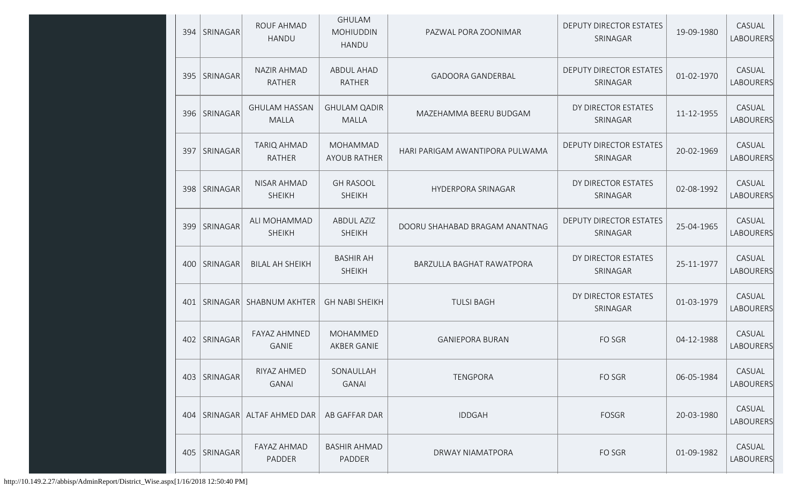|     | 394   SRINAGAR  | <b>ROUF AHMAD</b><br>HANDU           | <b>GHULAM</b><br><b>MOHIUDDIN</b><br><b>HANDU</b> | PAZWAL PORA ZOONIMAR            | DEPUTY DIRECTOR ESTATES<br>SRINAGAR        | 19-09-1980 | CASUAL<br><b>LABOURERS</b> |
|-----|-----------------|--------------------------------------|---------------------------------------------------|---------------------------------|--------------------------------------------|------------|----------------------------|
| 395 | SRINAGAR        | <b>NAZIR AHMAD</b><br><b>RATHER</b>  | <b>ABDUL AHAD</b><br>RATHER                       | <b>GADOORA GANDERBAL</b>        | <b>DEPUTY DIRECTOR ESTATES</b><br>SRINAGAR | 01-02-1970 | CASUAL<br>LABOURERS        |
| 396 | SRINAGAR        | <b>GHULAM HASSAN</b><br><b>MALLA</b> | <b>GHULAM QADIR</b><br><b>MALLA</b>               | MAZEHAMMA BEERU BUDGAM          | DY DIRECTOR ESTATES<br>SRINAGAR            | 11-12-1955 | CASUAL<br>LABOURERS        |
| 397 | <b>SRINAGAR</b> | <b>TARIQ AHMAD</b><br><b>RATHER</b>  | <b>MOHAMMAD</b><br><b>AYOUB RATHER</b>            | HARI PARIGAM AWANTIPORA PULWAMA | <b>DEPUTY DIRECTOR ESTATES</b><br>SRINAGAR | 20-02-1969 | CASUAL<br><b>LABOURERS</b> |
| 398 | SRINAGAR        | NISAR AHMAD<br><b>SHEIKH</b>         | <b>GH RASOOL</b><br><b>SHEIKH</b>                 | HYDERPORA SRINAGAR              | DY DIRECTOR ESTATES<br>SRINAGAR            | 02-08-1992 | CASUAL<br><b>LABOURERS</b> |
| 399 | SRINAGAR        | ALI MOHAMMAD<br><b>SHEIKH</b>        | <b>ABDUL AZIZ</b><br><b>SHEIKH</b>                | DOORU SHAHABAD BRAGAM ANANTNAG  | DEPUTY DIRECTOR ESTATES<br>SRINAGAR        | 25-04-1965 | CASUAL<br>LABOURERS        |
| 400 | SRINAGAR        | <b>BILAL AH SHEIKH</b>               | <b>BASHIR AH</b><br><b>SHEIKH</b>                 | BARZULLA BAGHAT RAWATPORA       | DY DIRECTOR ESTATES<br>SRINAGAR            | 25-11-1977 | CASUAL<br>LABOURERS        |
| 401 | SRINAGAR        | <b>SHABNUM AKHTER</b>                | <b>GH NABI SHEIKH</b>                             | <b>TULSI BAGH</b>               | DY DIRECTOR ESTATES<br>SRINAGAR            | 01-03-1979 | CASUAL<br>LABOURERS        |
| 402 | SRINAGAR        | <b>FAYAZ AHMNED</b><br>GANIE         | MOHAMMED<br>AKBER GANIE                           | <b>GANIEPORA BURAN</b>          | FO SGR                                     | 04-12-1988 | CASUAL<br><b>LABOURERS</b> |
| 403 | SRINAGAR        | RIYAZ AHMED<br><b>GANAI</b>          | SONAULLAH<br><b>GANAI</b>                         | <b>TENGPORA</b>                 | FO SGR                                     | 06-05-1984 | CASUAL<br>LABOURERS        |
| 404 | SRINAGAR        | ALTAF AHMED DAR                      | AB GAFFAR DAR                                     | <b>IDDGAH</b>                   | <b>FOSGR</b>                               | 20-03-1980 | CASUAL<br>LABOURERS        |
| 405 | SRINAGAR        | FAYAZ AHMAD<br>PADDER                | <b>BASHIR AHMAD</b><br><b>PADDER</b>              | DRWAY NIAMATPORA                | FO SGR                                     | 01-09-1982 | CASUAL<br>LABOURERS        |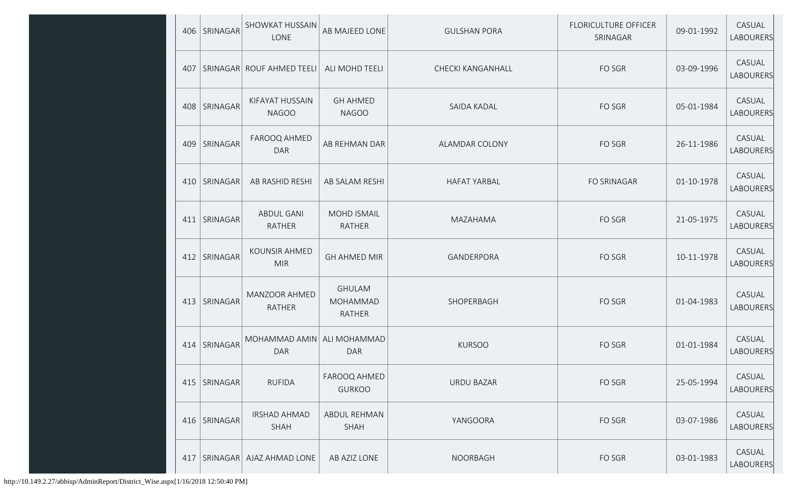|     | 406   SRINAGAR  | <b>SHOWKAT HUSSAIN</b><br>LONE     | AB MAJEED LONE                      | <b>GULSHAN PORA</b> | <b>FLORICULTURE OFFICER</b><br>SRINAGAR | 09-01-1992 | CASUAL<br><b>LABOURERS</b> |
|-----|-----------------|------------------------------------|-------------------------------------|---------------------|-----------------------------------------|------------|----------------------------|
| 407 |                 | SRINAGAR ROUF AHMED TEELI          | ALI MOHD TEELI                      | CHECKI KANGANHALL   | FO SGR                                  | 03-09-1996 | CASUAL<br><b>LABOURERS</b> |
|     | 408   SRINAGAR  | KIFAYAT HUSSAIN<br><b>NAGOO</b>    | <b>GH AHMED</b><br><b>NAGOO</b>     | SAIDA KADAL         | FO SGR                                  | 05-01-1984 | CASUAL<br><b>LABOURERS</b> |
| 409 | SRINAGAR        | FAROOQ AHMED<br><b>DAR</b>         | AB REHMAN DAR                       | ALAMDAR COLONY      | FO SGR                                  | 26-11-1986 | CASUAL<br><b>LABOURERS</b> |
|     | 410   SRINAGAR  | AB RASHID RESHI                    | AB SALAM RESHI                      | <b>HAFAT YARBAL</b> | <b>FO SRINAGAR</b>                      | 01-10-1978 | CASUAL<br><b>LABOURERS</b> |
| 411 | <b>SRINAGAR</b> | ABDUL GANI<br><b>RATHER</b>        | <b>MOHD ISMAIL</b><br><b>RATHER</b> | MAZAHAMA            | FO SGR                                  | 21-05-1975 | CASUAL<br><b>LABOURERS</b> |
| 412 | SRINAGAR        | <b>KOUNSIR AHMED</b><br><b>MIR</b> | <b>GH AHMED MIR</b>                 | GANDERPORA          | FO SGR                                  | 10-11-1978 | CASUAL<br><b>LABOURERS</b> |
| 413 | SRINAGAR        | MANZOOR AHMED<br><b>RATHER</b>     | <b>GHULAM</b><br>MOHAMMAD<br>RATHER | SHOPERBAGH          | FO SGR                                  | 01-04-1983 | CASUAL<br><b>LABOURERS</b> |
|     | 414 SRINAGAR    | MOHAMMAD AMIN<br><b>DAR</b>        | ALI MOHAMMAD<br><b>DAR</b>          | <b>KURSOO</b>       | FO SGR                                  | 01-01-1984 | CASUAL<br><b>LABOURERS</b> |
| 415 | SRINAGAR        | <b>RUFIDA</b>                      | FAROOQ AHMED<br><b>GURKOO</b>       | <b>URDU BAZAR</b>   | FO SGR                                  | 25-05-1994 | CASUAL<br><b>LABOURERS</b> |
|     | 416   SRINAGAR  | <b>IRSHAD AHMAD</b><br>SHAH        | ABDUL REHMAN<br><b>SHAH</b>         | YANGOORA            | FO SGR                                  | 03-07-1986 | CASUAL<br><b>LABOURERS</b> |
| 417 |                 | SRINAGAR   AJAZ AHMAD LONE         | AB AZIZ LONE                        | <b>NOORBAGH</b>     | FO SGR                                  | 03-01-1983 | CASUAL<br><b>LABOURERS</b> |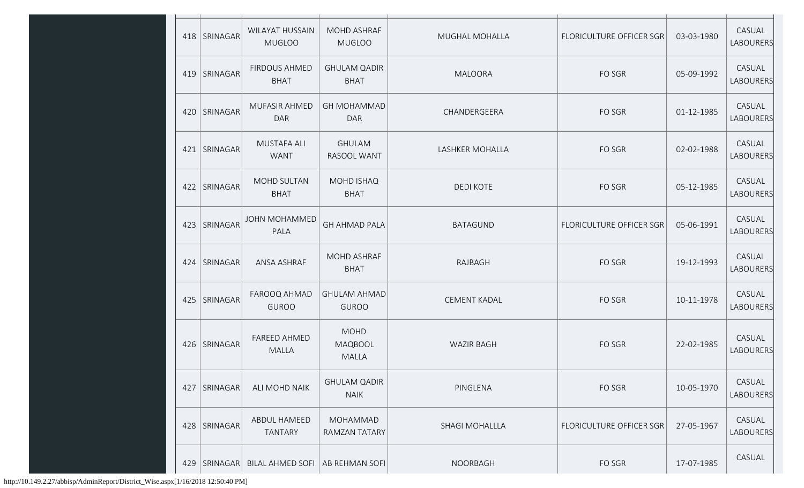|     | 418   SRINAGAR | <b>WILAYAT HUSSAIN</b><br><b>MUGLOO</b> | MOHD ASHRAF<br><b>MUGLOO</b>                  | MUGHAL MOHALLA         | FLORICULTURE OFFICER SGR        | 03-03-1980 | CASUAL<br>LABOURERS        |
|-----|----------------|-----------------------------------------|-----------------------------------------------|------------------------|---------------------------------|------------|----------------------------|
| 419 | SRINAGAR       | <b>FIRDOUS AHMED</b><br><b>BHAT</b>     | <b>GHULAM QADIR</b><br><b>BHAT</b>            | MALOORA                | FO SGR                          | 05-09-1992 | CASUAL<br>LABOURERS        |
|     | 420   SRINAGAR | <b>MUFASIR AHMED</b><br><b>DAR</b>      | <b>GH MOHAMMAD</b><br><b>DAR</b>              | CHANDERGEERA           | FO SGR                          | 01-12-1985 | CASUAL<br><b>LABOURERS</b> |
| 421 | SRINAGAR       | MUSTAFA ALI<br><b>WANT</b>              | <b>GHULAM</b><br>RASOOL WANT                  | <b>LASHKER MOHALLA</b> | FO SGR                          | 02-02-1988 | CASUAL<br><b>LABOURERS</b> |
| 422 | SRINAGAR       | <b>MOHD SULTAN</b><br><b>BHAT</b>       | <b>MOHD ISHAQ</b><br><b>BHAT</b>              | <b>DEDI KOTE</b>       | FO SGR                          | 05-12-1985 | CASUAL<br>LABOURERS        |
| 423 | SRINAGAR       | <b>JOHN MOHAMMED</b><br>PALA            | <b>GH AHMAD PALA</b>                          | <b>BATAGUND</b>        | <b>FLORICULTURE OFFICER SGR</b> | 05-06-1991 | CASUAL<br>LABOURERS        |
|     | 424   SRINAGAR | ANSA ASHRAF                             | <b>MOHD ASHRAF</b><br><b>BHAT</b>             | RAJBAGH                | FO SGR                          | 19-12-1993 | CASUAL<br><b>LABOURERS</b> |
| 425 | SRINAGAR       | FAROOQ AHMAD<br><b>GUROO</b>            | <b>GHULAM AHMAD</b><br><b>GUROO</b>           | <b>CEMENT KADAL</b>    | FO SGR                          | 10-11-1978 | CASUAL<br>LABOURERS        |
| 426 | SRINAGAR       | <b>FAREED AHMED</b><br><b>MALLA</b>     | <b>MOHD</b><br><b>MAQBOOL</b><br><b>MALLA</b> | <b>WAZIR BAGH</b>      | FO SGR                          | 22-02-1985 | CASUAL<br>LABOURERS        |
| 427 | SRINAGAR       | ALI MOHD NAIK                           | <b>GHULAM QADIR</b><br><b>NAIK</b>            | PINGLENA               | FO SGR                          | 10-05-1970 | CASUAL<br>LABOURERS        |
| 428 | SRINAGAR       | ABDUL HAMEED<br><b>TANTARY</b>          | MOHAMMAD<br>RAMZAN TATARY                     | <b>SHAGI MOHALLLA</b>  | FLORICULTURE OFFICER SGR        | 27-05-1967 | CASUAL<br><b>LABOURERS</b> |
| 429 | SRINAGAR       | <b>BILAL AHMED SOFI</b>                 | AB REHMAN SOFI                                | NOORBAGH               | FO SGR                          | 17-07-1985 | CASUAL                     |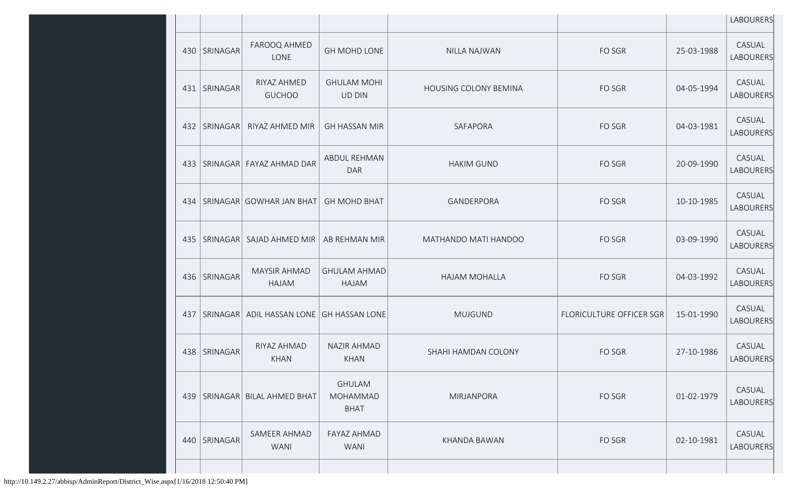|     |                |                              |                                                 |                              |                                 |            | LABOURERS           |
|-----|----------------|------------------------------|-------------------------------------------------|------------------------------|---------------------------------|------------|---------------------|
| 430 | SRINAGAR       | FAROOQ AHMED<br>LONE         | <b>GH MOHD LONE</b>                             | NILLA NAJWAN                 | FO SGR                          | 25-03-1988 | CASUAL<br>LABOURERS |
|     | 431   SRINAGAR | RIYAZ AHMED<br><b>GUCHOO</b> | <b>GHULAM MOHI</b><br><b>UD DIN</b>             | <b>HOUSING COLONY BEMINA</b> | FO SGR                          | 04-05-1994 | CASUAL<br>LABOURERS |
|     | 432   SRINAGAR | RIYAZ AHMED MIR              | <b>GH HASSAN MIR</b>                            | SAFAPORA                     | FO SGR                          | 04-03-1981 | CASUAL<br>LABOURERS |
| 433 |                | SRINAGAR FAYAZ AHMAD DAR     | ABDUL REHMAN<br><b>DAR</b>                      | <b>HAKIM GUND</b>            | FO SGR                          | 20-09-1990 | CASUAL<br>LABOURERS |
| 434 |                | SRINAGAR GOWHAR JAN BHAT     | <b>GH MOHD BHAT</b>                             | GANDERPORA                   | FO SGR                          | 10-10-1985 | CASUAL<br>LABOURERS |
| 435 | SRINAGAR       | SAJAD AHMED MIR              | AB REHMAN MIR                                   | MATHANDO MATI HANDOO         | FO SGR                          | 03-09-1990 | CASUAL<br>LABOURERS |
| 436 | SRINAGAR       | <b>MAYSIR AHMAD</b><br>HAJAM | <b>GHULAM AHMAD</b><br>HAJAM                    | HAJAM MOHALLA                | FO SGR                          | 04-03-1992 | CASUAL<br>LABOURERS |
| 437 | SRINAGAR       | ADIL HASSAN LONE             | <b>GH HASSAN LONE</b>                           | <b>MUJGUND</b>               | <b>FLORICULTURE OFFICER SGR</b> | 15-01-1990 | CASUAL<br>LABOURERS |
| 438 | SRINAGAR       | RIYAZ AHMAD<br><b>KHAN</b>   | <b>NAZIR AHMAD</b><br><b>KHAN</b>               | SHAHI HAMDAN COLONY          | FO SGR                          | 27-10-1986 | CASUAL<br>LABOURERS |
| 439 |                | SRINAGAR  BILAL AHMED BHAT   | <b>GHULAM</b><br><b>MOHAMMAD</b><br><b>BHAT</b> | MIRJANPORA                   | FO SGR                          | 01-02-1979 | CASUAL<br>LABOURERS |
| 440 | SRINAGAR       | SAMEER AHMAD<br><b>WANI</b>  | FAYAZ AHMAD<br><b>WANI</b>                      | KHANDA BAWAN                 | FO SGR                          | 02-10-1981 | CASUAL<br>LABOURERS |
|     |                |                              |                                                 |                              |                                 |            |                     |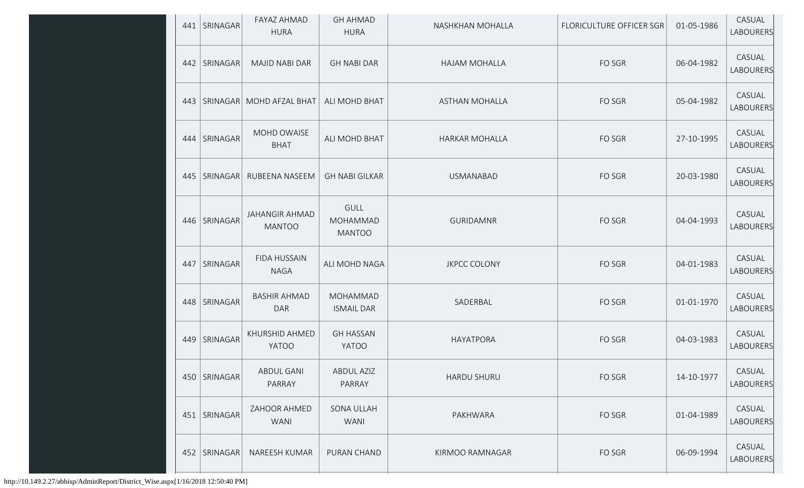|     | 441   SRINAGAR  | <b>FAYAZ AHMAD</b><br><b>HURA</b>      | <b>GH AHMAD</b><br><b>HURA</b>           | NASHKHAN MOHALLA      | FLORICULTURE OFFICER SGR | 01-05-1986 | CASUAL<br>LABOURERS        |
|-----|-----------------|----------------------------------------|------------------------------------------|-----------------------|--------------------------|------------|----------------------------|
| 442 | <b>SRINAGAR</b> | <b>MAJID NABI DAR</b>                  | <b>GH NABI DAR</b>                       | <b>HAJAM MOHALLA</b>  | FO SGR                   | 06-04-1982 | CASUAL<br>LABOURERS        |
| 443 |                 | SRINAGAR MOHD AFZAL BHAT               | ALI MOHD BHAT                            | <b>ASTHAN MOHALLA</b> | FO SGR                   | 05-04-1982 | CASUAL<br><b>LABOURERS</b> |
| 444 | SRINAGAR        | MOHD OWAISE<br><b>BHAT</b>             | ALI MOHD BHAT                            | <b>HARKAR MOHALLA</b> | FO SGR                   | 27-10-1995 | CASUAL<br><b>LABOURERS</b> |
| 445 | SRINAGAR        | RUBEENA NASEEM                         | <b>GH NABI GILKAR</b>                    | <b>USMANABAD</b>      | FO SGR                   | 20-03-1980 | CASUAL<br>LABOURERS        |
| 446 | SRINAGAR        | <b>JAHANGIR AHMAD</b><br><b>MANTOO</b> | <b>GULL</b><br>MOHAMMAD<br><b>MANTOO</b> | <b>GURIDAMNR</b>      | FO SGR                   | 04-04-1993 | CASUAL<br>LABOURERS        |
| 447 | SRINAGAR        | <b>FIDA HUSSAIN</b><br><b>NAGA</b>     | ALI MOHD NAGA                            | <b>JKPCC COLONY</b>   | FO SGR                   | 04-01-1983 | CASUAL<br>LABOURERS        |
| 448 | SRINAGAR        | <b>BASHIR AHMAD</b><br>DAR             | MOHAMMAD<br><b>ISMAIL DAR</b>            | SADERBAL              | FO SGR                   | 01-01-1970 | CASUAL<br>LABOURERS        |
| 449 | <b>SRINAGAR</b> | KHURSHID AHMED<br>YATOO                | <b>GH HASSAN</b><br><b>YATOO</b>         | HAYATPORA             | FO SGR                   | 04-03-1983 | CASUAL<br>LABOURERS        |
| 450 | <b>SRINAGAR</b> | ABDUL GANI<br>PARRAY                   | ABDUL AZIZ<br>PARRAY                     | <b>HARDU SHURU</b>    | FO SGR                   | 14-10-1977 | CASUAL<br>LABOURERS        |
| 451 | SRINAGAR        | ZAHOOR AHMED<br><b>WANI</b>            | SONA ULLAH<br><b>WANI</b>                | PAKHWARA              | FO SGR                   | 01-04-1989 | CASUAL<br>LABOURERS        |
| 452 | SRINAGAR        | NAREESH KUMAR                          | PURAN CHAND                              | KIRMOO RAMNAGAR       | FO SGR                   | 06-09-1994 | CASUAL<br>LABOURERS        |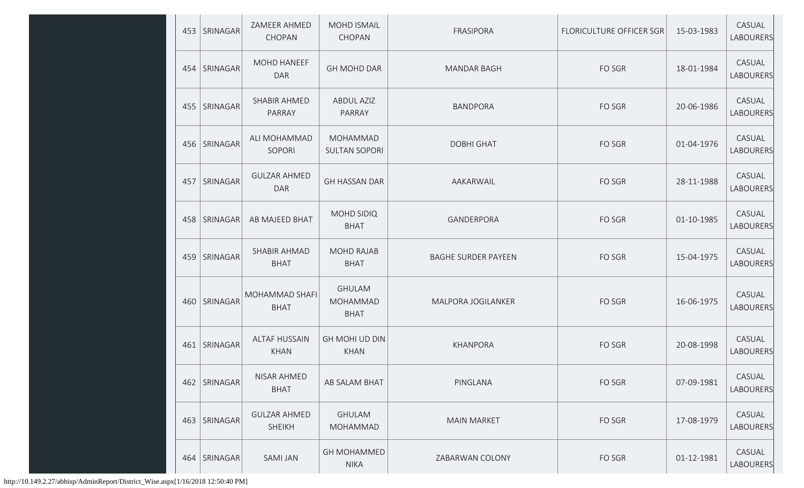|     | 453   SRINAGAR | ZAMEER AHMED<br>CHOPAN              | <b>MOHD ISMAIL</b><br><b>CHOPAN</b>      | FRASIPORA                  | <b>FLORICULTURE OFFICER SGR</b> | 15-03-1983 | CASUAL<br>LABOURERS |
|-----|----------------|-------------------------------------|------------------------------------------|----------------------------|---------------------------------|------------|---------------------|
|     | 454   SRINAGAR | <b>MOHD HANEEF</b><br><b>DAR</b>    | <b>GH MOHD DAR</b>                       | <b>MANDAR BAGH</b>         | FO SGR                          | 18-01-1984 | CASUAL<br>LABOURERS |
|     | 455   SRINAGAR | SHABIR AHMED<br>PARRAY              | <b>ABDUL AZIZ</b><br>PARRAY              | <b>BANDPORA</b>            | FO SGR                          | 20-06-1986 | CASUAL<br>LABOURERS |
|     | 456   SRINAGAR | ALI MOHAMMAD<br>SOPORI              | MOHAMMAD<br><b>SULTAN SOPORI</b>         | <b>DOBHI GHAT</b>          | FO SGR                          | 01-04-1976 | CASUAL<br>LABOURERS |
| 457 | SRINAGAR       | <b>GULZAR AHMED</b><br><b>DAR</b>   | <b>GH HASSAN DAR</b>                     | AAKARWAIL                  | FO SGR                          | 28-11-1988 | CASUAL<br>LABOURERS |
| 458 | SRINAGAR       | AB MAJEED BHAT                      | MOHD SIDIQ<br><b>BHAT</b>                | GANDERPORA                 | FO SGR                          | 01-10-1985 | CASUAL<br>LABOURERS |
| 459 | SRINAGAR       | SHABIR AHMAD<br><b>BHAT</b>         | <b>MOHD RAJAB</b><br><b>BHAT</b>         | <b>BAGHE SURDER PAYEEN</b> | FO SGR                          | 15-04-1975 | CASUAL<br>LABOURERS |
| 460 | SRINAGAR       | MOHAMMAD SHAFI<br><b>BHAT</b>       | <b>GHULAM</b><br>MOHAMMAD<br><b>BHAT</b> | MALPORA JOGILANKER         | FO SGR                          | 16-06-1975 | CASUAL<br>LABOURERS |
|     | 461   SRINAGAR | <b>ALTAF HUSSAIN</b><br><b>KHAN</b> | GH MOHI UD DIN<br><b>KHAN</b>            | KHANPORA                   | FO SGR                          | 20-08-1998 | CASUAL<br>LABOURERS |
| 462 | SRINAGAR       | NISAR AHMED<br><b>BHAT</b>          | AB SALAM BHAT                            | PINGLANA                   | FO SGR                          | 07-09-1981 | CASUAL<br>LABOURERS |
| 463 | SRINAGAR       | <b>GULZAR AHMED</b><br>SHEIKH       | <b>GHULAM</b><br>MOHAMMAD                | <b>MAIN MARKET</b>         | FO SGR                          | 17-08-1979 | CASUAL<br>LABOURERS |
|     | 464 SRINAGAR   | <b>SAMI JAN</b>                     | <b>GH MOHAMMED</b><br><b>NIKA</b>        | ZABARWAN COLONY            | FO SGR                          | 01-12-1981 | CASUAL<br>LABOURERS |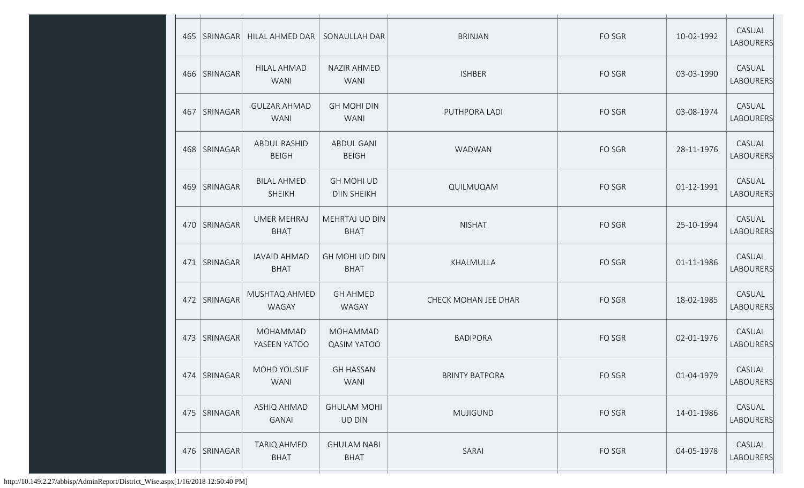|     | 465   SRINAGAR | HILAL AHMED DAR                     | SONAULLAH DAR                           | <b>BRINJAN</b>        | FO SGR | 10-02-1992 | CASUAL<br>LABOURERS |
|-----|----------------|-------------------------------------|-----------------------------------------|-----------------------|--------|------------|---------------------|
|     | 466   SRINAGAR | <b>HILAL AHMAD</b><br><b>WANI</b>   | <b>NAZIR AHMED</b><br><b>WANI</b>       | <b>ISHBER</b>         | FO SGR | 03-03-1990 | CASUAL<br>LABOURERS |
| 467 | SRINAGAR       | <b>GULZAR AHMAD</b><br><b>WANI</b>  | <b>GH MOHI DIN</b><br><b>WANI</b>       | PUTHPORA LADI         | FO SGR | 03-08-1974 | CASUAL<br>LABOURERS |
|     | 468 SRINAGAR   | ABDUL RASHID<br><b>BEIGH</b>        | ABDUL GANI<br><b>BEIGH</b>              | WADWAN                | FO SGR | 28-11-1976 | CASUAL<br>LABOURERS |
| 469 | SRINAGAR       | <b>BILAL AHMED</b><br><b>SHEIKH</b> | <b>GH MOHI UD</b><br><b>DIIN SHEIKH</b> | QUILMUQAM             | FO SGR | 01-12-1991 | CASUAL<br>LABOURERS |
|     | 470   SRINAGAR | <b>UMER MEHRAJ</b><br><b>BHAT</b>   | MEHRTAJ UD DIN<br><b>BHAT</b>           | <b>NISHAT</b>         | FO SGR | 25-10-1994 | CASUAL<br>LABOURERS |
| 471 | SRINAGAR       | <b>JAVAID AHMAD</b><br><b>BHAT</b>  | GH MOHI UD DIN<br><b>BHAT</b>           | KHALMULLA             | FO SGR | 01-11-1986 | CASUAL<br>LABOURERS |
| 472 | SRINAGAR       | MUSHTAQ AHMED<br>WAGAY              | <b>GH AHMED</b><br>WAGAY                | CHECK MOHAN JEE DHAR  | FO SGR | 18-02-1985 | CASUAL<br>LABOURERS |
|     | 473   SRINAGAR | MOHAMMAD<br>YASEEN YATOO            | MOHAMMAD<br><b>QASIM YATOO</b>          | <b>BADIPORA</b>       | FO SGR | 02-01-1976 | CASUAL<br>LABOURERS |
|     | 474   SRINAGAR | MOHD YOUSUF<br><b>WANI</b>          | <b>GH HASSAN</b><br><b>WANI</b>         | <b>BRINTY BATPORA</b> | FO SGR | 01-04-1979 | CASUAL<br>LABOURERS |
| 475 | SRINAGAR       | ASHIQ AHMAD<br><b>GANAI</b>         | <b>GHULAM MOHI</b><br><b>UD DIN</b>     | <b>MUJIGUND</b>       | FO SGR | 14-01-1986 | CASUAL<br>LABOURERS |
|     | 476   SRINAGAR | <b>TARIQ AHMED</b><br><b>BHAT</b>   | <b>GHULAM NABI</b><br><b>BHAT</b>       | SARAI                 | FO SGR | 04-05-1978 | CASUAL<br>LABOURERS |
|     |                |                                     |                                         |                       |        |            |                     |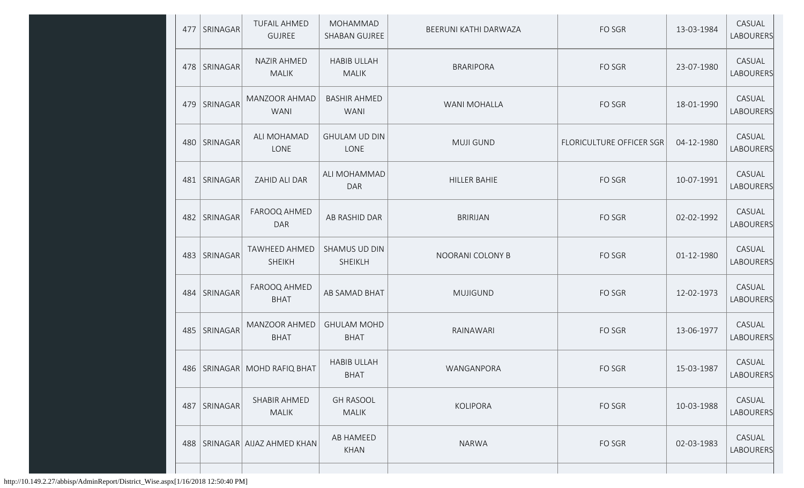|     | 477   SRINAGAR | <b>TUFAIL AHMED</b><br><b>GUJREE</b>  | MOHAMMAD<br>SHABAN GUJREE          | BEERUNI KATHI DARWAZA | FO SGR                   | 13-03-1984 | CASUAL<br>LABOURERS |
|-----|----------------|---------------------------------------|------------------------------------|-----------------------|--------------------------|------------|---------------------|
|     | 478   SRINAGAR | <b>NAZIR AHMED</b><br><b>MALIK</b>    | <b>HABIB ULLAH</b><br><b>MALIK</b> | <b>BRARIPORA</b>      | FO SGR                   | 23-07-1980 | CASUAL<br>LABOURERS |
| 479 | SRINAGAR       | MANZOOR AHMAD<br><b>WANI</b>          | <b>BASHIR AHMED</b><br><b>WANI</b> | WANI MOHALLA          | FO SGR                   | 18-01-1990 | CASUAL<br>LABOURERS |
|     | 480   SRINAGAR | ALI MOHAMAD<br>LONE                   | <b>GHULAM UD DIN</b><br>LONE       | <b>MUJI GUND</b>      | FLORICULTURE OFFICER SGR | 04-12-1980 | CASUAL<br>LABOURERS |
| 481 | SRINAGAR       | ZAHID ALI DAR                         | ALI MOHAMMAD<br><b>DAR</b>         | HILLER BAHIE          | FO SGR                   | 10-07-1991 | CASUAL<br>LABOURERS |
| 482 | SRINAGAR       | FAROOQ AHMED<br><b>DAR</b>            | AB RASHID DAR                      | <b>BRIRIJAN</b>       | FO SGR                   | 02-02-1992 | CASUAL<br>LABOURERS |
|     | 483   SRINAGAR | <b>TAWHEED AHMED</b><br><b>SHEIKH</b> | SHAMUS UD DIN<br>SHEIKLH           | NOORANI COLONY B      | FO SGR                   | 01-12-1980 | CASUAL<br>LABOURERS |
| 484 | SRINAGAR       | FAROOQ AHMED<br><b>BHAT</b>           | AB SAMAD BHAT                      | <b>MUJIGUND</b>       | FO SGR                   | 12-02-1973 | CASUAL<br>LABOURERS |
|     | 485   SRINAGAR | MANZOOR AHMED<br><b>BHAT</b>          | <b>GHULAM MOHD</b><br><b>BHAT</b>  | RAINAWARI             | FO SGR                   | 13-06-1977 | CASUAL<br>LABOURERS |
|     |                | 486   SRINAGAR   MOHD RAFIQ BHAT      | <b>HABIB ULLAH</b><br><b>BHAT</b>  | WANGANPORA            | FO SGR                   | 15-03-1987 | CASUAL<br>LABOURERS |
| 487 | SRINAGAR       | SHABIR AHMED<br><b>MALIK</b>          | <b>GH RASOOL</b><br><b>MALIK</b>   | <b>KOLIPORA</b>       | FO SGR                   | 10-03-1988 | CASUAL<br>LABOURERS |
| 488 |                | SRINAGAR AIJAZ AHMED KHAN             | AB HAMEED<br><b>KHAN</b>           | <b>NARWA</b>          | FO SGR                   | 02-03-1983 | CASUAL<br>LABOURERS |
|     |                |                                       |                                    |                       |                          |            |                     |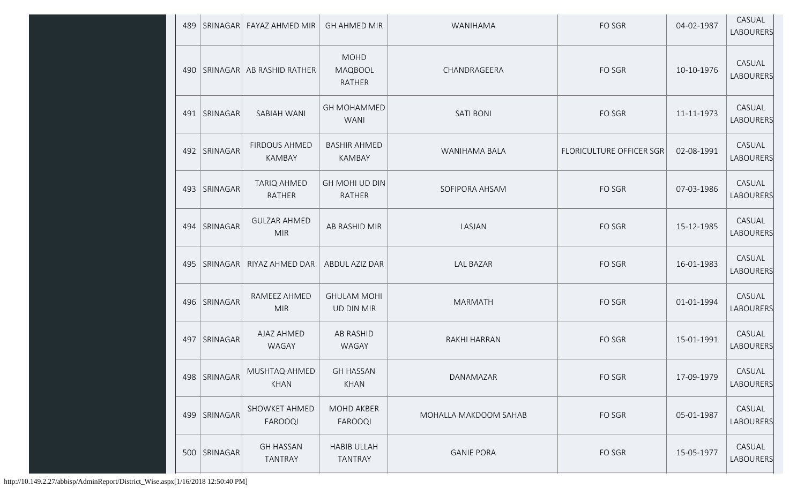| 489 | SRINAGAR       | FAYAZ AHMED MIR                        | <b>GH AHMED MIR</b>                     | WANIHAMA              | FO SGR                   | 04-02-1987 | CASUAL<br><b>LABOURERS</b> |
|-----|----------------|----------------------------------------|-----------------------------------------|-----------------------|--------------------------|------------|----------------------------|
|     |                | 490   SRINAGAR   AB RASHID RATHER      | <b>MOHD</b><br><b>MAQBOOL</b><br>RATHER | CHANDRAGEERA          | FO SGR                   | 10-10-1976 | CASUAL<br><b>LABOURERS</b> |
|     | 491   SRINAGAR | SABIAH WANI                            | <b>GH MOHAMMED</b><br><b>WANI</b>       | <b>SATI BONI</b>      | FO SGR                   | 11-11-1973 | CASUAL<br><b>LABOURERS</b> |
| 492 | SRINAGAR       | <b>FIRDOUS AHMED</b><br><b>KAMBAY</b>  | <b>BASHIR AHMED</b><br>KAMBAY           | WANIHAMA BALA         | FLORICULTURE OFFICER SGR | 02-08-1991 | CASUAL<br><b>LABOURERS</b> |
| 493 | SRINAGAR       | <b>TARIQ AHMED</b><br><b>RATHER</b>    | GH MOHI UD DIN<br><b>RATHER</b>         | SOFIPORA AHSAM        | FO SGR                   | 07-03-1986 | CASUAL<br><b>LABOURERS</b> |
| 494 | SRINAGAR       | <b>GULZAR AHMED</b><br><b>MIR</b>      | AB RASHID MIR                           | LASJAN                | FO SGR                   | 15-12-1985 | CASUAL<br><b>LABOURERS</b> |
| 495 | SRINAGAR       | RIYAZ AHMED DAR                        | ABDUL AZIZ DAR                          | <b>LAL BAZAR</b>      | FO SGR                   | 16-01-1983 | CASUAL<br><b>LABOURERS</b> |
| 496 | SRINAGAR       | RAMEEZ AHMED<br><b>MIR</b>             | <b>GHULAM MOHI</b><br><b>UD DIN MIR</b> | <b>MARMATH</b>        | FO SGR                   | 01-01-1994 | CASUAL<br>LABOURERS        |
| 497 | SRINAGAR       | AJAZ AHMED<br>WAGAY                    | <b>AB RASHID</b><br>WAGAY               | RAKHI HARRAN          | FO SGR                   | 15-01-1991 | CASUAL<br>LABOURERS        |
|     | 498   SRINAGAR | MUSHTAQ AHMED<br>KHAN                  | <b>GH HASSAN</b><br><b>KHAN</b>         | DANAMAZAR             | FO SGR                   | 17-09-1979 | CASUAL<br><b>LABOURERS</b> |
|     | 499   SRINAGAR | <b>SHOWKET AHMED</b><br><b>FAROOQI</b> | MOHD AKBER<br>FAROOQI                   | MOHALLA MAKDOOM SAHAB | FO SGR                   | 05-01-1987 | CASUAL<br><b>LABOURERS</b> |
|     | 500   SRINAGAR | <b>GH HASSAN</b><br><b>TANTRAY</b>     | <b>HABIB ULLAH</b><br><b>TANTRAY</b>    | <b>GANIE PORA</b>     | FO SGR                   | 15-05-1977 | CASUAL<br><b>LABOURERS</b> |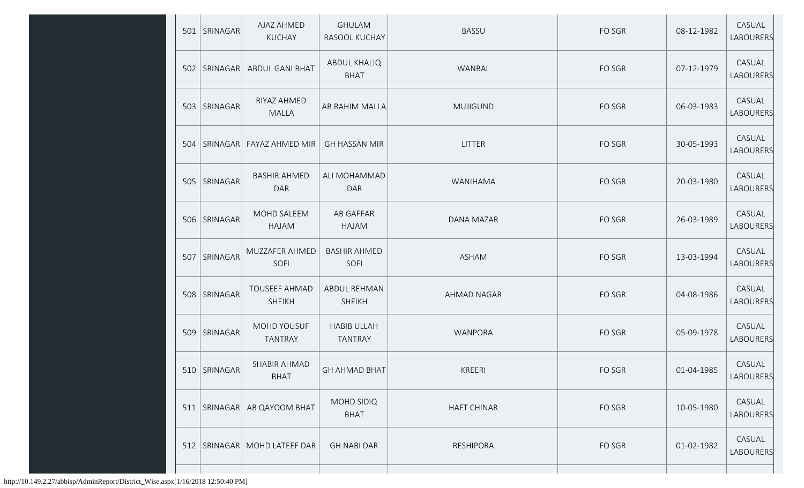|     | 501   SRINAGAR  | AJAZ AHMED<br><b>KUCHAY</b>       | <b>GHULAM</b><br>RASOOL KUCHAY       | <b>BASSU</b>       | FO SGR | 08-12-1982 | CASUAL<br>LABOURERS        |
|-----|-----------------|-----------------------------------|--------------------------------------|--------------------|--------|------------|----------------------------|
| 502 | SRINAGAR        | <b>ABDUL GANI BHAT</b>            | <b>ABDUL KHALIQ</b><br><b>BHAT</b>   | WANBAL             | FO SGR | 07-12-1979 | CASUAL<br><b>LABOURERS</b> |
| 503 | SRINAGAR        | RIYAZ AHMED<br><b>MALLA</b>       | AB RAHIM MALLA                       | <b>MUJIGUND</b>    | FO SGR | 06-03-1983 | CASUAL<br><b>LABOURERS</b> |
| 504 | SRINAGAR        | FAYAZ AHMED MIR                   | <b>GH HASSAN MIR</b>                 | LITTER             | FO SGR | 30-05-1993 | CASUAL<br>LABOURERS        |
| 505 | SRINAGAR        | <b>BASHIR AHMED</b><br><b>DAR</b> | ALI MOHAMMAD<br><b>DAR</b>           | WANIHAMA           | FO SGR | 20-03-1980 | CASUAL<br><b>LABOURERS</b> |
| 506 | <b>SRINAGAR</b> | MOHD SALEEM<br>HAJAM              | AB GAFFAR<br>HAJAM                   | DANA MAZAR         | FO SGR | 26-03-1989 | CASUAL<br><b>LABOURERS</b> |
| 507 | SRINAGAR        | MUZZAFER AHMED<br>SOFI            | <b>BASHIR AHMED</b><br>SOFI          | <b>ASHAM</b>       | FO SGR | 13-03-1994 | CASUAL<br><b>LABOURERS</b> |
| 508 | SRINAGAR        | <b>TOUSEEF AHMAD</b><br>SHEIKH    | <b>ABDUL REHMAN</b><br><b>SHEIKH</b> | AHMAD NAGAR        | FO SGR | 04-08-1986 | CASUAL<br>LABOURERS        |
| 509 | SRINAGAR        | MOHD YOUSUF<br><b>TANTRAY</b>     | <b>HABIB ULLAH</b><br><b>TANTRAY</b> | WANPORA            | FO SGR | 05-09-1978 | CASUAL<br><b>LABOURERS</b> |
|     | 510   SRINAGAR  | SHABIR AHMAD<br><b>BHAT</b>       | <b>GH AHMAD BHAT</b>                 | KREERI             | FO SGR | 01-04-1985 | CASUAL<br>LABOURERS        |
|     | 511   SRINAGAR  | AB QAYOOM BHAT                    | MOHD SIDIQ<br><b>BHAT</b>            | <b>HAFT CHINAR</b> | FO SGR | 10-05-1980 | CASUAL<br><b>LABOURERS</b> |
| 512 |                 | SRINAGAR   MOHD LATEEF DAR        | <b>GH NABI DAR</b>                   | RESHIPORA          | FO SGR | 01-02-1982 | CASUAL<br><b>LABOURERS</b> |
|     |                 |                                   |                                      |                    |        |            |                            |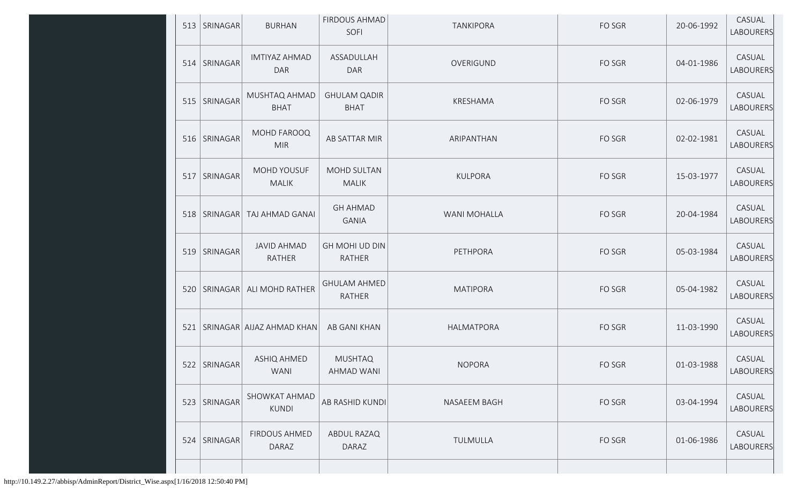|     | 513   SRINAGAR | <b>BURHAN</b>                     | FIRDOUS AHMAD<br>SOFI                | <b>TANKIPORA</b> | FO SGR | 20-06-1992 | CASUAL<br>LABOURERS        |
|-----|----------------|-----------------------------------|--------------------------------------|------------------|--------|------------|----------------------------|
|     | 514   SRINAGAR | <b>IMTIYAZ AHMAD</b><br>DAR       | ASSADULLAH<br><b>DAR</b>             | OVERIGUND        | FO SGR | 04-01-1986 | CASUAL<br><b>LABOURERS</b> |
|     | 515   SRINAGAR | MUSHTAQ AHMAD<br><b>BHAT</b>      | <b>GHULAM QADIR</b><br><b>BHAT</b>   | KRESHAMA         | FO SGR | 02-06-1979 | CASUAL<br>LABOURERS        |
|     | 516   SRINAGAR | MOHD FAROOQ<br><b>MIR</b>         | AB SATTAR MIR                        | ARIPANTHAN       | FO SGR | 02-02-1981 | CASUAL<br>LABOURERS        |
| 517 | SRINAGAR       | MOHD YOUSUF<br><b>MALIK</b>       | MOHD SULTAN<br><b>MALIK</b>          | <b>KULPORA</b>   | FO SGR | 15-03-1977 | CASUAL<br><b>LABOURERS</b> |
|     | 518   SRINAGAR | TAJ AHMAD GANAI                   | <b>GH AHMAD</b><br><b>GANIA</b>      | WANI MOHALLA     | FO SGR | 20-04-1984 | CASUAL<br>LABOURERS        |
|     | 519   SRINAGAR | <b>JAVID AHMAD</b><br>RATHER      | GH MOHI UD DIN<br><b>RATHER</b>      | PETHPORA         | FO SGR | 05-03-1984 | CASUAL<br>LABOURERS        |
|     |                | 520   SRINAGAR   ALI MOHD RATHER  | <b>GHULAM AHMED</b><br><b>RATHER</b> | <b>MATIPORA</b>  | FO SGR | 05-04-1982 | CASUAL<br>LABOURERS        |
|     |                | 521   SRINAGAR   AIJAZ AHMAD KHAN | AB GANI KHAN                         | HALMATPORA       | FO SGR | 11-03-1990 | CASUAL<br>LABOURERS        |
|     | 522 SRINAGAR   | ASHIQ AHMED<br>WANI               | <b>MUSHTAQ</b><br>AHMAD WANI         | <b>NOPORA</b>    | FO SGR | 01-03-1988 | CASUAL<br>LABOURERS        |
|     | 523 SRINAGAR   | SHOWKAT AHMAD<br><b>KUNDI</b>     | AB RASHID KUNDI                      | NASAEEM BAGH     | FO SGR | 03-04-1994 | CASUAL<br>LABOURERS        |
|     | 524 SRINAGAR   | FIRDOUS AHMED<br>DARAZ            | ABDUL RAZAQ<br>DARAZ                 | TULMULLA         | FO SGR | 01-06-1986 | CASUAL<br>LABOURERS        |
|     |                |                                   |                                      |                  |        |            |                            |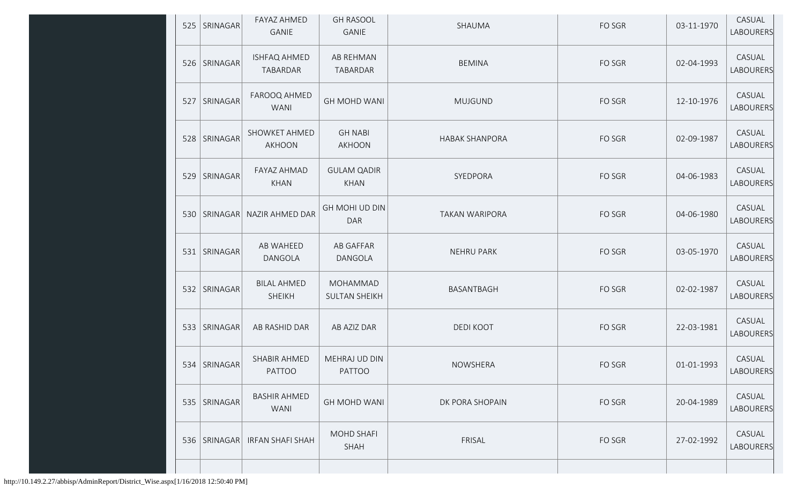|     | 525   SRINAGAR | <b>FAYAZ AHMED</b><br>GANIE         | <b>GH RASOOL</b><br><b>GANIE</b>  | SHAUMA                | FO SGR | 03-11-1970 | CASUAL<br>LABOURERS        |
|-----|----------------|-------------------------------------|-----------------------------------|-----------------------|--------|------------|----------------------------|
|     | 526   SRINAGAR | <b>ISHFAQ AHMED</b><br>TABARDAR     | AB REHMAN<br>TABARDAR             | <b>BEMINA</b>         | FO SGR | 02-04-1993 | CASUAL<br>LABOURERS        |
| 527 | SRINAGAR       | FAROOQ AHMED<br><b>WANI</b>         | <b>GH MOHD WANI</b>               | <b>MUJGUND</b>        | FO SGR | 12-10-1976 | CASUAL<br>LABOURERS        |
| 528 | SRINAGAR       | SHOWKET AHMED<br><b>AKHOON</b>      | <b>GH NABI</b><br>AKHOON          | <b>HABAK SHANPORA</b> | FO SGR | 02-09-1987 | CASUAL<br>LABOURERS        |
|     | 529 SRINAGAR   | FAYAZ AHMAD<br><b>KHAN</b>          | <b>GULAM QADIR</b><br><b>KHAN</b> | SYEDPORA              | FO SGR | 04-06-1983 | CASUAL<br><b>LABOURERS</b> |
|     | 530   SRINAGAR | NAZIR AHMED DAR                     | GH MOHI UD DIN<br><b>DAR</b>      | <b>TAKAN WARIPORA</b> | FO SGR | 04-06-1980 | CASUAL<br>LABOURERS        |
|     | 531   SRINAGAR | AB WAHEED<br>DANGOLA                | <b>AB GAFFAR</b><br>DANGOLA       | <b>NEHRU PARK</b>     | FO SGR | 03-05-1970 | CASUAL<br>LABOURERS        |
|     | 532 SRINAGAR   | <b>BILAL AHMED</b><br><b>SHEIKH</b> | MOHAMMAD<br><b>SULTAN SHEIKH</b>  | BASANTBAGH            | FO SGR | 02-02-1987 | CASUAL<br>LABOURERS        |
|     | 533   SRINAGAR | AB RASHID DAR                       | AB AZIZ DAR                       | <b>DEDI KOOT</b>      | FO SGR | 22-03-1981 | CASUAL<br>LABOURERS        |
|     | 534   SRINAGAR | SHABIR AHMED<br>PATTOO              | MEHRAJ UD DIN<br>PATTOO           | NOWSHERA              | FO SGR | 01-01-1993 | CASUAL<br>LABOURERS        |
|     | 535   SRINAGAR | <b>BASHIR AHMED</b><br>WANI         | <b>GH MOHD WANI</b>               | DK PORA SHOPAIN       | FO SGR | 20-04-1989 | CASUAL<br>LABOURERS        |
|     | 536   SRINAGAR | IRFAN SHAFI SHAH                    | MOHD SHAFI<br>SHAH                | FRISAL                | FO SGR | 27-02-1992 | CASUAL<br>LABOURERS        |
|     |                |                                     |                                   |                       |        |            |                            |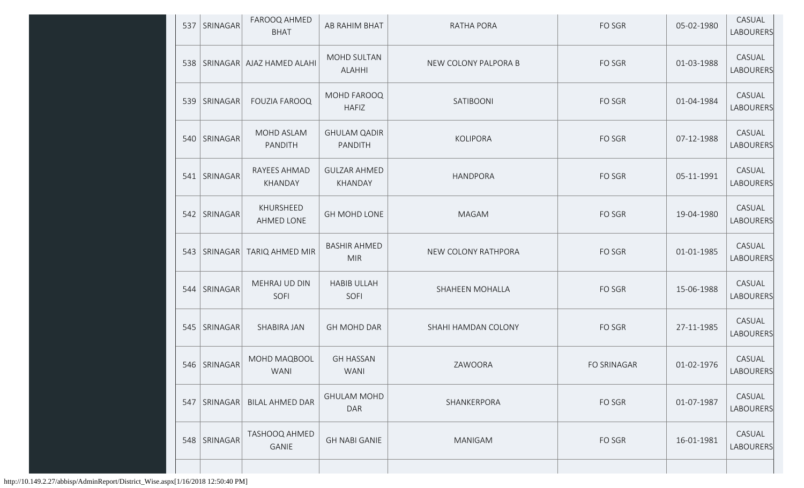| 537 | SRINAGAR       | FAROOQ AHMED<br><b>BHAT</b>       | AB RAHIM BHAT                     | <b>RATHA PORA</b>    | FO SGR      | 05-02-1980 | CASUAL<br>LABOURERS        |
|-----|----------------|-----------------------------------|-----------------------------------|----------------------|-------------|------------|----------------------------|
|     |                | 538   SRINAGAR   AJAZ HAMED ALAHI | MOHD SULTAN<br><b>ALAHHI</b>      | NEW COLONY PALPORA B | FO SGR      | 01-03-1988 | CASUAL<br><b>LABOURERS</b> |
| 539 | SRINAGAR       | <b>FOUZIA FAROOQ</b>              | MOHD FAROOQ<br><b>HAFIZ</b>       | SATIBOONI            | FO SGR      | 01-04-1984 | CASUAL<br><b>LABOURERS</b> |
|     | 540   SRINAGAR | MOHD ASLAM<br>PANDITH             | <b>GHULAM QADIR</b><br>PANDITH    | <b>KOLIPORA</b>      | FO SGR      | 07-12-1988 | CASUAL<br><b>LABOURERS</b> |
| 541 | SRINAGAR       | RAYEES AHMAD<br><b>KHANDAY</b>    | <b>GULZAR AHMED</b><br>KHANDAY    | <b>HANDPORA</b>      | FO SGR      | 05-11-1991 | CASUAL<br><b>LABOURERS</b> |
|     | 542   SRINAGAR | KHURSHEED<br>AHMED LONE           | <b>GH MOHD LONE</b>               | <b>MAGAM</b>         | FO SGR      | 19-04-1980 | CASUAL<br><b>LABOURERS</b> |
|     | 543   SRINAGAR | TARIQ AHMED MIR                   | <b>BASHIR AHMED</b><br><b>MIR</b> | NEW COLONY RATHPORA  | FO SGR      | 01-01-1985 | CASUAL<br><b>LABOURERS</b> |
|     | 544   SRINAGAR | MEHRAJ UD DIN<br>SOFI             | <b>HABIB ULLAH</b><br>SOFI        | SHAHEEN MOHALLA      | FO SGR      | 15-06-1988 | CASUAL<br><b>LABOURERS</b> |
|     | 545   SRINAGAR | <b>SHABIRA JAN</b>                | <b>GH MOHD DAR</b>                | SHAHI HAMDAN COLONY  | FO SGR      | 27-11-1985 | CASUAL<br>LABOURERS        |
|     | 546   SRINAGAR | MOHD MAQBOOL<br>WANI              | <b>GH HASSAN</b><br>WANI          | ZAWOORA              | FO SRINAGAR | 01-02-1976 | CASUAL<br>LABOURERS        |
|     | 547   SRINAGAR | <b>BILAL AHMED DAR</b>            | <b>GHULAM MOHD</b><br><b>DAR</b>  | SHANKERPORA          | FO SGR      | 01-07-1987 | CASUAL<br><b>LABOURERS</b> |
|     | 548   SRINAGAR | <b>TASHOOQ AHMED</b><br>GANIE     | <b>GH NABI GANIE</b>              | MANIGAM              | FO SGR      | 16-01-1981 | CASUAL<br><b>LABOURERS</b> |
|     |                |                                   |                                   |                      |             |            |                            |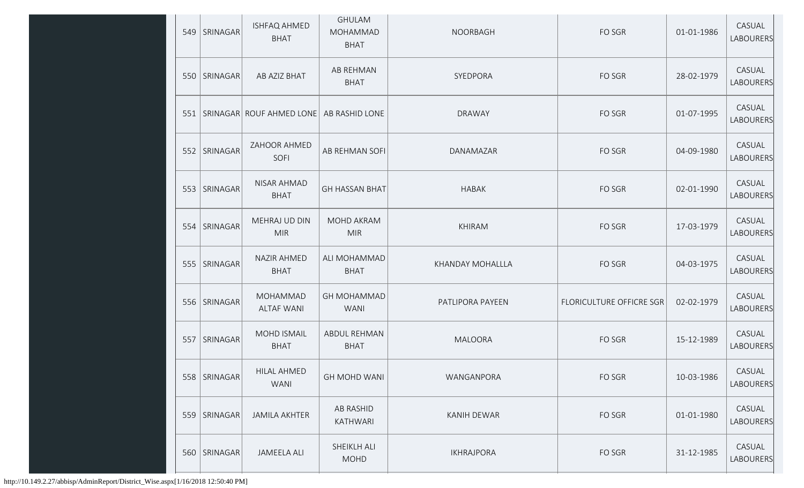|     | 549   SRINAGAR | <b>ISHFAQ AHMED</b><br><b>BHAT</b>   | <b>GHULAM</b><br><b>MOHAMMAD</b><br><b>BHAT</b> | <b>NOORBAGH</b>    | FO SGR                   | 01-01-1986 | CASUAL<br>LABOURERS |
|-----|----------------|--------------------------------------|-------------------------------------------------|--------------------|--------------------------|------------|---------------------|
|     | 550 SRINAGAR   | AB AZIZ BHAT                         | AB REHMAN<br><b>BHAT</b>                        | SYEDPORA           | FO SGR                   | 28-02-1979 | CASUAL<br>LABOURERS |
|     |                | 551   SRINAGAR ROUF AHMED LONE       | AB RASHID LONE                                  | <b>DRAWAY</b>      | FO SGR                   | 01-07-1995 | CASUAL<br>LABOURERS |
| 552 | SRINAGAR       | ZAHOOR AHMED<br>SOFI                 | AB REHMAN SOFI                                  | DANAMAZAR          | FO SGR                   | 04-09-1980 | CASUAL<br>LABOURERS |
|     | 553 SRINAGAR   | NISAR AHMAD<br><b>BHAT</b>           | <b>GH HASSAN BHAT</b>                           | <b>HABAK</b>       | FO SGR                   | 02-01-1990 | CASUAL<br>LABOURERS |
| 554 | SRINAGAR       | MEHRAJ UD DIN<br><b>MIR</b>          | MOHD AKRAM<br><b>MIR</b>                        | <b>KHIRAM</b>      | FO SGR                   | 17-03-1979 | CASUAL<br>LABOURERS |
|     | 555   SRINAGAR | NAZIR AHMED<br><b>BHAT</b>           | ALI MOHAMMAD<br><b>BHAT</b>                     | KHANDAY MOHALLLA   | FO SGR                   | 04-03-1975 | CASUAL<br>LABOURERS |
|     | 556   SRINAGAR | <b>MOHAMMAD</b><br><b>ALTAF WANI</b> | <b>GH MOHAMMAD</b><br><b>WANI</b>               | PATLIPORA PAYEEN   | FLORICULTURE OFFICRE SGR | 02-02-1979 | CASUAL<br>LABOURERS |
| 557 | SRINAGAR       | <b>MOHD ISMAIL</b><br><b>BHAT</b>    | ABDUL REHMAN<br><b>BHAT</b>                     | <b>MALOORA</b>     | FO SGR                   | 15-12-1989 | CASUAL<br>LABOURERS |
|     | 558 SRINAGAR   | HILAL AHMED<br>WANI                  | <b>GH MOHD WANI</b>                             | WANGANPORA         | FO SGR                   | 10-03-1986 | CASUAL<br>LABOURERS |
|     | 559 SRINAGAR   | <b>JAMILA AKHTER</b>                 | AB RASHID<br>KATHWARI                           | <b>KANIH DEWAR</b> | FO SGR                   | 01-01-1980 | CASUAL<br>LABOURERS |
|     | 560 SRINAGAR   | <b>JAMEELA ALI</b>                   | SHEIKLH ALI<br><b>MOHD</b>                      | <b>IKHRAJPORA</b>  | FO SGR                   | 31-12-1985 | CASUAL<br>LABOURERS |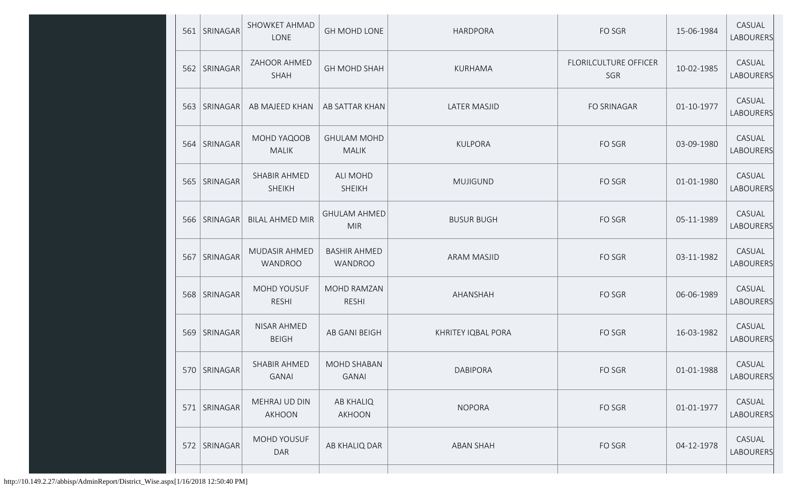| 561 | SRINAGAR       | SHOWKET AHMAD<br>LONE         | GH MOHD LONE                          | <b>HARDPORA</b>    | FO SGR                              | 15-06-1984 | CASUAL<br>LABOURERS |
|-----|----------------|-------------------------------|---------------------------------------|--------------------|-------------------------------------|------------|---------------------|
|     | 562 SRINAGAR   | ZAHOOR AHMED<br><b>SHAH</b>   | <b>GH MOHD SHAH</b>                   | KURHAMA            | <b>FLORILCULTURE OFFICER</b><br>SGR | 10-02-1985 | CASUAL<br>LABOURERS |
|     | 563   SRINAGAR | AB MAJEED KHAN                | AB SATTAR KHAN                        | LATER MASJID       | FO SRINAGAR                         | 01-10-1977 | CASUAL<br>LABOURERS |
|     | 564 SRINAGAR   | MOHD YAQOOB<br><b>MALIK</b>   | <b>GHULAM MOHD</b><br><b>MALIK</b>    | <b>KULPORA</b>     | FO SGR                              | 03-09-1980 | CASUAL<br>LABOURERS |
|     | 565   SRINAGAR | SHABIR AHMED<br><b>SHEIKH</b> | ALI MOHD<br><b>SHEIKH</b>             | <b>MUJIGUND</b>    | FO SGR                              | 01-01-1980 | CASUAL<br>LABOURERS |
| 566 | SRINAGAR       | <b>BILAL AHMED MIR</b>        | <b>GHULAM AHMED</b><br><b>MIR</b>     | <b>BUSUR BUGH</b>  | FO SGR                              | 05-11-1989 | CASUAL<br>LABOURERS |
| 567 | SRINAGAR       | MUDASIR AHMED<br>WANDROO      | <b>BASHIR AHMED</b><br><b>WANDROO</b> | ARAM MASJID        | FO SGR                              | 03-11-1982 | CASUAL<br>LABOURERS |
|     | 568 SRINAGAR   | MOHD YOUSUF<br><b>RESHI</b>   | MOHD RAMZAN<br><b>RESHI</b>           | AHANSHAH           | FO SGR                              | 06-06-1989 | CASUAL<br>LABOURERS |
|     | 569 SRINAGAR   | NISAR AHMED<br><b>BEIGH</b>   | AB GANI BEIGH                         | KHRITEY IQBAL PORA | FO SGR                              | 16-03-1982 | CASUAL<br>LABOURERS |
|     | 570   SRINAGAR | SHABIR AHMED<br><b>GANAI</b>  | <b>MOHD SHABAN</b><br><b>GANAI</b>    | DABIPORA           | FO SGR                              | 01-01-1988 | CASUAL<br>LABOURERS |
| 571 | SRINAGAR       | MEHRAJ UD DIN<br>AKHOON       | <b>AB KHALIQ</b><br>AKHOON            | <b>NOPORA</b>      | FO SGR                              | 01-01-1977 | CASUAL<br>LABOURERS |
|     | 572 SRINAGAR   | MOHD YOUSUF<br><b>DAR</b>     | AB KHALIQ DAR                         | <b>ABAN SHAH</b>   | FO SGR                              | 04-12-1978 | CASUAL<br>LABOURERS |
|     |                |                               |                                       |                    |                                     |            |                     |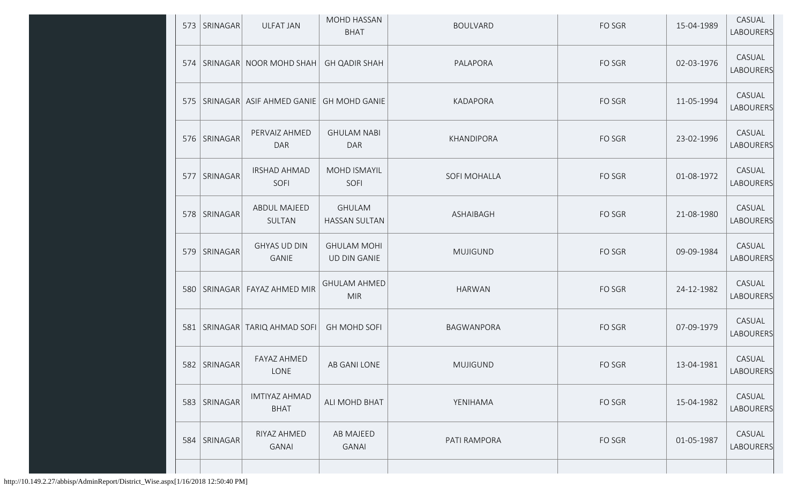|     | 573   SRINAGAR | <b>ULFAT JAN</b>                    | MOHD HASSAN<br><b>BHAT</b>                | <b>BOULVARD</b>   | FO SGR | 15-04-1989 | CASUAL<br>LABOURERS        |
|-----|----------------|-------------------------------------|-------------------------------------------|-------------------|--------|------------|----------------------------|
|     |                | 574   SRINAGAR   NOOR MOHD SHAH     | <b>GH QADIR SHAH</b>                      | PALAPORA          | FO SGR | 02-03-1976 | CASUAL<br>LABOURERS        |
|     |                | 575   SRINAGAR   ASIF AHMED GANIE   | <b>GH MOHD GANIE</b>                      | KADAPORA          | FO SGR | 11-05-1994 | CASUAL<br><b>LABOURERS</b> |
|     | 576   SRINAGAR | PERVAIZ AHMED<br><b>DAR</b>         | <b>GHULAM NABI</b><br><b>DAR</b>          | KHANDIPORA        | FO SGR | 23-02-1996 | CASUAL<br>LABOURERS        |
| 577 | SRINAGAR       | <b>IRSHAD AHMAD</b><br>SOFI         | MOHD ISMAYIL<br>SOFI                      | SOFI MOHALLA      | FO SGR | 01-08-1972 | CASUAL<br>LABOURERS        |
|     | 578 SRINAGAR   | <b>ABDUL MAJEED</b><br>SULTAN       | <b>GHULAM</b><br><b>HASSAN SULTAN</b>     | <b>ASHAIBAGH</b>  | FO SGR | 21-08-1980 | CASUAL<br>LABOURERS        |
| 579 | SRINAGAR       | <b>GHYAS UD DIN</b><br><b>GANIE</b> | <b>GHULAM MOHI</b><br><b>UD DIN GANIE</b> | <b>MUJIGUND</b>   | FO SGR | 09-09-1984 | CASUAL<br>LABOURERS        |
|     |                | 580   SRINAGAR   FAYAZ AHMED MIR    | <b>GHULAM AHMED</b><br><b>MIR</b>         | <b>HARWAN</b>     | FO SGR | 24-12-1982 | CASUAL<br>LABOURERS        |
|     |                | 581   SRINAGAR   TARIQ AHMAD SOFI   | <b>GH MOHD SOFI</b>                       | <b>BAGWANPORA</b> | FO SGR | 07-09-1979 | CASUAL<br>LABOURERS        |
|     | 582   SRINAGAR | FAYAZ AHMED<br>LONE                 | AB GANI LONE                              | <b>MUJIGUND</b>   | FO SGR | 13-04-1981 | CASUAL<br>LABOURERS        |
| 583 | SRINAGAR       | <b>IMTIYAZ AHMAD</b><br><b>BHAT</b> | ALI MOHD BHAT                             | YENIHAMA          | FO SGR | 15-04-1982 | CASUAL<br>LABOURERS        |
|     | 584   SRINAGAR | RIYAZ AHMED<br><b>GANAI</b>         | AB MAJEED<br><b>GANAI</b>                 | PATI RAMPORA      | FO SGR | 01-05-1987 | CASUAL<br>LABOURERS        |
|     |                |                                     |                                           |                   |        |            |                            |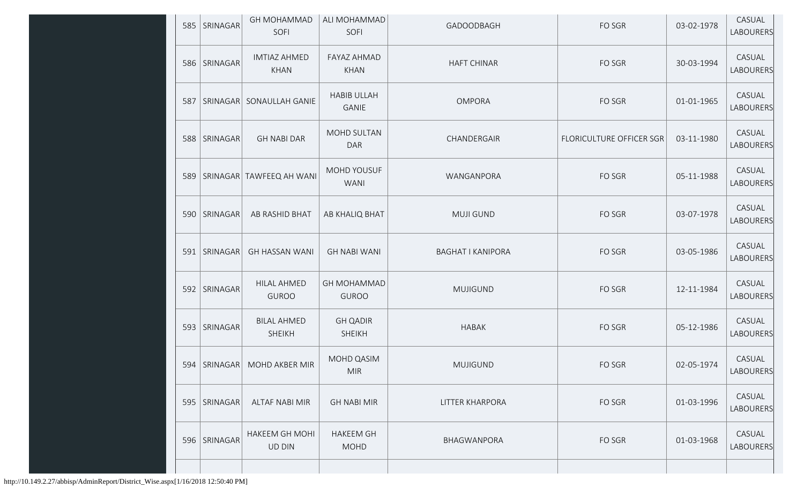| 585 | SRINAGAR       | <b>GH MOHAMMAD</b><br>SOFI          | ALI MOHAMMAD<br>SOFI               | GADOODBAGH               | FO SGR                   | 03-02-1978 | CASUAL<br>LABOURERS        |
|-----|----------------|-------------------------------------|------------------------------------|--------------------------|--------------------------|------------|----------------------------|
|     | 586   SRINAGAR | <b>IMTIAZ AHMED</b><br>KHAN         | FAYAZ AHMAD<br><b>KHAN</b>         | <b>HAFT CHINAR</b>       | FO SGR                   | 30-03-1994 | CASUAL<br><b>LABOURERS</b> |
|     | 587   SRINAGAR | SONAULLAH GANIE                     | <b>HABIB ULLAH</b><br><b>GANIE</b> | <b>OMPORA</b>            | FO SGR                   | 01-01-1965 | CASUAL<br><b>LABOURERS</b> |
|     | 588 SRINAGAR   | <b>GH NABI DAR</b>                  | MOHD SULTAN<br><b>DAR</b>          | CHANDERGAIR              | FLORICULTURE OFFICER SGR | 03-11-1980 | CASUAL<br>LABOURERS        |
|     |                | 589   SRINAGAR   TAWFEEQ AH WANI    | MOHD YOUSUF<br><b>WANI</b>         | WANGANPORA               | FO SGR                   | 05-11-1988 | CASUAL<br><b>LABOURERS</b> |
|     | 590   SRINAGAR | AB RASHID BHAT                      | AB KHALIQ BHAT                     | <b>MUJI GUND</b>         | FO SGR                   | 03-07-1978 | CASUAL<br><b>LABOURERS</b> |
|     | 591   SRINAGAR | <b>GH HASSAN WANI</b>               | <b>GH NABI WANI</b>                | <b>BAGHAT I KANIPORA</b> | FO SGR                   | 03-05-1986 | CASUAL<br>LABOURERS        |
|     | 592   SRINAGAR | <b>HILAL AHMED</b><br><b>GUROO</b>  | <b>GH MOHAMMAD</b><br><b>GUROO</b> | <b>MUJIGUND</b>          | FO SGR                   | 12-11-1984 | CASUAL<br>LABOURERS        |
|     | 593   SRINAGAR | <b>BILAL AHMED</b><br><b>SHEIKH</b> | <b>GH QADIR</b><br><b>SHEIKH</b>   | <b>HABAK</b>             | FO SGR                   | 05-12-1986 | CASUAL<br>LABOURERS        |
|     |                | 594   SRINAGAR   MOHD AKBER MIR     | MOHD QASIM<br><b>MIR</b>           | <b>MUJIGUND</b>          | FO SGR                   | 02-05-1974 | CASUAL<br>LABOURERS        |
|     | 595   SRINAGAR | <b>ALTAF NABI MIR</b>               | <b>GH NABI MIR</b>                 | LITTER KHARPORA          | FO SGR                   | 01-03-1996 | CASUAL<br><b>LABOURERS</b> |
|     | 596   SRINAGAR | <b>HAKEEM GH MOHI</b><br>UD DIN     | <b>HAKEEM GH</b><br><b>MOHD</b>    | BHAGWANPORA              | FO SGR                   | 01-03-1968 | CASUAL<br>LABOURERS        |
|     |                |                                     |                                    |                          |                          |            |                            |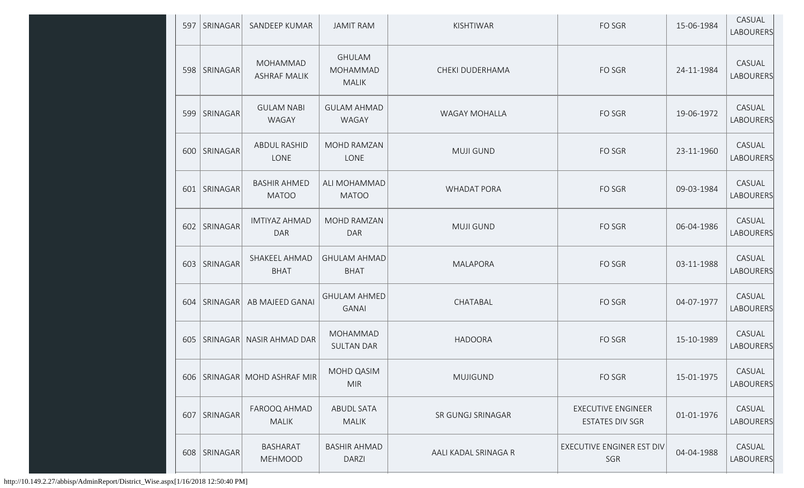| 597 | SRINAGAR       | SANDEEP KUMAR                       | <b>JAMIT RAM</b>                                 | KISHTIWAR            | FO SGR                                              | 15-06-1984 | CASUAL<br>LABOURERS |
|-----|----------------|-------------------------------------|--------------------------------------------------|----------------------|-----------------------------------------------------|------------|---------------------|
|     | 598   SRINAGAR | MOHAMMAD<br><b>ASHRAF MALIK</b>     | <b>GHULAM</b><br><b>MOHAMMAD</b><br><b>MALIK</b> | CHEKI DUDERHAMA      | FO SGR                                              | 24-11-1984 | CASUAL<br>LABOURERS |
| 599 | SRINAGAR       | <b>GULAM NABI</b><br><b>WAGAY</b>   | <b>GULAM AHMAD</b><br><b>WAGAY</b>               | <b>WAGAY MOHALLA</b> | FO SGR                                              | 19-06-1972 | CASUAL<br>LABOURERS |
|     | 600 SRINAGAR   | ABDUL RASHID<br>LONE                | MOHD RAMZAN<br>LONE                              | <b>MUJI GUND</b>     | FO SGR                                              | 23-11-1960 | CASUAL<br>LABOURERS |
|     | 601   SRINAGAR | <b>BASHIR AHMED</b><br><b>MATOO</b> | ALI MOHAMMAD<br><b>MATOO</b>                     | <b>WHADAT PORA</b>   | FO SGR                                              | 09-03-1984 | CASUAL<br>LABOURERS |
|     | 602 SRINAGAR   | <b>IMTIYAZ AHMAD</b><br><b>DAR</b>  | MOHD RAMZAN<br><b>DAR</b>                        | <b>MUJI GUND</b>     | FO SGR                                              | 06-04-1986 | CASUAL<br>LABOURERS |
| 603 | SRINAGAR       | SHAKEEL AHMAD<br><b>BHAT</b>        | <b>GHULAM AHMAD</b><br><b>BHAT</b>               | <b>MALAPORA</b>      | FO SGR                                              | 03-11-1988 | CASUAL<br>LABOURERS |
|     | 604   SRINAGAR | AB MAJEED GANAI                     | <b>GHULAM AHMED</b><br><b>GANAI</b>              | CHATABAL             | FO SGR                                              | 04-07-1977 | CASUAL<br>LABOURERS |
|     | 605   SRINAGAR | <b>NASIR AHMAD DAR</b>              | MOHAMMAD<br><b>SULTAN DAR</b>                    | <b>HADOORA</b>       | FO SGR                                              | 15-10-1989 | CASUAL<br>LABOURERS |
|     |                | 606   SRINAGAR   MOHD ASHRAF MIR    | MOHD QASIM<br><b>MIR</b>                         | <b>MUJIGUND</b>      | FO SGR                                              | 15-01-1975 | CASUAL<br>LABOURERS |
|     | 607 SRINAGAR   | FAROOQ AHMAD<br><b>MALIK</b>        | ABUDL SATA<br><b>MALIK</b>                       | SR GUNGJ SRINAGAR    | <b>EXECUTIVE ENGINEER</b><br><b>ESTATES DIV SGR</b> | 01-01-1976 | CASUAL<br>LABOURERS |
|     | 608   SRINAGAR | <b>BASHARAT</b><br><b>MEHMOOD</b>   | <b>BASHIR AHMAD</b><br><b>DARZI</b>              | AALI KADAL SRINAGA R | EXECUTIVE ENGINER EST DIV<br>SGR                    | 04-04-1988 | CASUAL<br>LABOURERS |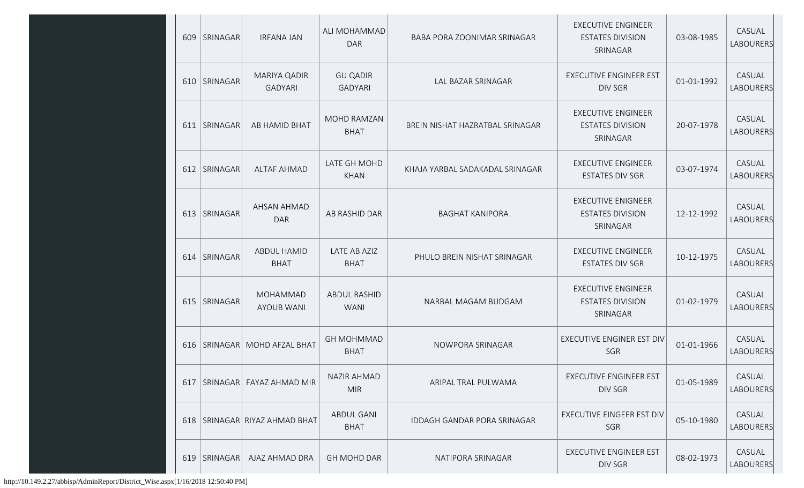| 609 | SRINAGAR        | <b>IRFANA JAN</b>                    | ALI MOHAMMAD<br><b>DAR</b>         | BABA PORA ZOONIMAR SRINAGAR     | <b>EXECUTIVE ENGINEER</b><br><b>ESTATES DIVISION</b><br>SRINAGAR | 03-08-1985 | CASUAL<br><b>LABOURERS</b> |
|-----|-----------------|--------------------------------------|------------------------------------|---------------------------------|------------------------------------------------------------------|------------|----------------------------|
| 610 | SRINAGAR        | MARIYA QADIR<br><b>GADYARI</b>       | <b>GU QADIR</b><br><b>GADYARI</b>  | LAL BAZAR SRINAGAR              | EXECUTIVE ENGINEER EST<br><b>DIV SGR</b>                         | 01-01-1992 | CASUAL<br>LABOURERS        |
|     | 611   SRINAGAR  | AB HAMID BHAT                        | MOHD RAMZAN<br><b>BHAT</b>         | BREIN NISHAT HAZRATBAL SRINAGAR | <b>EXECUTIVE ENGINEER</b><br><b>ESTATES DIVISION</b><br>SRINAGAR | 20-07-1978 | CASUAL<br><b>LABOURERS</b> |
| 612 | <b>SRINAGAR</b> | <b>ALTAF AHMAD</b>                   | LATE GH MOHD<br><b>KHAN</b>        | KHAJA YARBAL SADAKADAL SRINAGAR | <b>EXECUTIVE ENGINEER</b><br><b>ESTATES DIV SGR</b>              | 03-07-1974 | CASUAL<br><b>LABOURERS</b> |
|     | 613   SRINAGAR  | AHSAN AHMAD<br><b>DAR</b>            | AB RASHID DAR                      | <b>BAGHAT KANIPORA</b>          | <b>EXECUTIVE ENIGNEER</b><br><b>ESTATES DIVISION</b><br>SRINAGAR | 12-12-1992 | CASUAL<br>LABOURERS        |
| 614 | SRINAGAR        | ABDUL HAMID<br><b>BHAT</b>           | LATE AB AZIZ<br><b>BHAT</b>        | PHULO BREIN NISHAT SRINAGAR     | <b>EXECUTIVE ENGINEER</b><br><b>ESTATES DIV SGR</b>              | 10-12-1975 | CASUAL<br>LABOURERS        |
| 615 | SRINAGAR        | <b>MOHAMMAD</b><br><b>AYOUB WANI</b> | <b>ABDUL RASHID</b><br><b>WANI</b> | NARBAL MAGAM BUDGAM             | <b>EXECUTIVE ENGINEER</b><br><b>ESTATES DIVISION</b><br>SRINAGAR | 01-02-1979 | CASUAL<br>LABOURERS        |
|     |                 | 616   SRINAGAR   MOHD AFZAL BHAT     | <b>GH MOHMMAD</b><br><b>BHAT</b>   | NOWPORA SRINAGAR                | <b>EXECUTIVE ENGINER EST DIV</b><br>SGR                          | 01-01-1966 | CASUAL<br>LABOURERS        |
| 617 |                 | SRINAGAR FAYAZ AHMAD MIR             | <b>NAZIR AHMAD</b><br><b>MIR</b>   | ARIPAL TRAL PULWAMA             | <b>EXECUTIVE ENGINEER EST</b><br>DIV SGR                         | 01-05-1989 | CASUAL<br>LABOURERS        |
|     |                 | 618   SRINAGAR   RIYAZ AHMAD BHAT    | <b>ABDUL GANI</b><br><b>BHAT</b>   | IDDAGH GANDAR PORA SRINAGAR     | EXECUTIVE EINGEER EST DIV<br>SGR                                 | 05-10-1980 | CASUAL<br>LABOURERS        |
| 619 | SRINAGAR        | AJAZ AHMAD DRA                       | <b>GH MOHD DAR</b>                 | NATIPORA SRINAGAR               | <b>EXECUTIVE ENGINEER EST</b><br>DIV SGR                         | 08-02-1973 | CASUAL<br>LABOURERS        |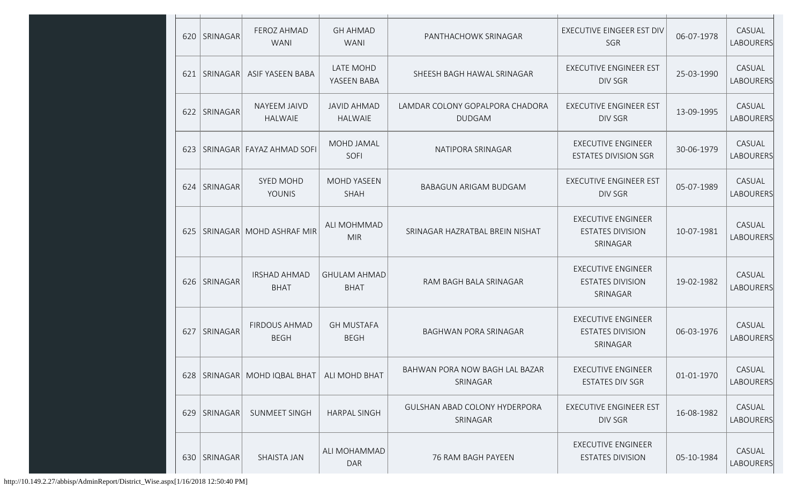|     | 620 SRINAGAR   | FEROZ AHMAD<br><b>WANI</b>          | <b>GH AHMAD</b><br><b>WANI</b>       | PANTHACHOWK SRINAGAR                             | <b>EXECUTIVE EINGEER EST DIV</b><br>SGR                          | 06-07-1978 | CASUAL<br><b>LABOURERS</b> |
|-----|----------------|-------------------------------------|--------------------------------------|--------------------------------------------------|------------------------------------------------------------------|------------|----------------------------|
|     | 621   SRINAGAR | ASIF YASEEN BABA                    | LATE MOHD<br>YASEEN BABA             | SHEESH BAGH HAWAL SRINAGAR                       | <b>EXECUTIVE ENGINEER EST</b><br><b>DIV SGR</b>                  | 25-03-1990 | CASUAL<br>LABOURERS        |
|     | 622 SRINAGAR   | NAYEEM JAIVD<br><b>HALWAIE</b>      | <b>JAVID AHMAD</b><br><b>HALWAIE</b> | LAMDAR COLONY GOPALPORA CHADORA<br><b>DUDGAM</b> | <b>EXECUTIVE ENGINEER EST</b><br><b>DIV SGR</b>                  | 13-09-1995 | CASUAL<br><b>LABOURERS</b> |
|     |                | 623   SRINAGAR   FAYAZ AHMAD SOFI   | MOHD JAMAL<br>SOFI                   | NATIPORA SRINAGAR                                | <b>EXECUTIVE ENGINEER</b><br><b>ESTATES DIVISION SGR</b>         | 30-06-1979 | CASUAL<br>LABOURERS        |
| 624 | SRINAGAR       | SYED MOHD<br><b>YOUNIS</b>          | <b>MOHD YASEEN</b><br><b>SHAH</b>    | <b>BABAGUN ARIGAM BUDGAM</b>                     | <b>EXECUTIVE ENGINEER EST</b><br><b>DIV SGR</b>                  | 05-07-1989 | CASUAL<br><b>LABOURERS</b> |
|     |                | 625   SRINAGAR   MOHD ASHRAF MIR    | ALI MOHMMAD<br><b>MIR</b>            | SRINAGAR HAZRATBAL BREIN NISHAT                  | <b>EXECUTIVE ENGINEER</b><br><b>ESTATES DIVISION</b><br>SRINAGAR | 10-07-1981 | CASUAL<br>LABOURERS        |
|     | 626   SRINAGAR | <b>IRSHAD AHMAD</b><br><b>BHAT</b>  | <b>GHULAM AHMAD</b><br><b>BHAT</b>   | RAM BAGH BALA SRINAGAR                           | <b>EXECUTIVE ENGINEER</b><br><b>ESTATES DIVISION</b><br>SRINAGAR | 19-02-1982 | CASUAL<br>LABOURERS        |
|     | 627 SRINAGAR   | <b>FIRDOUS AHMAD</b><br><b>BEGH</b> | <b>GH MUSTAFA</b><br><b>BEGH</b>     | BAGHWAN PORA SRINAGAR                            | <b>EXECUTIVE ENGINEER</b><br><b>ESTATES DIVISION</b><br>SRINAGAR | 06-03-1976 | CASUAL<br>LABOURERS        |
|     |                | 628   SRINAGAR   MOHD IQBAL BHAT    | ALI MOHD BHAT                        | BAHWAN PORA NOW BAGH LAL BAZAR<br>SRINAGAR       | EXECUTIVE ENGINEER<br><b>ESTATES DIV SGR</b>                     | 01-01-1970 | CASUAL<br>LABOURERS        |
|     | 629 SRINAGAR   | SUNMEET SINGH                       | <b>HARPAL SINGH</b>                  | <b>GULSHAN ABAD COLONY HYDERPORA</b><br>SRINAGAR | <b>EXECUTIVE ENGINEER EST</b><br>DIV SGR                         | 16-08-1982 | CASUAL<br>LABOURERS        |
|     | 630   SRINAGAR | SHAISTA JAN                         | ALI MOHAMMAD<br><b>DAR</b>           | 76 RAM BAGH PAYEEN                               | <b>EXECUTIVE ENGINEER</b><br><b>ESTATES DIVISION</b>             | 05-10-1984 | CASUAL<br>LABOURERS        |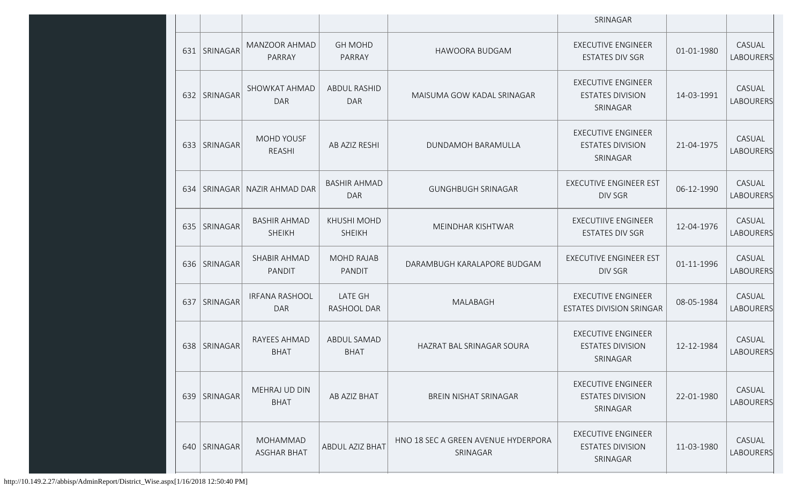|     |                |                                       |                                     |                                                 | SRINAGAR                                                         |            |                            |
|-----|----------------|---------------------------------------|-------------------------------------|-------------------------------------------------|------------------------------------------------------------------|------------|----------------------------|
|     | 631 SRINAGAR   | MANZOOR AHMAD<br>PARRAY               | <b>GH MOHD</b><br>PARRAY            | HAWOORA BUDGAM                                  | <b>EXECUTIVE ENGINEER</b><br><b>ESTATES DIV SGR</b>              | 01-01-1980 | CASUAL<br>LABOURERS        |
|     | 632 SRINAGAR   | <b>SHOWKAT AHMAD</b><br><b>DAR</b>    | <b>ABDUL RASHID</b><br><b>DAR</b>   | MAISUMA GOW KADAL SRINAGAR                      | <b>EXECUTIVE ENGINEER</b><br><b>ESTATES DIVISION</b><br>SRINAGAR | 14-03-1991 | CASUAL<br><b>LABOURERS</b> |
|     | 633 SRINAGAR   | MOHD YOUSF<br>REASHI                  | AB AZIZ RESHI                       | DUNDAMOH BARAMULLA                              | <b>EXECUTIVE ENGINEER</b><br><b>ESTATES DIVISION</b><br>SRINAGAR | 21-04-1975 | CASUAL<br><b>LABOURERS</b> |
| 634 | SRINAGAR       | NAZIR AHMAD DAR                       | <b>BASHIR AHMAD</b><br><b>DAR</b>   | <b>GUNGHBUGH SRINAGAR</b>                       | <b>EXECUTIVE ENGINEER EST</b><br><b>DIV SGR</b>                  | 06-12-1990 | CASUAL<br><b>LABOURERS</b> |
|     | 635   SRINAGAR | <b>BASHIR AHMAD</b><br><b>SHEIKH</b>  | <b>KHUSHI MOHD</b><br><b>SHEIKH</b> | MEINDHAR KISHTWAR                               | <b>EXECUTIIVE ENGINEER</b><br><b>ESTATES DIV SGR</b>             | 12-04-1976 | CASUAL<br><b>LABOURERS</b> |
|     | 636 SRINAGAR   | SHABIR AHMAD<br>PANDIT                | <b>MOHD RAJAB</b><br>PANDIT         | DARAMBUGH KARALAPORE BUDGAM                     | <b>EXECUTIVE ENGINEER EST</b><br>DIV SGR                         | 01-11-1996 | CASUAL<br>LABOURERS        |
| 637 | SRINAGAR       | <b>IRFANA RASHOOL</b><br><b>DAR</b>   | <b>LATE GH</b><br>RASHOOL DAR       | MALABAGH                                        | <b>EXECUTIVE ENGINEER</b><br><b>ESTATES DIVISION SRINGAR</b>     | 08-05-1984 | CASUAL<br>LABOURERS        |
|     | 638 SRINAGAR   | RAYEES AHMAD<br><b>BHAT</b>           | ABDUL SAMAD<br><b>BHAT</b>          | HAZRAT BAL SRINAGAR SOURA                       | <b>EXECUTIVE ENGINEER</b><br><b>ESTATES DIVISION</b><br>SRINAGAR | 12-12-1984 | CASUAL<br>LABOURERS        |
|     | 639   SRINAGAR | MEHRAJ UD DIN<br><b>BHAT</b>          | AB AZIZ BHAT                        | <b>BREIN NISHAT SRINAGAR</b>                    | <b>EXECUTIVE ENGINEER</b><br><b>ESTATES DIVISION</b><br>SRINAGAR | 22-01-1980 | CASUAL<br><b>LABOURERS</b> |
|     | 640 SRINAGAR   | <b>MOHAMMAD</b><br><b>ASGHAR BHAT</b> | ABDUL AZIZ BHAT                     | HNO 18 SEC A GREEN AVENUE HYDERPORA<br>SRINAGAR | <b>EXECUTIVE ENGINEER</b><br><b>ESTATES DIVISION</b><br>SRINAGAR | 11-03-1980 | CASUAL<br>LABOURERS        |